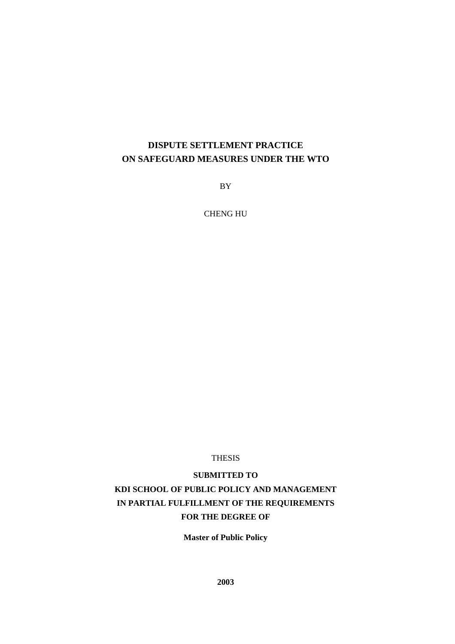# **DISPUTE SETTLEMENT PRACTICE ON SAFEGUARD MEASURES UNDER THE WTO**

BY

CHENG HU

THESIS

**SUBMITTED TO KDI SCHOOL OF PUBLIC POLICY AND MANAGEMENT IN PARTIAL FULFILLMENT OF THE REQUIREMENTS FOR THE DEGREE OF** 

**Master of Public Policy** 

**2003**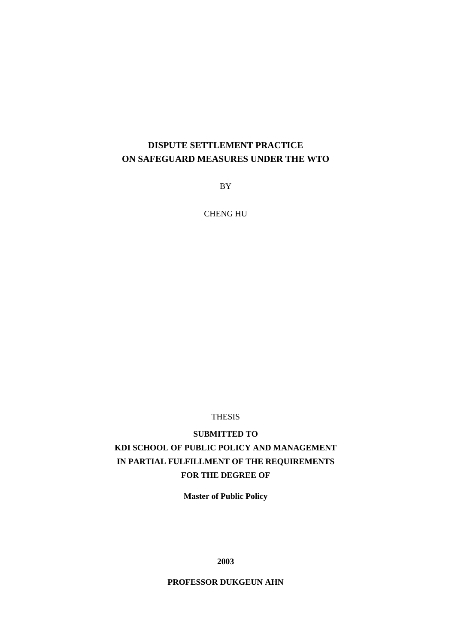# **DISPUTE SETTLEMENT PRACTICE ON SAFEGUARD MEASURES UNDER THE WTO**

BY

CHENG HU

THESIS

# **SUBMITTED TO KDI SCHOOL OF PUBLIC POLICY AND MANAGEMENT IN PARTIAL FULFILLMENT OF THE REQUIREMENTS FOR THE DEGREE OF**

**Master of Public Policy** 

**2003** 

**PROFESSOR DUKGEUN AHN**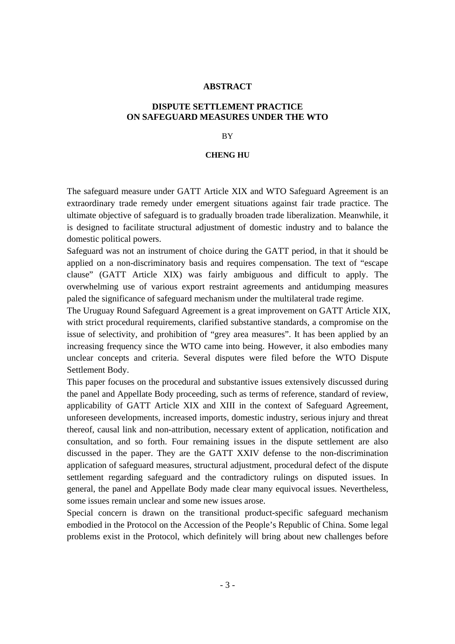#### **ABSTRACT**

## **DISPUTE SETTLEMENT PRACTICE ON SAFEGUARD MEASURES UNDER THE WTO**

#### BY

### **CHENG HU**

The safeguard measure under GATT Article XIX and WTO Safeguard Agreement is an extraordinary trade remedy under emergent situations against fair trade practice. The ultimate objective of safeguard is to gradually broaden trade liberalization. Meanwhile, it is designed to facilitate structural adjustment of domestic industry and to balance the domestic political powers.

Safeguard was not an instrument of choice during the GATT period, in that it should be applied on a non-discriminatory basis and requires compensation. The text of "escape clause" (GATT Article XIX) was fairly ambiguous and difficult to apply. The overwhelming use of various export restraint agreements and antidumping measures paled the significance of safeguard mechanism under the multilateral trade regime.

The Uruguay Round Safeguard Agreement is a great improvement on GATT Article XIX, with strict procedural requirements, clarified substantive standards, a compromise on the issue of selectivity, and prohibition of "grey area measures". It has been applied by an increasing frequency since the WTO came into being. However, it also embodies many unclear concepts and criteria. Several disputes were filed before the WTO Dispute Settlement Body.

This paper focuses on the procedural and substantive issues extensively discussed during the panel and Appellate Body proceeding, such as terms of reference, standard of review, applicability of GATT Article XIX and XIII in the context of Safeguard Agreement, unforeseen developments, increased imports, domestic industry, serious injury and threat thereof, causal link and non-attribution, necessary extent of application, notification and consultation, and so forth. Four remaining issues in the dispute settlement are also discussed in the paper. They are the GATT XXIV defense to the non-discrimination application of safeguard measures, structural adjustment, procedural defect of the dispute settlement regarding safeguard and the contradictory rulings on disputed issues. In general, the panel and Appellate Body made clear many equivocal issues. Nevertheless, some issues remain unclear and some new issues arose.

Special concern is drawn on the transitional product-specific safeguard mechanism embodied in the Protocol on the Accession of the People's Republic of China. Some legal problems exist in the Protocol, which definitely will bring about new challenges before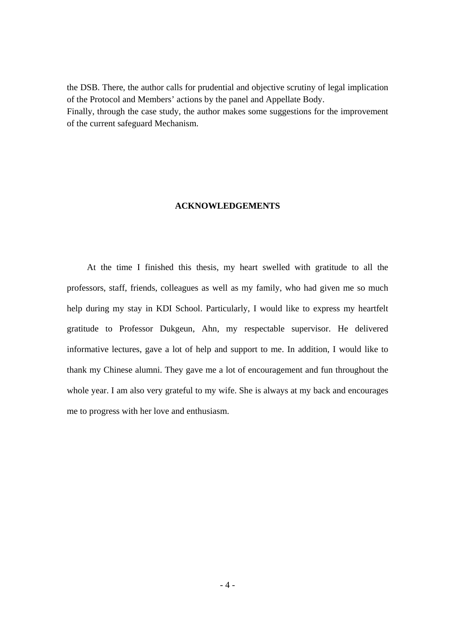the DSB. There, the author calls for prudential and objective scrutiny of legal implication of the Protocol and Members' actions by the panel and Appellate Body. Finally, through the case study, the author makes some suggestions for the improvement of the current safeguard Mechanism.

### **ACKNOWLEDGEMENTS**

At the time I finished this thesis, my heart swelled with gratitude to all the professors, staff, friends, colleagues as well as my family, who had given me so much help during my stay in KDI School. Particularly, I would like to express my heartfelt gratitude to Professor Dukgeun, Ahn, my respectable supervisor. He delivered informative lectures, gave a lot of help and support to me. In addition, I would like to thank my Chinese alumni. They gave me a lot of encouragement and fun throughout the whole year. I am also very grateful to my wife. She is always at my back and encourages me to progress with her love and enthusiasm.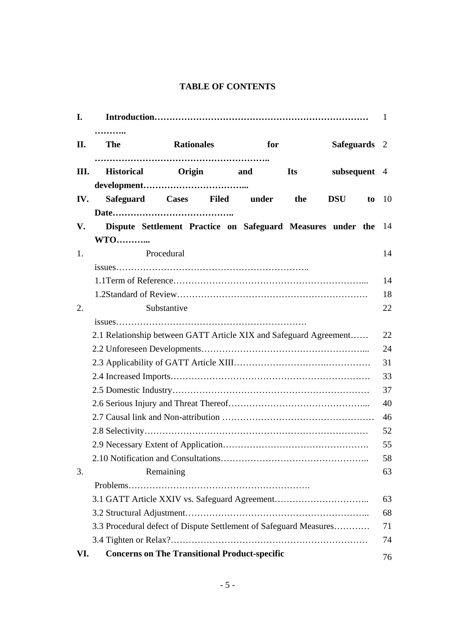# **TABLE OF CONTENTS**

| I.  |                                                                   |                                                      |                    |       |            |                                                             | 1  |
|-----|-------------------------------------------------------------------|------------------------------------------------------|--------------------|-------|------------|-------------------------------------------------------------|----|
| II. | <b>The</b>                                                        |                                                      | <b>Rationales</b>  | for   |            | Safeguards 2                                                |    |
| Ш.  | <b>Historical</b>                                                 |                                                      | Origin             | and   | <b>Its</b> | subsequent 4                                                |    |
|     |                                                                   |                                                      |                    |       |            |                                                             |    |
| IV. | Safeguard                                                         |                                                      | <b>Cases</b> Filed | under | the        | <b>DSU</b><br>to                                            | 10 |
|     |                                                                   |                                                      |                    |       |            |                                                             |    |
| V.  |                                                                   |                                                      |                    |       |            | Dispute Settlement Practice on Safeguard Measures under the | 14 |
|     | $WTO$                                                             |                                                      |                    |       |            |                                                             |    |
| 1.  |                                                                   | Procedural                                           |                    |       |            |                                                             | 14 |
|     |                                                                   |                                                      |                    |       |            |                                                             |    |
|     |                                                                   |                                                      |                    |       |            |                                                             | 14 |
|     |                                                                   |                                                      |                    |       |            |                                                             | 18 |
| 2.  |                                                                   | Substantive                                          |                    |       |            |                                                             | 22 |
|     |                                                                   |                                                      |                    |       |            |                                                             | 22 |
|     | 2.1 Relationship between GATT Article XIX and Safeguard Agreement |                                                      |                    |       |            |                                                             | 24 |
|     |                                                                   |                                                      |                    |       |            |                                                             | 31 |
|     |                                                                   |                                                      |                    |       |            |                                                             | 33 |
|     |                                                                   |                                                      |                    |       |            |                                                             | 37 |
|     |                                                                   |                                                      |                    |       |            |                                                             | 40 |
|     |                                                                   |                                                      |                    |       |            |                                                             | 46 |
|     |                                                                   |                                                      |                    |       |            |                                                             | 52 |
|     |                                                                   |                                                      |                    |       |            |                                                             | 55 |
|     |                                                                   |                                                      |                    |       |            |                                                             | 58 |
| 3.  |                                                                   | Remaining                                            |                    |       |            |                                                             | 63 |
|     |                                                                   |                                                      |                    |       |            |                                                             |    |
|     |                                                                   |                                                      |                    |       |            |                                                             | 63 |
|     |                                                                   |                                                      |                    |       |            |                                                             | 68 |
|     | 3.3 Procedural defect of Dispute Settlement of Safeguard Measures |                                                      |                    |       |            |                                                             | 71 |
|     |                                                                   |                                                      |                    |       |            |                                                             | 74 |
| VI. |                                                                   | <b>Concerns on The Transitional Product-specific</b> |                    |       |            |                                                             | 76 |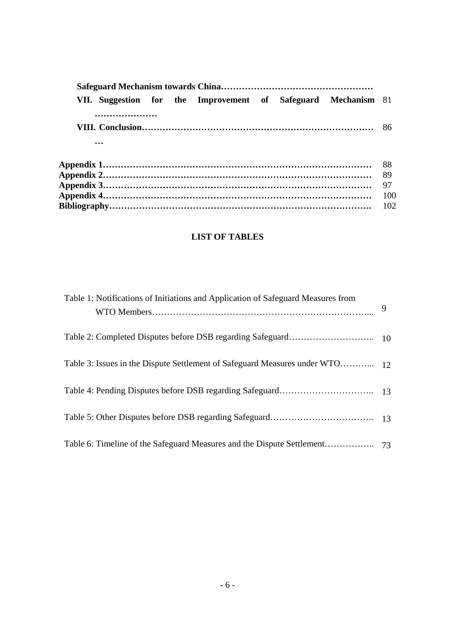| VII. Suggestion for the Improvement of Safeguard Mechanism 81 |     |
|---------------------------------------------------------------|-----|
|                                                               |     |
|                                                               |     |
| $\cdots$                                                      |     |
|                                                               |     |
|                                                               |     |
|                                                               |     |
|                                                               | 97  |
|                                                               | 100 |
|                                                               | 102 |

## **LIST OF TABLES**

| Table 1: Notifications of Initiations and Application of Safeguard Measures from | 9 |
|----------------------------------------------------------------------------------|---|
|                                                                                  |   |
|                                                                                  |   |
|                                                                                  |   |
|                                                                                  |   |
|                                                                                  |   |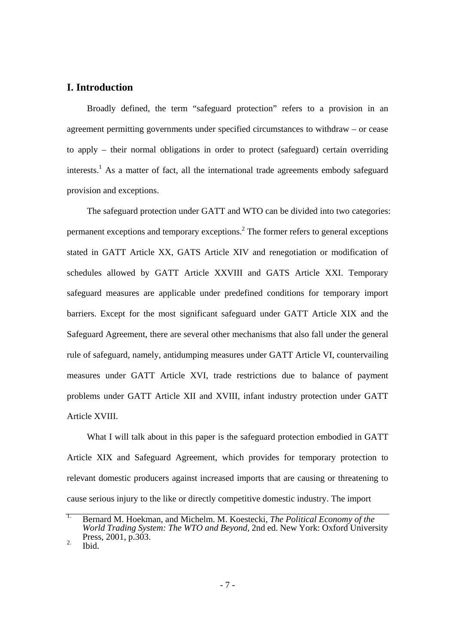## **I. Introduction**

Broadly defined, the term "safeguard protection" refers to a provision in an agreement permitting governments under specified circumstances to withdraw – or cease to apply – their normal obligations in order to protect (safeguard) certain overriding interests.<sup>1</sup> As a matter of fact, all the international trade agreements embody safeguard provision and exceptions.

The safeguard protection under GATT and WTO can be divided into two categories: permanent exceptions and temporary exceptions. $<sup>2</sup>$  The former refers to general exceptions</sup> stated in GATT Article XX, GATS Article XIV and renegotiation or modification of schedules allowed by GATT Article XXVIII and GATS Article XXI. Temporary safeguard measures are applicable under predefined conditions for temporary import barriers. Except for the most significant safeguard under GATT Article XIX and the Safeguard Agreement, there are several other mechanisms that also fall under the general rule of safeguard, namely, antidumping measures under GATT Article VI, countervailing measures under GATT Article XVI, trade restrictions due to balance of payment problems under GATT Article XII and XVIII, infant industry protection under GATT Article XVIII.

What I will talk about in this paper is the safeguard protection embodied in GATT Article XIX and Safeguard Agreement, which provides for temporary protection to relevant domestic producers against increased imports that are causing or threatening to cause serious injury to the like or directly competitive domestic industry. The import

<sup>1.</sup> Bernard M. Hoekman, and Michelm. M. Koestecki, *The Political Economy of the World Trading System: The WTO and Beyond,* 2nd ed. New York: Oxford University  $Press, 2001, p.303.$ <br>2. Ibid.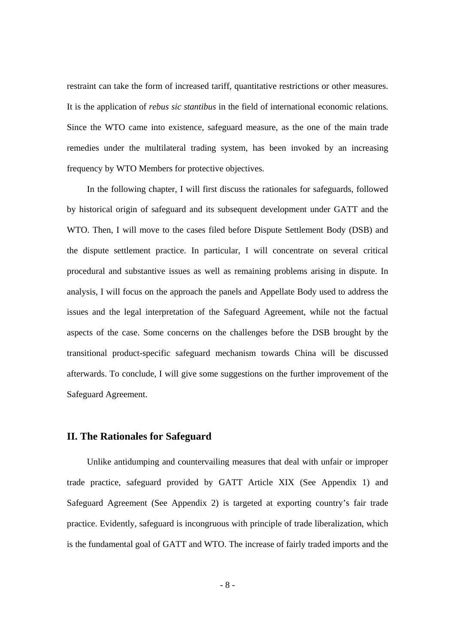restraint can take the form of increased tariff, quantitative restrictions or other measures. It is the application of *rebus sic stantibus* in the field of international economic relations. Since the WTO came into existence, safeguard measure, as the one of the main trade remedies under the multilateral trading system, has been invoked by an increasing frequency by WTO Members for protective objectives.

In the following chapter, I will first discuss the rationales for safeguards, followed by historical origin of safeguard and its subsequent development under GATT and the WTO. Then, I will move to the cases filed before Dispute Settlement Body (DSB) and the dispute settlement practice. In particular, I will concentrate on several critical procedural and substantive issues as well as remaining problems arising in dispute. In analysis, I will focus on the approach the panels and Appellate Body used to address the issues and the legal interpretation of the Safeguard Agreement, while not the factual aspects of the case. Some concerns on the challenges before the DSB brought by the transitional product-specific safeguard mechanism towards China will be discussed afterwards. To conclude, I will give some suggestions on the further improvement of the Safeguard Agreement.

## **II. The Rationales for Safeguard**

Unlike antidumping and countervailing measures that deal with unfair or improper trade practice, safeguard provided by GATT Article XIX (See Appendix 1) and Safeguard Agreement (See Appendix 2) is targeted at exporting country's fair trade practice. Evidently, safeguard is incongruous with principle of trade liberalization, which is the fundamental goal of GATT and WTO. The increase of fairly traded imports and the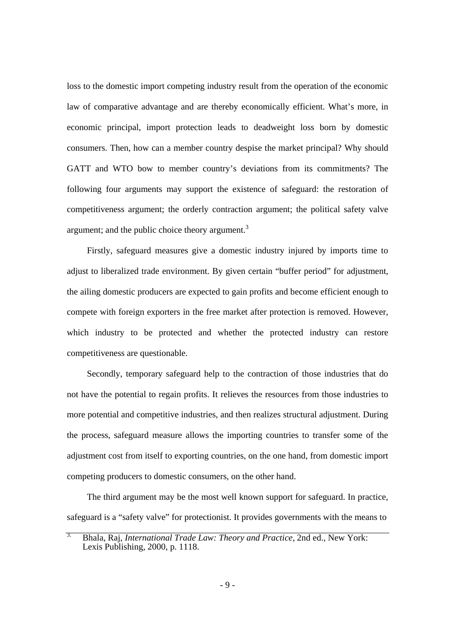loss to the domestic import competing industry result from the operation of the economic law of comparative advantage and are thereby economically efficient. What's more, in economic principal, import protection leads to deadweight loss born by domestic consumers. Then, how can a member country despise the market principal? Why should GATT and WTO bow to member country's deviations from its commitments? The following four arguments may support the existence of safeguard: the restoration of competitiveness argument; the orderly contraction argument; the political safety valve argument; and the public choice theory argument.<sup>3</sup>

Firstly, safeguard measures give a domestic industry injured by imports time to adjust to liberalized trade environment. By given certain "buffer period" for adjustment, the ailing domestic producers are expected to gain profits and become efficient enough to compete with foreign exporters in the free market after protection is removed. However, which industry to be protected and whether the protected industry can restore competitiveness are questionable.

Secondly, temporary safeguard help to the contraction of those industries that do not have the potential to regain profits. It relieves the resources from those industries to more potential and competitive industries, and then realizes structural adjustment. During the process, safeguard measure allows the importing countries to transfer some of the adjustment cost from itself to exporting countries, on the one hand, from domestic import competing producers to domestic consumers, on the other hand.

The third argument may be the most well known support for safeguard. In practice, safeguard is a "safety valve" for protectionist. It provides governments with the means to

<sup>3.</sup> Bhala, Raj, *International Trade Law: Theory and Practice,* 2nd ed., New York: Lexis Publishing, 2000, p. 1118.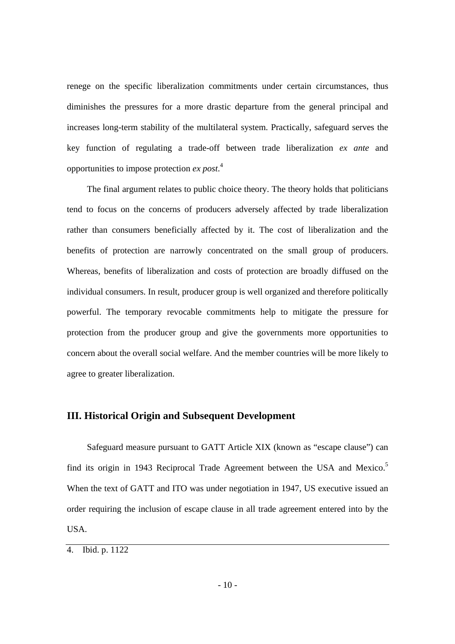renege on the specific liberalization commitments under certain circumstances, thus diminishes the pressures for a more drastic departure from the general principal and increases long-term stability of the multilateral system. Practically, safeguard serves the key function of regulating a trade-off between trade liberalization *ex ante* and opportunities to impose protection *ex post*. 4

The final argument relates to public choice theory. The theory holds that politicians tend to focus on the concerns of producers adversely affected by trade liberalization rather than consumers beneficially affected by it. The cost of liberalization and the benefits of protection are narrowly concentrated on the small group of producers. Whereas, benefits of liberalization and costs of protection are broadly diffused on the individual consumers. In result, producer group is well organized and therefore politically powerful. The temporary revocable commitments help to mitigate the pressure for protection from the producer group and give the governments more opportunities to concern about the overall social welfare. And the member countries will be more likely to agree to greater liberalization.

## **III. Historical Origin and Subsequent Development**

Safeguard measure pursuant to GATT Article XIX (known as "escape clause") can find its origin in 1943 Reciprocal Trade Agreement between the USA and Mexico.<sup>5</sup> When the text of GATT and ITO was under negotiation in 1947, US executive issued an order requiring the inclusion of escape clause in all trade agreement entered into by the USA.

<sup>4.</sup> Ibid. p. 1122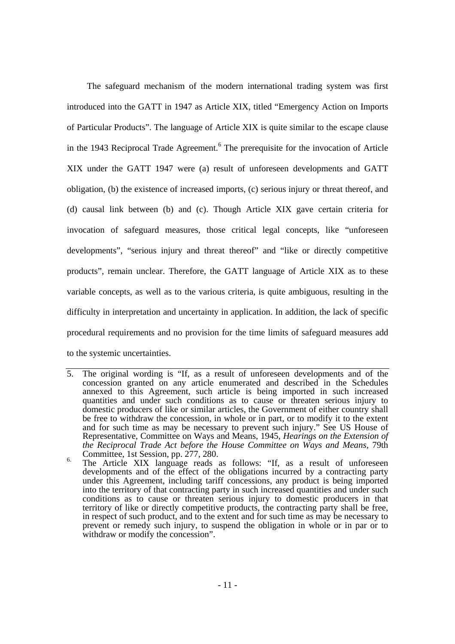The safeguard mechanism of the modern international trading system was first introduced into the GATT in 1947 as Article XIX, titled "Emergency Action on Imports of Particular Products". The language of Article XIX is quite similar to the escape clause in the 1943 Reciprocal Trade Agreement.<sup>6</sup> The prerequisite for the invocation of Article XIX under the GATT 1947 were (a) result of unforeseen developments and GATT obligation, (b) the existence of increased imports, (c) serious injury or threat thereof, and (d) causal link between (b) and (c). Though Article XIX gave certain criteria for invocation of safeguard measures, those critical legal concepts, like "unforeseen developments", "serious injury and threat thereof" and "like or directly competitive products", remain unclear. Therefore, the GATT language of Article XIX as to these variable concepts, as well as to the various criteria, is quite ambiguous, resulting in the difficulty in interpretation and uncertainty in application. In addition, the lack of specific procedural requirements and no provision for the time limits of safeguard measures add to the systemic uncertainties.

<sup>5.</sup> The original wording is "If, as a result of unforeseen developments and of the concession granted on any article enumerated and described in the Schedules annexed to this Agreement, such article is being imported in such increased quantities and under such conditions as to cause or threaten serious injury to domestic producers of like or similar articles, the Government of either country shall be free to withdraw the concession, in whole or in part, or to modify it to the extent and for such time as may be necessary to prevent such injury." See US House of Representative, Committee on Ways and Means, 1945, *Hearings on the Extension of the Reciprocal Trade Act before the House Committee on Ways and Means,* 79th

<sup>&</sup>lt;sup>6.</sup> The Article XIX language reads as follows: "If, as a result of unforeseen developments and of the effect of the obligations incurred by a contracting party under this Agreement, including tariff concessions, any product is being imported into the territory of that contracting party in such increased quantities and under such conditions as to cause or threaten serious injury to domestic producers in that territory of like or directly competitive products, the contracting party shall be free, in respect of such product, and to the extent and for such time as may be necessary to prevent or remedy such injury, to suspend the obligation in whole or in par or to withdraw or modify the concession".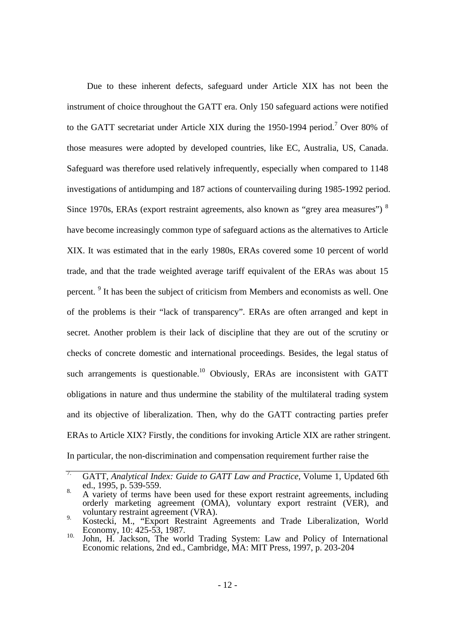Due to these inherent defects, safeguard under Article XIX has not been the instrument of choice throughout the GATT era. Only 150 safeguard actions were notified to the GATT secretariat under Article XIX during the 1950-1994 period.<sup>7</sup> Over 80% of those measures were adopted by developed countries, like EC, Australia, US, Canada. Safeguard was therefore used relatively infrequently, especially when compared to 1148 investigations of antidumping and 187 actions of countervailing during 1985-1992 period. Since 1970s, ERAs (export restraint agreements, also known as "grey area measures") <sup>8</sup> have become increasingly common type of safeguard actions as the alternatives to Article XIX. It was estimated that in the early 1980s, ERAs covered some 10 percent of world trade, and that the trade weighted average tariff equivalent of the ERAs was about 15 percent. <sup>9</sup> It has been the subject of criticism from Members and economists as well. One of the problems is their "lack of transparency". ERAs are often arranged and kept in secret. Another problem is their lack of discipline that they are out of the scrutiny or checks of concrete domestic and international proceedings. Besides, the legal status of such arrangements is questionable.<sup>10</sup> Obviously, ERAs are inconsistent with GATT obligations in nature and thus undermine the stability of the multilateral trading system and its objective of liberalization. Then, why do the GATT contracting parties prefer ERAs to Article XIX? Firstly, the conditions for invoking Article XIX are rather stringent. In particular, the non-discrimination and compensation requirement further raise the

<sup>7.</sup> GATT, *Analytical Index: Guide to GATT Law and Practice*, Volume 1, Updated 6th ed., 1995, p. 539-559.<br><sup>8.</sup> A variety of terms have been used for these export restraint agreements, including

orderly marketing agreement (OMA), voluntary export restraint (VER), and voluntary restraint agreement (VRA).

<sup>&</sup>lt;sup>9.</sup> Kostecki, M., "Export Restraint Agreements and Trade Liberalization, World Economy, 10: 425-53, 1987.

<sup>&</sup>lt;sup>10.</sup> John, H. Jackson, The world Trading System: Law and Policy of International Economic relations, 2nd ed., Cambridge, MA: MIT Press, 1997, p. 203-204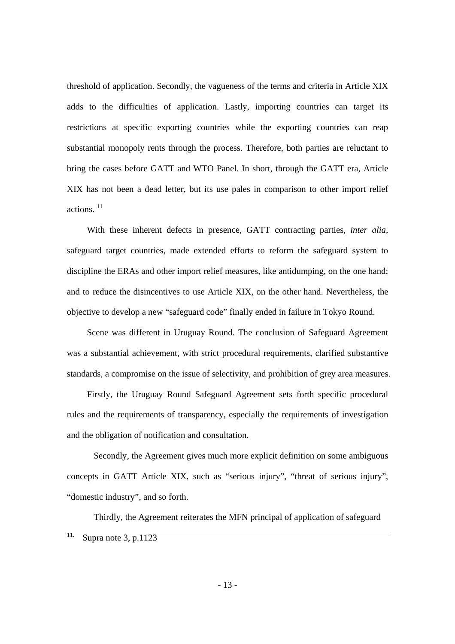threshold of application. Secondly, the vagueness of the terms and criteria in Article XIX adds to the difficulties of application. Lastly, importing countries can target its restrictions at specific exporting countries while the exporting countries can reap substantial monopoly rents through the process. Therefore, both parties are reluctant to bring the cases before GATT and WTO Panel. In short, through the GATT era, Article XIX has not been a dead letter, but its use pales in comparison to other import relief actions. 11

With these inherent defects in presence, GATT contracting parties, *inter alia*, safeguard target countries, made extended efforts to reform the safeguard system to discipline the ERAs and other import relief measures, like antidumping, on the one hand; and to reduce the disincentives to use Article XIX, on the other hand. Nevertheless, the objective to develop a new "safeguard code" finally ended in failure in Tokyo Round.

Scene was different in Uruguay Round. The conclusion of Safeguard Agreement was a substantial achievement, with strict procedural requirements, clarified substantive standards, a compromise on the issue of selectivity, and prohibition of grey area measures.

Firstly, the Uruguay Round Safeguard Agreement sets forth specific procedural rules and the requirements of transparency, especially the requirements of investigation and the obligation of notification and consultation.

Secondly, the Agreement gives much more explicit definition on some ambiguous concepts in GATT Article XIX, such as "serious injury", "threat of serious injury", "domestic industry", and so forth.

Thirdly, the Agreement reiterates the MFN principal of application of safeguard

Supra note 3, p.1123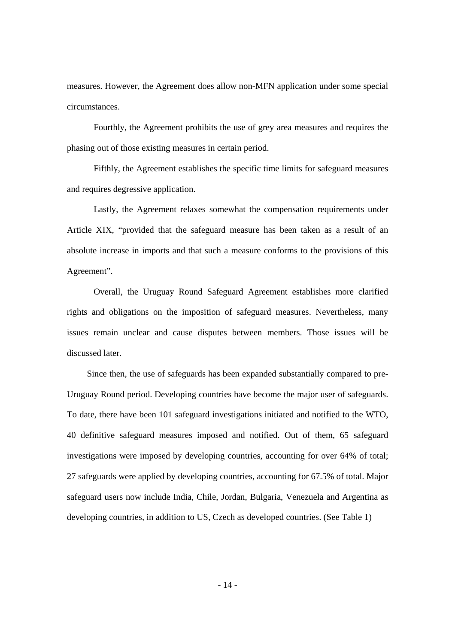measures. However, the Agreement does allow non-MFN application under some special circumstances.

Fourthly, the Agreement prohibits the use of grey area measures and requires the phasing out of those existing measures in certain period.

Fifthly, the Agreement establishes the specific time limits for safeguard measures and requires degressive application.

Lastly, the Agreement relaxes somewhat the compensation requirements under Article XIX, "provided that the safeguard measure has been taken as a result of an absolute increase in imports and that such a measure conforms to the provisions of this Agreement".

Overall, the Uruguay Round Safeguard Agreement establishes more clarified rights and obligations on the imposition of safeguard measures. Nevertheless, many issues remain unclear and cause disputes between members. Those issues will be discussed later.

Since then, the use of safeguards has been expanded substantially compared to pre-Uruguay Round period. Developing countries have become the major user of safeguards. To date, there have been 101 safeguard investigations initiated and notified to the WTO, 40 definitive safeguard measures imposed and notified. Out of them, 65 safeguard investigations were imposed by developing countries, accounting for over 64% of total; 27 safeguards were applied by developing countries, accounting for 67.5% of total. Major safeguard users now include India, Chile, Jordan, Bulgaria, Venezuela and Argentina as developing countries, in addition to US, Czech as developed countries. (See Table 1)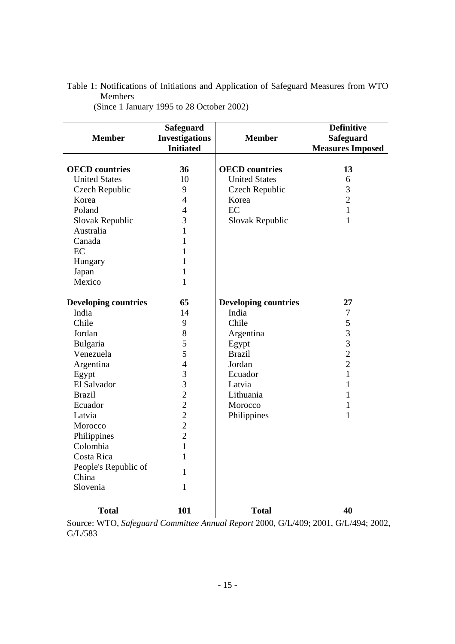## Table 1: Notifications of Initiations and Application of Safeguard Measures from WTO Members

| <b>Member</b>         | <b>Safeguard</b><br><b>Investigations</b><br><b>Initiated</b> | <b>Member</b>         | <b>Definitive</b><br><b>Safeguard</b><br><b>Measures Imposed</b> |  |  |
|-----------------------|---------------------------------------------------------------|-----------------------|------------------------------------------------------------------|--|--|
| <b>OECD</b> countries | 36                                                            | <b>OECD</b> countries | 13                                                               |  |  |
| <b>United States</b>  | 10                                                            | <b>United States</b>  | 6                                                                |  |  |
| Czech Republic        | 9                                                             | Czech Republic        | 3                                                                |  |  |
| Korea                 | 4                                                             | Korea                 | 2                                                                |  |  |
| Poland                | 4                                                             | EC                    |                                                                  |  |  |
| Slovak Republic       | 3                                                             | Slovak Republic       |                                                                  |  |  |
| Australia             |                                                               |                       |                                                                  |  |  |
| Canada                |                                                               |                       |                                                                  |  |  |
| EC                    |                                                               |                       |                                                                  |  |  |
| Hungary               |                                                               |                       |                                                                  |  |  |

**Developing countries** 65 Developing countries 27 India 14 | India 7 Chile 9 Chile 5 Jordan 8 Argentina 3<br>Bulgaria 5 Egypt 3 Bulgaria 5 Egypt 3<br>Venezuela 5 Brazil 2

Argentina  $\begin{array}{c|c}\n4 & Jordan \\
\hline\n3 & Equador\n\end{array}$  2

El Salvador  $\begin{array}{c|c} 3 & 3 \\ 2 & 1 \end{array}$  Latvia  $\begin{array}{c} 1 \\ 1 \end{array}$  Brazil  $\begin{array}{c} 1 \\ 1 \end{array}$ Brazil 2 Lithuania 1 Ecuador 2 Morocco 1 Latvia 2 Philippines 1

(Since 1 January 1995 to 28 October 2002)

Japan 1 Mexico 1

Morocco 2 Philippines 2 Colombia 1 Costa Rica 1

People's Republic of 1 Slovenia 1

Venezuela 5 Brazil 2

Egypt 3 Ecuador<br>El Salvador 3 Latvia

| Total | 101 | Total | 40                                                                                 |
|-------|-----|-------|------------------------------------------------------------------------------------|
|       |     |       | Source: WTO, Safeguard Committee Annual Report 2000, G/L/409; 2001, G/L/494; 2002, |

G/L/583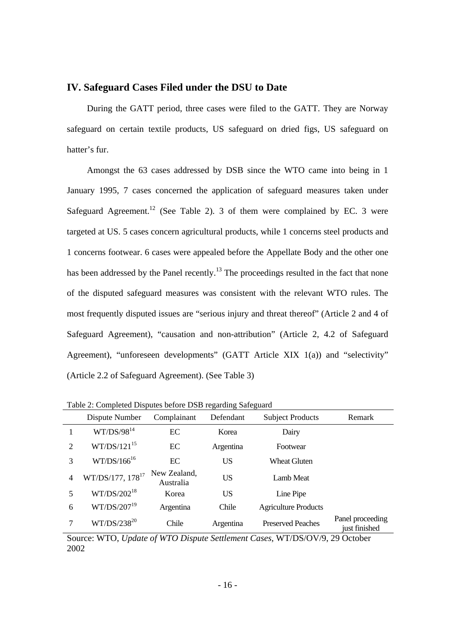### **IV. Safeguard Cases Filed under the DSU to Date**

During the GATT period, three cases were filed to the GATT. They are Norway safeguard on certain textile products, US safeguard on dried figs, US safeguard on hatter's fur.

Amongst the 63 cases addressed by DSB since the WTO came into being in 1 January 1995, 7 cases concerned the application of safeguard measures taken under Safeguard Agreement.<sup>12</sup> (See Table 2). 3 of them were complained by EC. 3 were targeted at US. 5 cases concern agricultural products, while 1 concerns steel products and 1 concerns footwear. 6 cases were appealed before the Appellate Body and the other one has been addressed by the Panel recently.<sup>13</sup> The proceedings resulted in the fact that none of the disputed safeguard measures was consistent with the relevant WTO rules. The most frequently disputed issues are "serious injury and threat thereof" (Article 2 and 4 of Safeguard Agreement), "causation and non-attribution" (Article 2, 4.2 of Safeguard Agreement), "unforeseen developments" (GATT Article XIX 1(a)) and "selectivity" (Article 2.2 of Safeguard Agreement). (See Table 3)

|                | Dispute Number               | Complainant               | Defendant | <b>Subject Products</b>     | Remark                            |
|----------------|------------------------------|---------------------------|-----------|-----------------------------|-----------------------------------|
|                | $WT/DS/98^{14}$              | EC                        | Korea     | Dairy                       |                                   |
| $\overline{2}$ | $WT/DS/121^{15}$             | EC                        | Argentina | Footwear                    |                                   |
| 3              | $WT/DS/166^{16}$             | EC                        | US        | <b>Wheat Gluten</b>         |                                   |
| 4              | WT/DS/177, 178 <sup>17</sup> | New Zealand,<br>Australia | US        | Lamb Meat                   |                                   |
| 5              | $WT/DS/202^{18}$             | Korea                     | <b>US</b> | Line Pipe                   |                                   |
| 6              | $WT/DS/207^{19}$             | Argentina                 | Chile     | <b>Agriculture Products</b> |                                   |
|                | $WT/DS/238^{20}$             | Chile                     | Argentina | <b>Preserved Peaches</b>    | Panel proceeding<br>just finished |

Table 2: Completed Disputes before DSB regarding Safeguard

Source: WTO, *Update of WTO Dispute Settlement Cases,* WT/DS/OV/9, 29 October 2002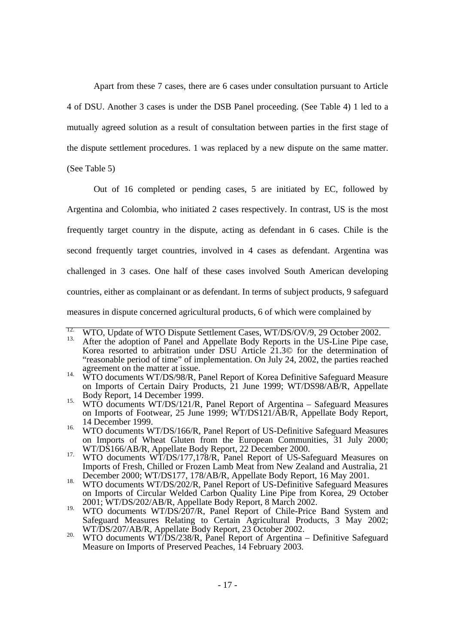Apart from these 7 cases, there are 6 cases under consultation pursuant to Article 4 of DSU. Another 3 cases is under the DSB Panel proceeding. (See Table 4) 1 led to a mutually agreed solution as a result of consultation between parties in the first stage of the dispute settlement procedures. 1 was replaced by a new dispute on the same matter.

(See Table 5)

Out of 16 completed or pending cases, 5 are initiated by EC, followed by Argentina and Colombia, who initiated 2 cases respectively. In contrast, US is the most frequently target country in the dispute, acting as defendant in 6 cases. Chile is the second frequently target countries, involved in 4 cases as defendant. Argentina was challenged in 3 cases. One half of these cases involved South American developing countries, either as complainant or as defendant. In terms of subject products, 9 safeguard measures in dispute concerned agricultural products, 6 of which were complained by

<sup>&</sup>lt;sup>12.</sup> WTO, Update of WTO Dispute Settlement Cases, WT/DS/OV/9, 29 October 2002. <br><sup>13.</sup> After the adoption of Panel and Appellate Body Reports in the US-Line Pipe case, Korea resorted to arbitration under DSU Article 21.3© for the determination of "reasonable period of time" of implementation. On July 24, 2002, the parties reached agreement on the matter at issue.

<sup>&</sup>lt;sup>14.</sup> WTO documents WT/DS/98/R, Panel Report of Korea Definitive Safeguard Measure on Imports of Certain Dairy Products, 21 June 1999; WT/DS98/AB/R, Appellate Body Report, 14 December 1999.

<sup>&</sup>lt;sup>15.</sup> WTO documents WT/DS/121/R, Panel Report of Argentina – Safeguard Measures on Imports of Footwear, 25 June 1999; WT/DS121/AB/R, Appellate Body Report, 14 December 1999.

<sup>&</sup>lt;sup>16.</sup> WTO documents WT/DS/166/R, Panel Report of US-Definitive Safeguard Measures on Imports of Wheat Gluten from the European Communities, 31 July 2000;

WT/DS166/AB/R, Appellate Body Report, 22 December 2000.<br><sup>17.</sup> WTO documents WT/DS/177,178/R, Panel Report of US-Safeguard Measures on Imports of Fresh, Chilled or Frozen Lamb Meat from New Zealand and Australia, 21 December 2000; WT/DS177, 178/AB/R, Appellate Body Report, 16 May 2001.

<sup>&</sup>lt;sup>18.</sup> WTO documents WT/DS/202/R, Panel Report of US-Definitive Safeguard Measures on Imports of Circular Welded Carbon Quality Line Pipe from Korea, 29 October 2001; WT/DS/202/AB/R, Appellate Body Report, 8 March 2002.

<sup>&</sup>lt;sup>19.</sup> WTO documents WT/DS/207/R, Panel Report of Chile-Price Band System and Safeguard Measures Relating to Certain Agricultural Products, 3 May 2002;

WT/DS/207/AB/R, Appellate Body Report, 23 October 2002.<br><sup>20.</sup> WTO documents WT/DS/238/R, Panel Report of Argentina – Definitive Safeguard Measure on Imports of Preserved Peaches, 14 February 2003.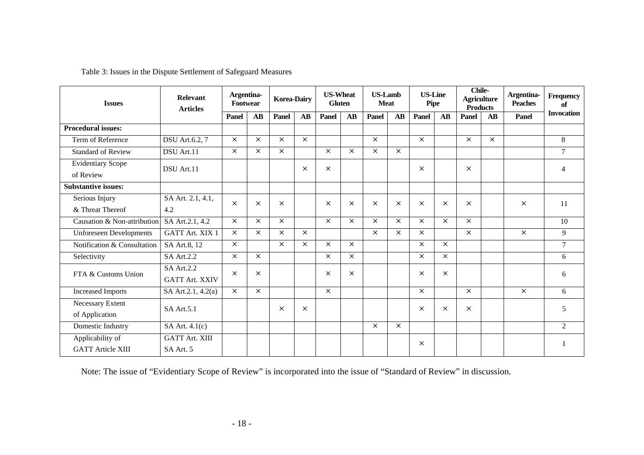| <b>Issues</b>                                | Relevant<br><b>Articles</b>                | Argentina-<br><b>Korea-Dairy</b><br>Footwear |                        | <b>US-Wheat</b><br><b>Gluten</b> |                        | <b>US-Lamb</b><br><b>Meat</b> |                        | <b>US-Line</b><br><b>Pipe</b> |                        | Chile-<br><b>Agriculture</b><br><b>Products</b> |          | Argentina-<br><b>Peaches</b> | <b>Frequency</b><br>of |              |                   |
|----------------------------------------------|--------------------------------------------|----------------------------------------------|------------------------|----------------------------------|------------------------|-------------------------------|------------------------|-------------------------------|------------------------|-------------------------------------------------|----------|------------------------------|------------------------|--------------|-------------------|
|                                              |                                            | <b>Panel</b>                                 | $\mathbf{A}\mathbf{B}$ | <b>Panel</b>                     | $\mathbf{A}\mathbf{B}$ | Panel                         | $\mathbf{A}\mathbf{B}$ | Panel                         | $\mathbf{A}\mathbf{B}$ | Panel                                           | AB       | Panel                        | $\mathbf{A}\mathbf{B}$ | <b>Panel</b> | <b>Invocation</b> |
| <b>Procedural issues:</b>                    |                                            |                                              |                        |                                  |                        |                               |                        |                               |                        |                                                 |          |                              |                        |              |                   |
| Term of Reference                            | <b>DSU</b> Art.6.2, 7                      | $\times$                                     | $\times$               | $\times$                         | $\times$               |                               |                        | $\times$                      |                        | $\times$                                        |          | $\times$                     | $\times$               |              | 8                 |
| <b>Standard of Review</b>                    | DSU Art.11                                 | $\times$                                     | $\times$               | $\times$                         |                        | $\times$                      | $\times$               | $\times$                      | $\times$               |                                                 |          |                              |                        |              | $\tau$            |
| <b>Evidentiary Scope</b><br>of Review        | DSU Art.11                                 |                                              |                        |                                  | $\times$               | $\times$                      |                        |                               |                        | $\times$                                        |          | $\times$                     |                        |              | $\overline{4}$    |
| <b>Substantive issues:</b>                   |                                            |                                              |                        |                                  |                        |                               |                        |                               |                        |                                                 |          |                              |                        |              |                   |
| Serious Injury                               | SA Art. 2.1, 4.1,                          | $\times$                                     | $\times$               | $\times$                         |                        | $\times$                      | $\times$               | $\times$                      | $\times$               | $\times$                                        | $\times$ | $\times$                     |                        | $\times$     | 11                |
| & Threat Thereof                             | 4.2                                        |                                              |                        |                                  |                        |                               |                        |                               |                        |                                                 |          |                              |                        |              |                   |
| Causation & Non-attribution                  | SA Art. 2.1, 4.2                           | $\times$                                     | $\times$               | $\times$                         |                        | $\times$                      | $\times$               | $\times$                      | $\times$               | $\times$                                        | $\times$ | $\times$                     |                        |              | 10                |
| <b>Unforeseen Developments</b>               | <b>GATT Art. XIX 1</b>                     | $\times$                                     | $\times$               | $\times$                         | $\times$               |                               |                        | $\times$                      | $\times$               | $\times$                                        |          | $\times$                     |                        | $\times$     | 9                 |
| Notification & Consultation                  | SA Art.8, 12                               | $\times$                                     |                        | $\times$                         | $\times$               | $\times$                      | $\times$               |                               |                        | $\times$                                        | $\times$ |                              |                        |              | $\tau$            |
| Selectivity                                  | <b>SA Art.2.2</b>                          | $\times$                                     | $\times$               |                                  |                        | $\times$                      | $\times$               |                               |                        | $\times$                                        | $\times$ |                              |                        |              | 6                 |
| FTA & Customs Union                          | <b>SA Art.2.2</b><br><b>GATT Art. XXIV</b> | $\times$                                     | $\times$               |                                  |                        | $\times$                      | $\times$               |                               |                        | $\times$                                        | $\times$ |                              |                        |              | 6                 |
| <b>Increased Imports</b>                     | SA Art.2.1, 4.2(a)                         | $\times$                                     | $\times$               |                                  |                        | $\times$                      |                        |                               |                        | $\times$                                        |          | $\times$                     |                        | $\times$     | 6                 |
| Necessary Extent<br>of Application           | <b>SA Art.5.1</b>                          |                                              |                        | $\times$                         | $\times$               |                               |                        |                               |                        | $\times$                                        | $\times$ | $\times$                     |                        |              | 5                 |
| Domestic Industry                            | SA Art. 4.1(c)                             |                                              |                        |                                  |                        |                               |                        | $\times$                      | $\times$               |                                                 |          |                              |                        |              | $\overline{2}$    |
| Applicability of<br><b>GATT Article XIII</b> | <b>GATT Art. XIII</b><br>SA Art. 5         |                                              |                        |                                  |                        |                               |                        |                               |                        | $\times$                                        |          |                              |                        |              |                   |

Note: The issue of "Evidentiary Scope of Review" is incorporated into the issue of "Standard of Review" in discussion.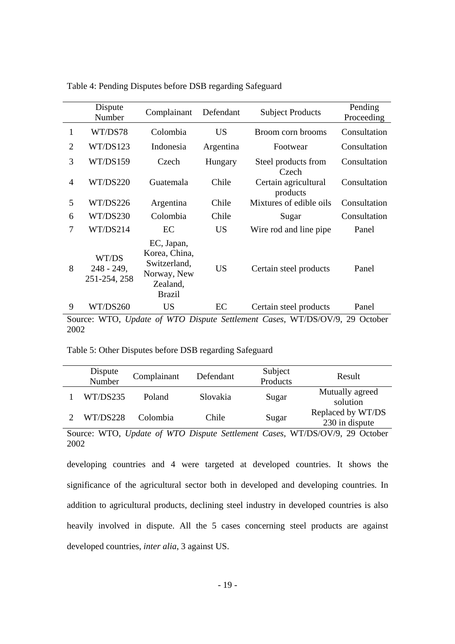|                | Dispute<br>Number                      | Complainant                                                                             | Defendant       | <b>Subject Products</b>          | Pending<br>Proceeding |
|----------------|----------------------------------------|-----------------------------------------------------------------------------------------|-----------------|----------------------------------|-----------------------|
| 1              | WT/DS78                                | Colombia                                                                                | US <sub>1</sub> | Broom corn brooms                | Consultation          |
| 2              | WT/DS123                               | Indonesia                                                                               | Argentina       | Footwear                         | Consultation          |
| 3              | WT/DS159                               | Czech                                                                                   | Hungary         | Steel products from<br>Czech     | Consultation          |
| $\overline{4}$ | <b>WT/DS220</b>                        | Guatemala                                                                               | Chile           | Certain agricultural<br>products | Consultation          |
| 5              | WT/DS226                               | Argentina                                                                               | Chile           | Mixtures of edible oils          | Consultation          |
| 6              | WT/DS230                               | Colombia                                                                                | Chile           | Sugar                            | Consultation          |
| 7              | WT/DS214                               | EC                                                                                      | <b>US</b>       | Wire rod and line pipe           | Panel                 |
| 8              | WT/DS<br>$248 - 249$ ,<br>251-254, 258 | EC, Japan,<br>Korea, China,<br>Switzerland,<br>Norway, New<br>Zealand,<br><b>Brazil</b> | <b>US</b>       | Certain steel products           | Panel                 |
| 9              | WT/DS260                               | <b>US</b>                                                                               | EC              | Certain steel products           | Panel                 |

Table 4: Pending Disputes before DSB regarding Safeguard

Source: WTO, *Update of WTO Dispute Settlement Cases*, WT/DS/OV/9, 29 October 2002

Table 5: Other Disputes before DSB regarding Safeguard

| Dispute<br>Number | Complainant | Defendant | Subject<br>Products | Result                              |
|-------------------|-------------|-----------|---------------------|-------------------------------------|
| WT/DS235          | Poland      | Slovakia  | Sugar               | Mutually agreed<br>solution         |
| <b>WT/DS228</b>   | Colombia    | Chile     | Sugar               | Replaced by WT/DS<br>230 in dispute |

Source: WTO, *Update of WTO Dispute Settlement Cases*, WT/DS/OV/9, 29 October 2002

developing countries and 4 were targeted at developed countries. It shows the significance of the agricultural sector both in developed and developing countries. In addition to agricultural products, declining steel industry in developed countries is also heavily involved in dispute. All the 5 cases concerning steel products are against developed countries, *inter alia*, 3 against US.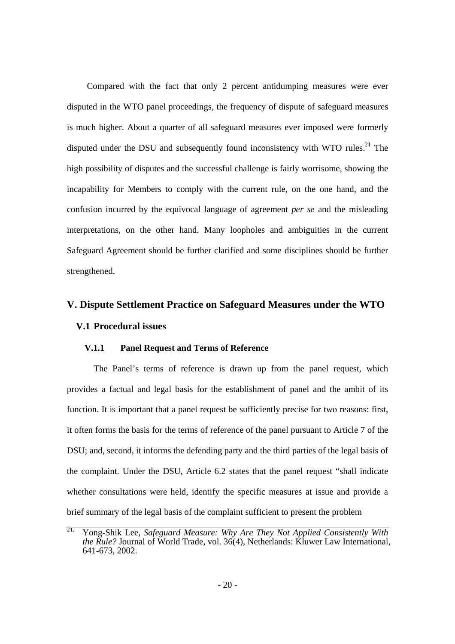Compared with the fact that only 2 percent antidumping measures were ever disputed in the WTO panel proceedings, the frequency of dispute of safeguard measures is much higher. About a quarter of all safeguard measures ever imposed were formerly disputed under the DSU and subsequently found inconsistency with WTO rules.<sup>21</sup> The high possibility of disputes and the successful challenge is fairly worrisome, showing the incapability for Members to comply with the current rule, on the one hand, and the confusion incurred by the equivocal language of agreement *per se* and the misleading interpretations, on the other hand. Many loopholes and ambiguities in the current Safeguard Agreement should be further clarified and some disciplines should be further strengthened.

# **V. Dispute Settlement Practice on Safeguard Measures under the WTO V.1 Procedural issues**

# **V.1.1 Panel Request and Terms of Reference**

The Panel's terms of reference is drawn up from the panel request, which provides a factual and legal basis for the establishment of panel and the ambit of its function. It is important that a panel request be sufficiently precise for two reasons: first, it often forms the basis for the terms of reference of the panel pursuant to Article 7 of the DSU; and, second, it informs the defending party and the third parties of the legal basis of the complaint. Under the DSU, Article 6.2 states that the panel request "shall indicate whether consultations were held, identify the specific measures at issue and provide a brief summary of the legal basis of the complaint sufficient to present the problem

<sup>21.</sup> Yong-Shik Lee, *Safeguard Measure: Why Are They Not Applied Consistently With the Rule?* Journal of World Trade, vol. 36(4), Netherlands: Kluwer Law International, 641-673, 2002.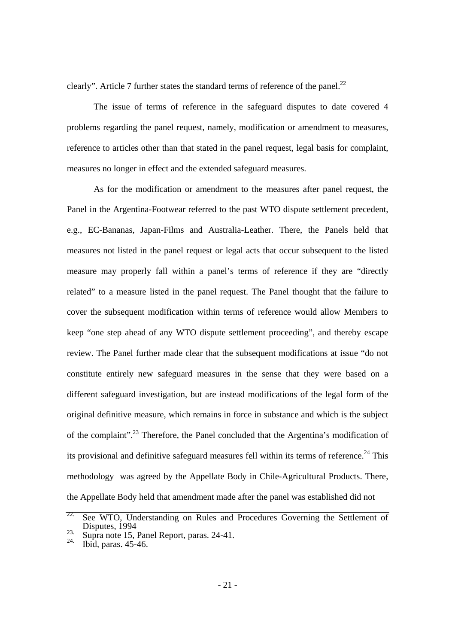clearly". Article 7 further states the standard terms of reference of the panel. $^{22}$ 

The issue of terms of reference in the safeguard disputes to date covered 4 problems regarding the panel request, namely, modification or amendment to measures, reference to articles other than that stated in the panel request, legal basis for complaint, measures no longer in effect and the extended safeguard measures.

As for the modification or amendment to the measures after panel request, the Panel in the Argentina-Footwear referred to the past WTO dispute settlement precedent, e.g., EC-Bananas, Japan-Films and Australia-Leather. There, the Panels held that measures not listed in the panel request or legal acts that occur subsequent to the listed measure may properly fall within a panel's terms of reference if they are "directly related" to a measure listed in the panel request. The Panel thought that the failure to cover the subsequent modification within terms of reference would allow Members to keep "one step ahead of any WTO dispute settlement proceeding", and thereby escape review. The Panel further made clear that the subsequent modifications at issue "do not constitute entirely new safeguard measures in the sense that they were based on a different safeguard investigation, but are instead modifications of the legal form of the original definitive measure, which remains in force in substance and which is the subject of the complaint".<sup>23</sup> Therefore, the Panel concluded that the Argentina's modification of its provisional and definitive safeguard measures fell within its terms of reference.<sup>24</sup> This methodology was agreed by the Appellate Body in Chile-Agricultural Products. There, the Appellate Body held that amendment made after the panel was established did not

<sup>22.</sup> See WTO, Understanding on Rules and Procedures Governing the Settlement of 23. Disputes, 1994<br>
<sup>23.</sup> Supra note 15, Panel Report, paras. 24-41.<br>
<sup>24.</sup> Ibid, paras. 45-46.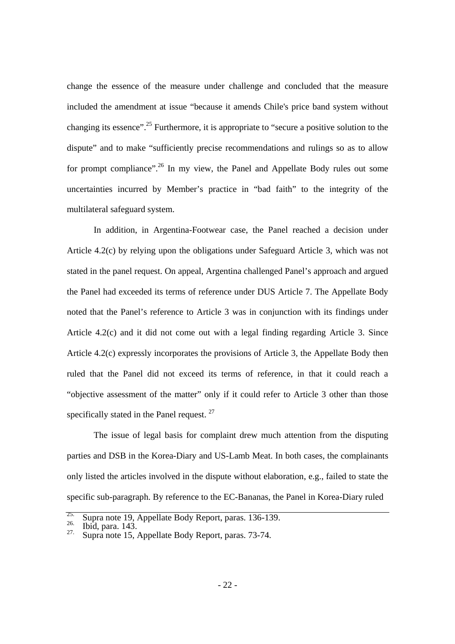change the essence of the measure under challenge and concluded that the measure included the amendment at issue "because it amends Chile's price band system without changing its essence".<sup>25</sup> Furthermore, it is appropriate to "secure a positive solution to the dispute" and to make "sufficiently precise recommendations and rulings so as to allow for prompt compliance". <sup>26</sup> In my view, the Panel and Appellate Body rules out some uncertainties incurred by Member's practice in "bad faith" to the integrity of the multilateral safeguard system.

 In addition, in Argentina-Footwear case, the Panel reached a decision under Article 4.2(c) by relying upon the obligations under Safeguard Article 3, which was not stated in the panel request. On appeal, Argentina challenged Panel's approach and argued the Panel had exceeded its terms of reference under DUS Article 7. The Appellate Body noted that the Panel's reference to Article 3 was in conjunction with its findings under Article 4.2(c) and it did not come out with a legal finding regarding Article 3. Since Article 4.2(c) expressly incorporates the provisions of Article 3, the Appellate Body then ruled that the Panel did not exceed its terms of reference, in that it could reach a "objective assessment of the matter" only if it could refer to Article 3 other than those specifically stated in the Panel request. <sup>27</sup>

The issue of legal basis for complaint drew much attention from the disputing parties and DSB in the Korea-Diary and US-Lamb Meat. In both cases, the complainants only listed the articles involved in the dispute without elaboration, e.g., failed to state the specific sub-paragraph. By reference to the EC-Bananas, the Panel in Korea-Diary ruled

<sup>&</sup>lt;sup>25.</sup> Supra note 19, Appellate Body Report, paras. 136-139.<br><sup>26.</sup> Ibid, para. 143. Supra note 15, Appellate Body Report, paras. 73-74.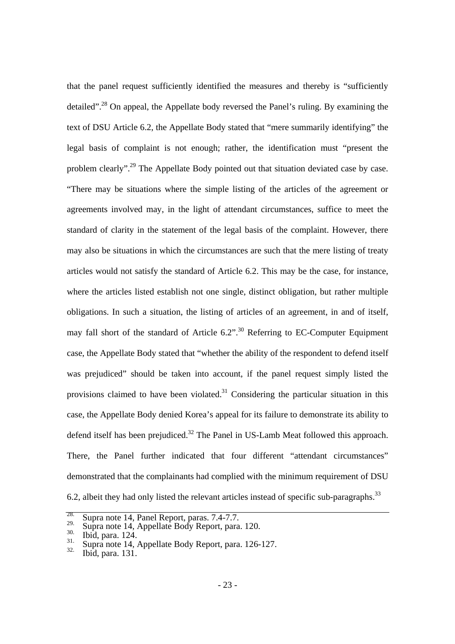that the panel request sufficiently identified the measures and thereby is "sufficiently detailed"<sup>28</sup> On appeal, the Appellate body reversed the Panel's ruling. By examining the text of DSU Article 6.2, the Appellate Body stated that "mere summarily identifying" the legal basis of complaint is not enough; rather, the identification must "present the problem clearly".<sup>29</sup> The Appellate Body pointed out that situation deviated case by case. "There may be situations where the simple listing of the articles of the agreement or agreements involved may, in the light of attendant circumstances, suffice to meet the standard of clarity in the statement of the legal basis of the complaint. However, there may also be situations in which the circumstances are such that the mere listing of treaty articles would not satisfy the standard of Article 6.2. This may be the case, for instance, where the articles listed establish not one single, distinct obligation, but rather multiple obligations. In such a situation, the listing of articles of an agreement, in and of itself, may fall short of the standard of Article 6.2".30 Referring to EC-Computer Equipment case, the Appellate Body stated that "whether the ability of the respondent to defend itself was prejudiced" should be taken into account, if the panel request simply listed the provisions claimed to have been violated.<sup>31</sup> Considering the particular situation in this case, the Appellate Body denied Korea's appeal for its failure to demonstrate its ability to defend itself has been prejudiced. $32$  The Panel in US-Lamb Meat followed this approach. There, the Panel further indicated that four different "attendant circumstances" demonstrated that the complainants had complied with the minimum requirement of DSU 6.2, albeit they had only listed the relevant articles instead of specific sub-paragraphs.<sup>33</sup>

<sup>&</sup>lt;sup>28.</sup> Supra note 14, Panel Report, paras. 7.4-7.7.<br><sup>29.</sup> Supra note 14, Appellate Body Report, para. 120.<br><sup>30.</sup> Ibid, para. 124. Supra note 14, Appellate Body Report, para. 126-127.<br><sup>32.</sup> Ibid, para. 131.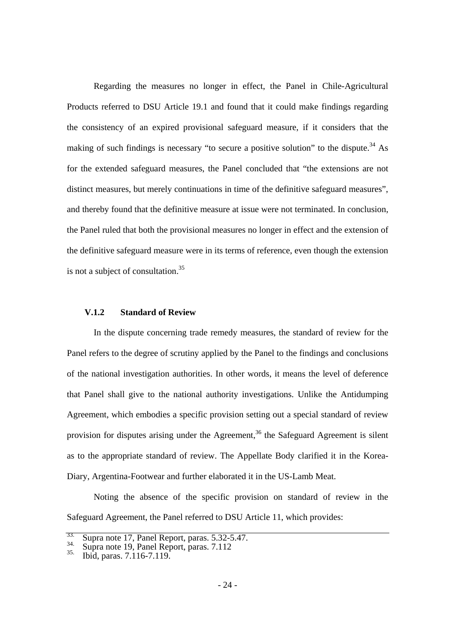Regarding the measures no longer in effect, the Panel in Chile-Agricultural Products referred to DSU Article 19.1 and found that it could make findings regarding the consistency of an expired provisional safeguard measure, if it considers that the making of such findings is necessary "to secure a positive solution" to the dispute.<sup>34</sup> As for the extended safeguard measures, the Panel concluded that "the extensions are not distinct measures, but merely continuations in time of the definitive safeguard measures", and thereby found that the definitive measure at issue were not terminated. In conclusion, the Panel ruled that both the provisional measures no longer in effect and the extension of the definitive safeguard measure were in its terms of reference, even though the extension is not a subject of consultation.<sup>35</sup>

#### **V.1.2 Standard of Review**

In the dispute concerning trade remedy measures, the standard of review for the Panel refers to the degree of scrutiny applied by the Panel to the findings and conclusions of the national investigation authorities. In other words, it means the level of deference that Panel shall give to the national authority investigations. Unlike the Antidumping Agreement, which embodies a specific provision setting out a special standard of review provision for disputes arising under the Agreement,<sup>36</sup> the Safeguard Agreement is silent as to the appropriate standard of review. The Appellate Body clarified it in the Korea-Diary, Argentina-Footwear and further elaborated it in the US-Lamb Meat.

Noting the absence of the specific provision on standard of review in the Safeguard Agreement, the Panel referred to DSU Article 11, which provides:

<sup>&</sup>lt;sup>33.</sup> Supra note 17, Panel Report, paras. 5.32-5.47.<br><sup>34.</sup> Supra note 19, Panel Report, paras. 7.112<br>Ibid, paras. 7.116-7.119.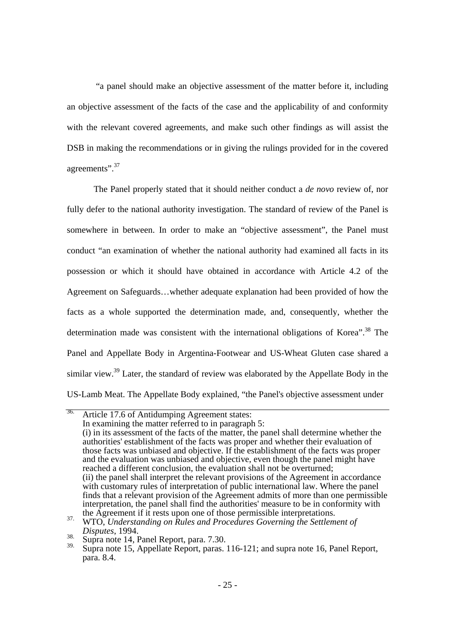"a panel should make an objective assessment of the matter before it, including an objective assessment of the facts of the case and the applicability of and conformity with the relevant covered agreements, and make such other findings as will assist the DSB in making the recommendations or in giving the rulings provided for in the covered agreements".37

The Panel properly stated that it should neither conduct a *de novo* review of, nor fully defer to the national authority investigation. The standard of review of the Panel is somewhere in between. In order to make an "objective assessment", the Panel must conduct "an examination of whether the national authority had examined all facts in its possession or which it should have obtained in accordance with Article 4.2 of the Agreement on Safeguards…whether adequate explanation had been provided of how the facts as a whole supported the determination made, and, consequently, whether the determination made was consistent with the international obligations of Korea".38 The Panel and Appellate Body in Argentina-Footwear and US-Wheat Gluten case shared a similar view.<sup>39</sup> Later, the standard of review was elaborated by the Appellate Body in the US-Lamb Meat. The Appellate Body explained, "the Panel's objective assessment under

Article 17.6 of Antidumping Agreement states:

In examining the matter referred to in paragraph 5: (i) in its assessment of the facts of the matter, the panel shall determine whether the authorities' establishment of the facts was proper and whether their evaluation of those facts was unbiased and objective. If the establishment of the facts was proper and the evaluation was unbiased and objective, even though the panel might have reached a different conclusion, the evaluation shall not be overturned; (ii) the panel shall interpret the relevant provisions of the Agreement in accordance with customary rules of interpretation of public international law. Where the panel finds that a relevant provision of the Agreement admits of more than one permissible interpretation, the panel shall find the authorities' measure to be in conformity with

the Agreement if it rests upon one of those permissible interpretations. 37. WTO, *Understanding on Rules and Procedures Governing the Settlement of* 

*Disputes*, 1994. 38. Supra note 14, Panel Report, para. 7.30. 39. Supra note 15, Appellate Report, paras. 116-121; and supra note 16, Panel Report, para. 8.4.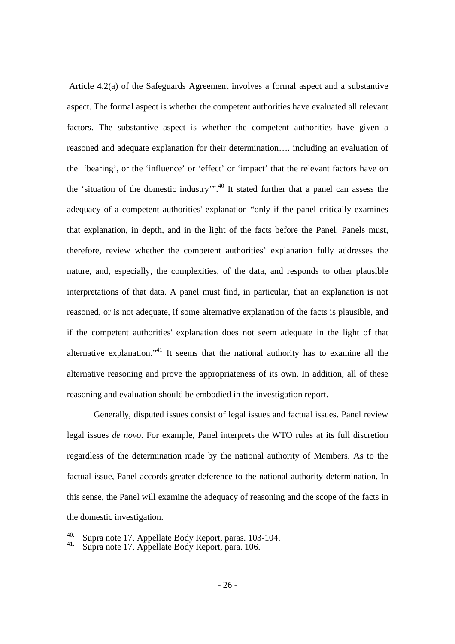Article 4.2(a) of the Safeguards Agreement involves a formal aspect and a substantive aspect. The formal aspect is whether the competent authorities have evaluated all relevant factors. The substantive aspect is whether the competent authorities have given a reasoned and adequate explanation for their determination…. including an evaluation of the 'bearing', or the 'influence' or 'effect' or 'impact' that the relevant factors have on the 'situation of the domestic industry'".<sup>40</sup> It stated further that a panel can assess the adequacy of a competent authorities' explanation "only if the panel critically examines that explanation, in depth, and in the light of the facts before the Panel. Panels must, therefore, review whether the competent authorities' explanation fully addresses the nature, and, especially, the complexities, of the data, and responds to other plausible interpretations of that data. A panel must find, in particular, that an explanation is not reasoned, or is not adequate, if some alternative explanation of the facts is plausible, and if the competent authorities' explanation does not seem adequate in the light of that alternative explanation."41 It seems that the national authority has to examine all the alternative reasoning and prove the appropriateness of its own. In addition, all of these reasoning and evaluation should be embodied in the investigation report.

Generally, disputed issues consist of legal issues and factual issues. Panel review legal issues *de novo*. For example, Panel interprets the WTO rules at its full discretion regardless of the determination made by the national authority of Members. As to the factual issue, Panel accords greater deference to the national authority determination. In this sense, the Panel will examine the adequacy of reasoning and the scope of the facts in the domestic investigation.

<sup>&</sup>lt;sup>40.</sup> Supra note 17, Appellate Body Report, paras. 103-104.<br><sup>41.</sup> Supra note 17, Appellate Body Report, para. 106.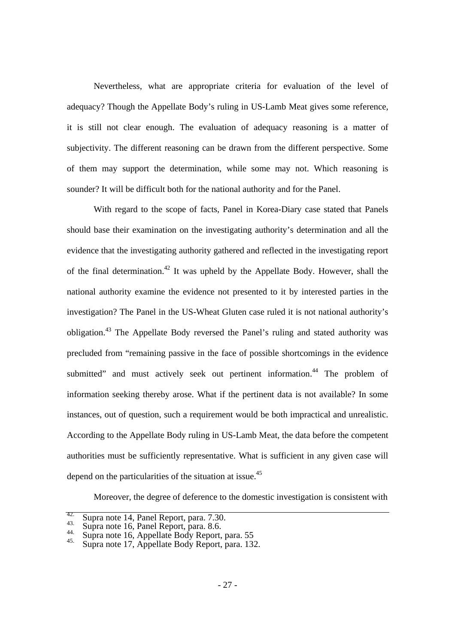Nevertheless, what are appropriate criteria for evaluation of the level of adequacy? Though the Appellate Body's ruling in US-Lamb Meat gives some reference, it is still not clear enough. The evaluation of adequacy reasoning is a matter of subjectivity. The different reasoning can be drawn from the different perspective. Some of them may support the determination, while some may not. Which reasoning is sounder? It will be difficult both for the national authority and for the Panel.

With regard to the scope of facts, Panel in Korea-Diary case stated that Panels should base their examination on the investigating authority's determination and all the evidence that the investigating authority gathered and reflected in the investigating report of the final determination.<sup>42</sup> It was upheld by the Appellate Body. However, shall the national authority examine the evidence not presented to it by interested parties in the investigation? The Panel in the US-Wheat Gluten case ruled it is not national authority's obligation.43 The Appellate Body reversed the Panel's ruling and stated authority was precluded from "remaining passive in the face of possible shortcomings in the evidence submitted" and must actively seek out pertinent information.<sup>44</sup> The problem of information seeking thereby arose. What if the pertinent data is not available? In some instances, out of question, such a requirement would be both impractical and unrealistic. According to the Appellate Body ruling in US-Lamb Meat, the data before the competent authorities must be sufficiently representative. What is sufficient in any given case will depend on the particularities of the situation at issue.<sup>45</sup>

Moreover, the degree of deference to the domestic investigation is consistent with

<sup>&</sup>lt;sup>42.</sup> Supra note 14, Panel Report, para. 7.30.<br><sup>44.</sup> Supra note 16, Panel Report, para. 8.6.<br> $\frac{44}{45}$ . Supra note 17, Appellate Body Report, para. 132.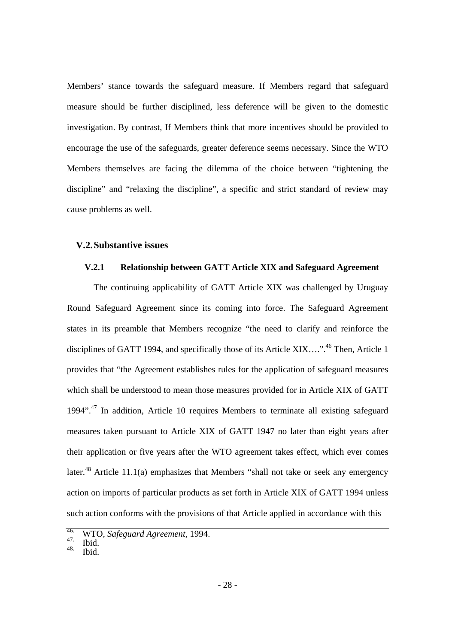Members' stance towards the safeguard measure. If Members regard that safeguard measure should be further disciplined, less deference will be given to the domestic investigation. By contrast, If Members think that more incentives should be provided to encourage the use of the safeguards, greater deference seems necessary. Since the WTO Members themselves are facing the dilemma of the choice between "tightening the discipline" and "relaxing the discipline", a specific and strict standard of review may cause problems as well.

#### **V.2. Substantive issues**

#### **V.2.1 Relationship between GATT Article XIX and Safeguard Agreement**

The continuing applicability of GATT Article XIX was challenged by Uruguay Round Safeguard Agreement since its coming into force. The Safeguard Agreement states in its preamble that Members recognize "the need to clarify and reinforce the disciplines of GATT 1994, and specifically those of its Article XIX....".<sup>46</sup> Then, Article 1 provides that "the Agreement establishes rules for the application of safeguard measures which shall be understood to mean those measures provided for in Article XIX of GATT 1994".<sup>47</sup> In addition, Article 10 requires Members to terminate all existing safeguard measures taken pursuant to Article XIX of GATT 1947 no later than eight years after their application or five years after the WTO agreement takes effect, which ever comes later.<sup>48</sup> Article 11.1(a) emphasizes that Members "shall not take or seek any emergency action on imports of particular products as set forth in Article XIX of GATT 1994 unless such action conforms with the provisions of that Article applied in accordance with this

<sup>46.</sup> WTO, *Safeguard Agreement*, 1994. 47. Ibid.

Ibid.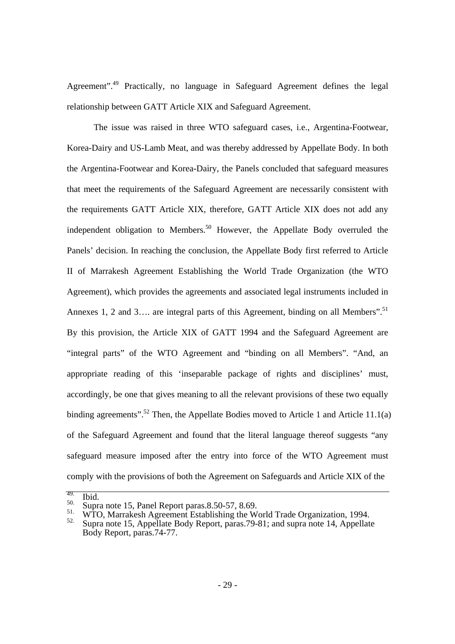Agreement".<sup>49</sup> Practically, no language in Safeguard Agreement defines the legal relationship between GATT Article XIX and Safeguard Agreement.

The issue was raised in three WTO safeguard cases, i.e., Argentina-Footwear, Korea-Dairy and US-Lamb Meat, and was thereby addressed by Appellate Body. In both the Argentina-Footwear and Korea-Dairy, the Panels concluded that safeguard measures that meet the requirements of the Safeguard Agreement are necessarily consistent with the requirements GATT Article XIX, therefore, GATT Article XIX does not add any independent obligation to Members.<sup>50</sup> However, the Appellate Body overruled the Panels' decision. In reaching the conclusion, the Appellate Body first referred to Article II of Marrakesh Agreement Establishing the World Trade Organization (the WTO Agreement), which provides the agreements and associated legal instruments included in Annexes 1, 2 and 3... are integral parts of this Agreement, binding on all Members".<sup>51</sup> By this provision, the Article XIX of GATT 1994 and the Safeguard Agreement are "integral parts" of the WTO Agreement and "binding on all Members". "And, an appropriate reading of this 'inseparable package of rights and disciplines' must, accordingly, be one that gives meaning to all the relevant provisions of these two equally binding agreements".<sup>52</sup> Then, the Appellate Bodies moved to Article 1 and Article 11.1(a) of the Safeguard Agreement and found that the literal language thereof suggests "any safeguard measure imposed after the entry into force of the WTO Agreement must comply with the provisions of both the Agreement on Safeguards and Article XIX of the

<sup>&</sup>lt;sup>49.</sup> Ibid.<br>50. Supra note 15, Panel Report paras. 8.50–57, 8.69.

<sup>&</sup>lt;sup>51.</sup> WTO, Marrakesh Agreement Establishing the World Trade Organization, 1994.<br><sup>52.</sup> Supra note 15, Appellate Body Report, paras.79-81; and supra note 14, Appellate Body Report, paras.74-77.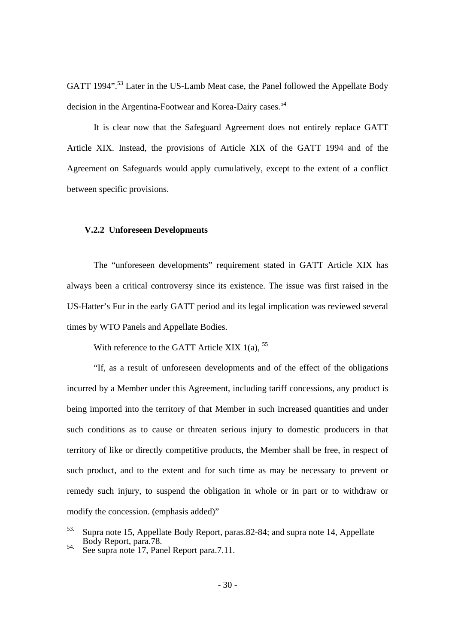GATT 1994".<sup>53</sup> Later in the US-Lamb Meat case, the Panel followed the Appellate Body decision in the Argentina-Footwear and Korea-Dairy cases.<sup>54</sup>

It is clear now that the Safeguard Agreement does not entirely replace GATT Article XIX. Instead, the provisions of Article XIX of the GATT 1994 and of the Agreement on Safeguards would apply cumulatively, except to the extent of a conflict between specific provisions.

#### **V.2.2 Unforeseen Developments**

The "unforeseen developments" requirement stated in GATT Article XIX has always been a critical controversy since its existence. The issue was first raised in the US-Hatter's Fur in the early GATT period and its legal implication was reviewed several times by WTO Panels and Appellate Bodies.

With reference to the GATT Article XIX  $1(a)$ , <sup>55</sup>

"If, as a result of unforeseen developments and of the effect of the obligations incurred by a Member under this Agreement, including tariff concessions, any product is being imported into the territory of that Member in such increased quantities and under such conditions as to cause or threaten serious injury to domestic producers in that territory of like or directly competitive products, the Member shall be free, in respect of such product, and to the extent and for such time as may be necessary to prevent or remedy such injury, to suspend the obligation in whole or in part or to withdraw or modify the concession. (emphasis added)"

<sup>&</sup>lt;sup>53</sup>. Supra note 15, Appellate Body Report, paras.82-84; and supra note 14, Appellate Body Report, para.78.

 $54.$  See supra note 17, Panel Report para.7.11.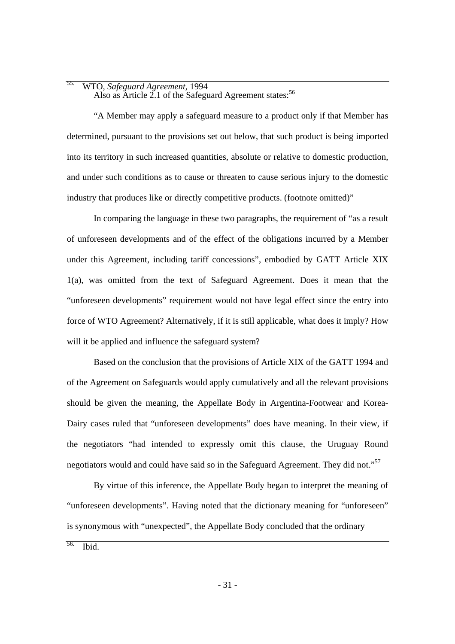55. WTO, *Safeguard Agreement,* 1994 Also as Article 2.1 of the Safeguard Agreement states:<sup>56</sup>

"A Member may apply a safeguard measure to a product only if that Member has determined, pursuant to the provisions set out below, that such product is being imported into its territory in such increased quantities, absolute or relative to domestic production, and under such conditions as to cause or threaten to cause serious injury to the domestic industry that produces like or directly competitive products. (footnote omitted)"

In comparing the language in these two paragraphs, the requirement of "as a result of unforeseen developments and of the effect of the obligations incurred by a Member under this Agreement, including tariff concessions", embodied by GATT Article XIX 1(a), was omitted from the text of Safeguard Agreement. Does it mean that the "unforeseen developments" requirement would not have legal effect since the entry into force of WTO Agreement? Alternatively, if it is still applicable, what does it imply? How will it be applied and influence the safeguard system?

Based on the conclusion that the provisions of Article XIX of the GATT 1994 and of the Agreement on Safeguards would apply cumulatively and all the relevant provisions should be given the meaning, the Appellate Body in Argentina-Footwear and Korea-Dairy cases ruled that "unforeseen developments" does have meaning. In their view, if the negotiators "had intended to expressly omit this clause, the Uruguay Round negotiators would and could have said so in the Safeguard Agreement. They did not."<sup>57</sup>

By virtue of this inference, the Appellate Body began to interpret the meaning of "unforeseen developments". Having noted that the dictionary meaning for "unforeseen" is synonymous with "unexpected", the Appellate Body concluded that the ordinary

56. Ibid.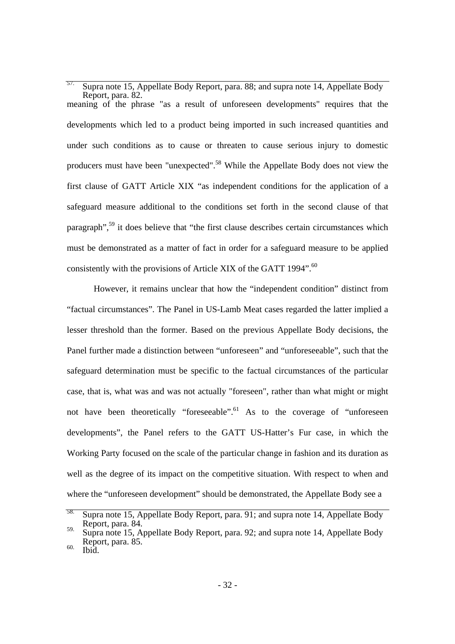Supra note 15, Appellate Body Report, para. 88; and supra note 14, Appellate Body Report, para. 82. meaning of the phrase "as a result of unforeseen developments" requires that the developments which led to a product being imported in such increased quantities and under such conditions as to cause or threaten to cause serious injury to domestic producers must have been "unexpected".58 While the Appellate Body does not view the first clause of GATT Article XIX "as independent conditions for the application of a safeguard measure additional to the conditions set forth in the second clause of that paragraph",<sup>59</sup> it does believe that "the first clause describes certain circumstances which must be demonstrated as a matter of fact in order for a safeguard measure to be applied consistently with the provisions of Article XIX of the GATT 1994 $\cdot$ <sup>60</sup>.

However, it remains unclear that how the "independent condition" distinct from "factual circumstances". The Panel in US-Lamb Meat cases regarded the latter implied a lesser threshold than the former. Based on the previous Appellate Body decisions, the Panel further made a distinction between "unforeseen" and "unforeseeable", such that the safeguard determination must be specific to the factual circumstances of the particular case, that is, what was and was not actually "foreseen", rather than what might or might not have been theoretically "foreseeable".<sup>61</sup> As to the coverage of "unforeseen" developments", the Panel refers to the GATT US-Hatter's Fur case, in which the Working Party focused on the scale of the particular change in fashion and its duration as well as the degree of its impact on the competitive situation. With respect to when and where the "unforeseen development" should be demonstrated, the Appellate Body see a

<sup>&</sup>lt;sup>58.</sup> Supra note 15, Appellate Body Report, para. 91; and supra note 14, Appellate Body Report, para. 84.

<sup>&</sup>lt;sup>59.</sup> Supra note 15, Appellate Body Report, para. 92; and supra note 14, Appellate Body Report, para. 85. 60. Ibid.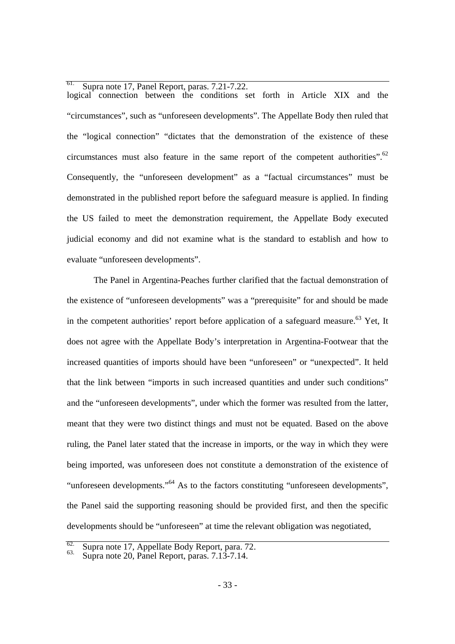<sup>61.</sup> Supra note 17, Panel Report, paras. 7.21-7.22. logical connection between the conditions set forth in Article XIX and the "circumstances", such as "unforeseen developments". The Appellate Body then ruled that the "logical connection" "dictates that the demonstration of the existence of these circumstances must also feature in the same report of the competent authorities". $62$ Consequently, the "unforeseen development" as a "factual circumstances" must be demonstrated in the published report before the safeguard measure is applied. In finding the US failed to meet the demonstration requirement, the Appellate Body executed judicial economy and did not examine what is the standard to establish and how to evaluate "unforeseen developments".

The Panel in Argentina-Peaches further clarified that the factual demonstration of the existence of "unforeseen developments" was a "prerequisite" for and should be made in the competent authorities' report before application of a safeguard measure. $63$  Yet, It does not agree with the Appellate Body's interpretation in Argentina-Footwear that the increased quantities of imports should have been "unforeseen" or "unexpected". It held that the link between "imports in such increased quantities and under such conditions" and the "unforeseen developments", under which the former was resulted from the latter, meant that they were two distinct things and must not be equated. Based on the above ruling, the Panel later stated that the increase in imports, or the way in which they were being imported, was unforeseen does not constitute a demonstration of the existence of "unforeseen developments."64 As to the factors constituting "unforeseen developments", the Panel said the supporting reasoning should be provided first, and then the specific developments should be "unforeseen" at time the relevant obligation was negotiated,

 $\frac{62}{63}$ . Supra note 17, Appellate Body Report, para. 72. Supra note 20, Panel Report, paras. 7.13-7.14.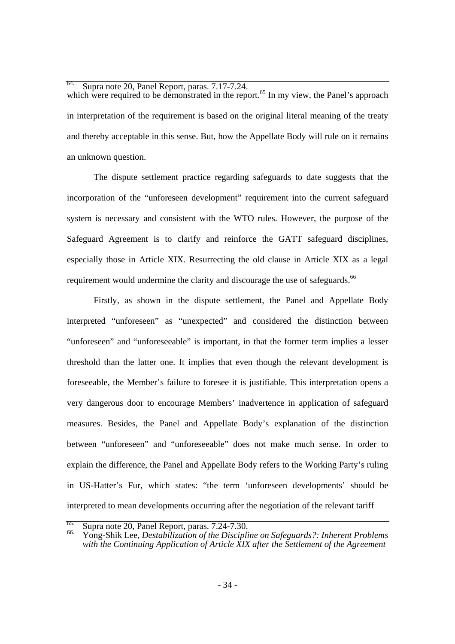Supra note 20, Panel Report, paras. 7.17-7.24. which were required to be demonstrated in the report.<sup>65</sup> In my view, the Panel's approach in interpretation of the requirement is based on the original literal meaning of the treaty and thereby acceptable in this sense. But, how the Appellate Body will rule on it remains an unknown question.

The dispute settlement practice regarding safeguards to date suggests that the incorporation of the "unforeseen development" requirement into the current safeguard system is necessary and consistent with the WTO rules. However, the purpose of the Safeguard Agreement is to clarify and reinforce the GATT safeguard disciplines, especially those in Article XIX. Resurrecting the old clause in Article XIX as a legal requirement would undermine the clarity and discourage the use of safeguards.<sup>66</sup>

Firstly, as shown in the dispute settlement, the Panel and Appellate Body interpreted "unforeseen" as "unexpected" and considered the distinction between "unforeseen" and "unforeseeable" is important, in that the former term implies a lesser threshold than the latter one. It implies that even though the relevant development is foreseeable, the Member's failure to foresee it is justifiable. This interpretation opens a very dangerous door to encourage Members' inadvertence in application of safeguard measures. Besides, the Panel and Appellate Body's explanation of the distinction between "unforeseen" and "unforeseeable" does not make much sense. In order to explain the difference, the Panel and Appellate Body refers to the Working Party's ruling in US-Hatter's Fur, which states: "the term 'unforeseen developments' should be interpreted to mean developments occurring after the negotiation of the relevant tariff

<sup>65.</sup> Supra note 20, Panel Report, paras. 7.24-7.30. 66. Yong-Shik Lee, *Destabilization of the Discipline on Safeguards?: Inherent Problems*  with the Continuing Application of Article XIX after the Settlement of the Agreement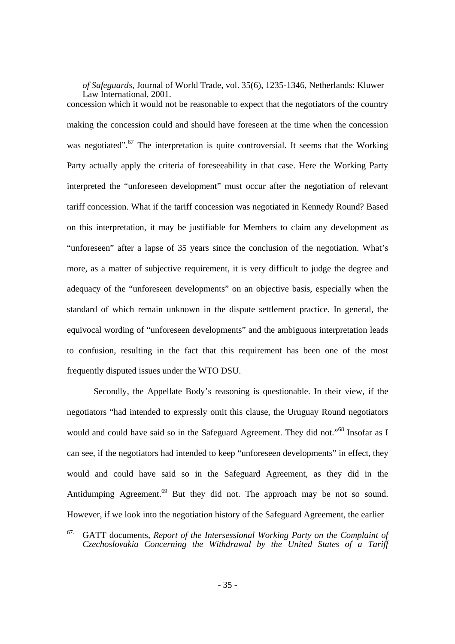*of Safeguards,* Journal of World Trade, vol. 35(6), 1235-1346, Netherlands: Kluwer Law International, 2001. concession which it would not be reasonable to expect that the negotiators of the country making the concession could and should have foreseen at the time when the concession was negotiated". $67$  The interpretation is quite controversial. It seems that the Working Party actually apply the criteria of foreseeability in that case. Here the Working Party interpreted the "unforeseen development" must occur after the negotiation of relevant tariff concession. What if the tariff concession was negotiated in Kennedy Round? Based on this interpretation, it may be justifiable for Members to claim any development as "unforeseen" after a lapse of 35 years since the conclusion of the negotiation. What's more, as a matter of subjective requirement, it is very difficult to judge the degree and adequacy of the "unforeseen developments" on an objective basis, especially when the standard of which remain unknown in the dispute settlement practice. In general, the equivocal wording of "unforeseen developments" and the ambiguous interpretation leads to confusion, resulting in the fact that this requirement has been one of the most frequently disputed issues under the WTO DSU.

Secondly, the Appellate Body's reasoning is questionable. In their view, if the negotiators "had intended to expressly omit this clause, the Uruguay Round negotiators would and could have said so in the Safeguard Agreement. They did not."<sup>68</sup> Insofar as I can see, if the negotiators had intended to keep "unforeseen developments" in effect, they would and could have said so in the Safeguard Agreement, as they did in the Antidumping Agreement.<sup>69</sup> But they did not. The approach may be not so sound. However, if we look into the negotiation history of the Safeguard Agreement, the earlier

<sup>67.</sup> GATT documents, *Report of the Intersessional Working Party on the Complaint of Czechoslovakia Concerning the Withdrawal by the United States of a Tariff*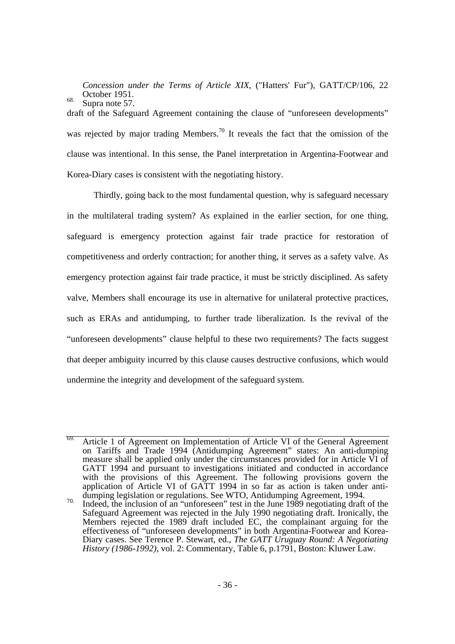*Concession under the Terms of Article XIX*, ("Hatters' Fur"), GATT/CP/106, 22 October 1951.  $68.$  Supra note 57.

draft of the Safeguard Agreement containing the clause of "unforeseen developments" was rejected by major trading Members.<sup>70</sup> It reveals the fact that the omission of the clause was intentional. In this sense, the Panel interpretation in Argentina-Footwear and Korea-Diary cases is consistent with the negotiating history.

Thirdly, going back to the most fundamental question, why is safeguard necessary in the multilateral trading system? As explained in the earlier section, for one thing, safeguard is emergency protection against fair trade practice for restoration of competitiveness and orderly contraction; for another thing, it serves as a safety valve. As emergency protection against fair trade practice, it must be strictly disciplined. As safety valve, Members shall encourage its use in alternative for unilateral protective practices, such as ERAs and antidumping, to further trade liberalization. Is the revival of the "unforeseen developments" clause helpful to these two requirements? The facts suggest that deeper ambiguity incurred by this clause causes destructive confusions, which would undermine the integrity and development of the safeguard system.

Article 1 of Agreement on Implementation of Article VI of the General Agreement on Tariffs and Trade 1994 (Antidumping Agreement" states: An anti-dumping measure shall be applied only under the circumstances provided for in Article VI of GATT 1994 and pursuant to investigations initiated and conducted in accordance with the provisions of this Agreement. The following provisions govern the application of Article VI of GATT 1994 in so far as action is taken under anti-<br>dumping legislation or regulations. See WTO, Antidumping Agreement, 1994.

 $\frac{1}{20}$ . Indeed, the inclusion of an "unforeseen" test in the June 1989 negotiating draft of the Safeguard Agreement was rejected in the July 1990 negotiating draft. Ironically, the Members rejected the 1989 draft included EC, the complainant arguing for the effectiveness of "unforeseen developments" in both Argentina-Footwear and Korea-Diary cases. See Terence P. Stewart, ed., *The GATT Uruguay Round: A Negotiating History (1986-1992)*, vol. 2: Commentary, Table 6, p.1791, Boston: Kluwer Law.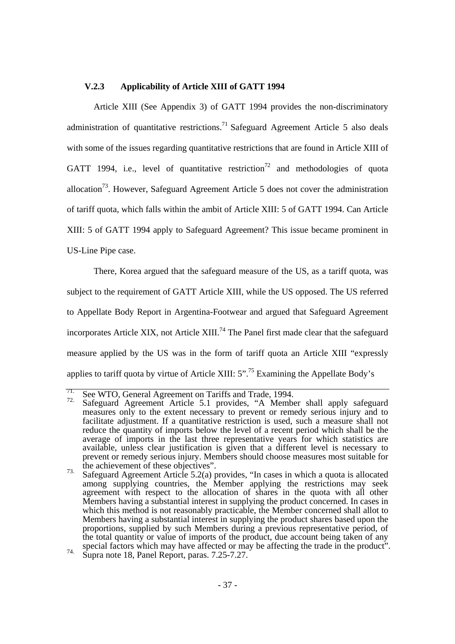#### **V.2.3 Applicability of Article XIII of GATT 1994**

Article XIII (See Appendix 3) of GATT 1994 provides the non-discriminatory administration of quantitative restrictions.<sup>71</sup> Safeguard Agreement Article 5 also deals with some of the issues regarding quantitative restrictions that are found in Article XIII of GATT 1994, i.e., level of quantitative restriction<sup>72</sup> and methodologies of quota allocation<sup>73</sup>. However, Safeguard Agreement Article 5 does not cover the administration of tariff quota, which falls within the ambit of Article XIII: 5 of GATT 1994. Can Article XIII: 5 of GATT 1994 apply to Safeguard Agreement? This issue became prominent in US-Line Pipe case.

There, Korea argued that the safeguard measure of the US, as a tariff quota, was subject to the requirement of GATT Article XIII, while the US opposed. The US referred to Appellate Body Report in Argentina-Footwear and argued that Safeguard Agreement incorporates Article XIX, not Article XIII.<sup>74</sup> The Panel first made clear that the safeguard measure applied by the US was in the form of tariff quota an Article XIII "expressly applies to tariff quota by virtue of Article XIII:  $5$ ".<sup>75</sup> Examining the Appellate Body's

<sup>&</sup>lt;sup>71.</sup> See WTO, General Agreement on Tariffs and Trade, 1994.<br><sup>72.</sup> Safeguard Agreement Article 5.1 provides, "A Member shall apply safeguard measures only to the extent necessary to prevent or remedy serious injury and to facilitate adjustment. If a quantitative restriction is used, such a measure shall not reduce the quantity of imports below the level of a recent period which shall be the average of imports in the last three representative years for which statistics are available, unless clear justification is given that a different level is necessary to prevent or remedy serious injury. Members should choose measures most suitable for

 $173.$  Safeguard Agreement Article 5.2(a) provides, "In cases in which a quota is allocated among supplying countries, the Member applying the restrictions may seek agreement with respect to the allocation of shares in the quota with all other Members having a substantial interest in supplying the product concerned. In cases in which this method is not reasonably practicable, the Member concerned shall allot to Members having a substantial interest in supplying the product shares based upon the proportions, supplied by such Members during a previous representative period, of the total quantity or value of imports of the product, due account being taken of any special factors which may have affected or may be affecting the trade in the product".<br>Supra note 18, Panel Report, paras. 7.25-7.27.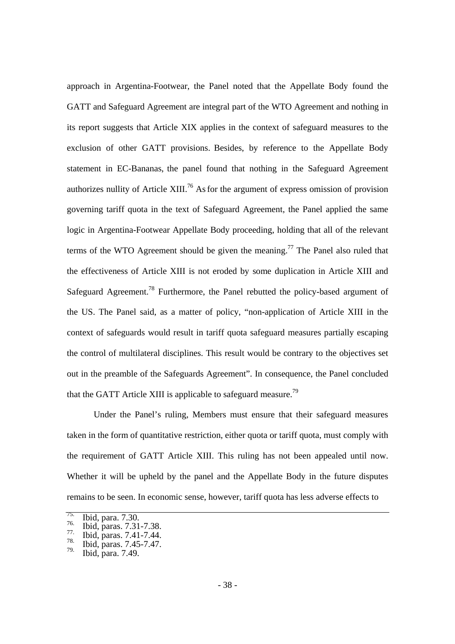approach in Argentina-Footwear, the Panel noted that the Appellate Body found the GATT and Safeguard Agreement are integral part of the WTO Agreement and nothing in its report suggests that Article XIX applies in the context of safeguard measures to the exclusion of other GATT provisions. Besides, by reference to the Appellate Body statement in EC-Bananas, the panel found that nothing in the Safeguard Agreement authorizes nullity of Article XIII.<sup>76</sup> As for the argument of express omission of provision governing tariff quota in the text of Safeguard Agreement, the Panel applied the same logic in Argentina-Footwear Appellate Body proceeding, holding that all of the relevant terms of the WTO Agreement should be given the meaning.<sup>77</sup> The Panel also ruled that the effectiveness of Article XIII is not eroded by some duplication in Article XIII and Safeguard Agreement.<sup>78</sup> Furthermore, the Panel rebutted the policy-based argument of the US. The Panel said, as a matter of policy, "non-application of Article XIII in the context of safeguards would result in tariff quota safeguard measures partially escaping the control of multilateral disciplines. This result would be contrary to the objectives set out in the preamble of the Safeguards Agreement". In consequence, the Panel concluded that the GATT Article XIII is applicable to safeguard measure.<sup>79</sup>

Under the Panel's ruling, Members must ensure that their safeguard measures taken in the form of quantitative restriction, either quota or tariff quota, must comply with the requirement of GATT Article XIII. This ruling has not been appealed until now. Whether it will be upheld by the panel and the Appellate Body in the future disputes remains to be seen. In economic sense, however, tariff quota has less adverse effects to

<sup>75.</sup> Ibid, para. 7.30.<br>
76. Ibid, paras. 7.31-7.38.<br>
77. Ibid, paras. 7.41-7.44.<br>
79. Ibid, para. 7.49.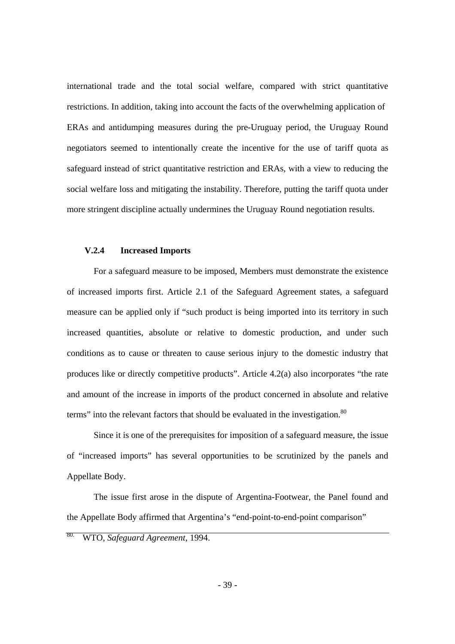international trade and the total social welfare, compared with strict quantitative restrictions. In addition, taking into account the facts of the overwhelming application of ERAs and antidumping measures during the pre-Uruguay period, the Uruguay Round negotiators seemed to intentionally create the incentive for the use of tariff quota as safeguard instead of strict quantitative restriction and ERAs, with a view to reducing the social welfare loss and mitigating the instability. Therefore, putting the tariff quota under more stringent discipline actually undermines the Uruguay Round negotiation results.

## **V.2.4 Increased Imports**

For a safeguard measure to be imposed, Members must demonstrate the existence of increased imports first. Article 2.1 of the Safeguard Agreement states, a safeguard measure can be applied only if "such product is being imported into its territory in such increased quantities, absolute or relative to domestic production, and under such conditions as to cause or threaten to cause serious injury to the domestic industry that produces like or directly competitive products". Article 4.2(a) also incorporates "the rate and amount of the increase in imports of the product concerned in absolute and relative terms" into the relevant factors that should be evaluated in the investigation.<sup>80</sup>

Since it is one of the prerequisites for imposition of a safeguard measure, the issue of "increased imports" has several opportunities to be scrutinized by the panels and Appellate Body.

The issue first arose in the dispute of Argentina-Footwear, the Panel found and the Appellate Body affirmed that Argentina's "end-point-to-end-point comparison"

<sup>80.</sup> WTO, *Safeguard Agreement*, 1994.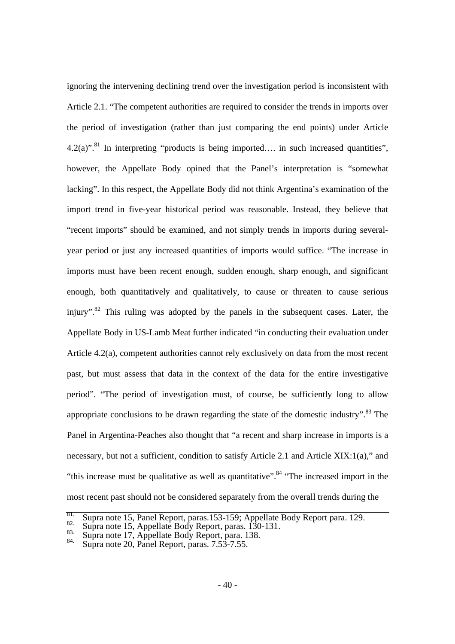ignoring the intervening declining trend over the investigation period is inconsistent with Article 2.1. "The competent authorities are required to consider the trends in imports over the period of investigation (rather than just comparing the end points) under Article  $4.2(a)$ <sup>".81</sup> In interpreting "products is being imported.... in such increased quantities", however, the Appellate Body opined that the Panel's interpretation is "somewhat lacking". In this respect, the Appellate Body did not think Argentina's examination of the import trend in five-year historical period was reasonable. Instead, they believe that "recent imports" should be examined, and not simply trends in imports during severalyear period or just any increased quantities of imports would suffice. "The increase in imports must have been recent enough, sudden enough, sharp enough, and significant enough, both quantitatively and qualitatively, to cause or threaten to cause serious injury".82 This ruling was adopted by the panels in the subsequent cases. Later, the Appellate Body in US-Lamb Meat further indicated "in conducting their evaluation under Article 4.2(a), competent authorities cannot rely exclusively on data from the most recent past, but must assess that data in the context of the data for the entire investigative period". "The period of investigation must, of course, be sufficiently long to allow appropriate conclusions to be drawn regarding the state of the domestic industry".<sup>83</sup> The Panel in Argentina-Peaches also thought that "a recent and sharp increase in imports is a necessary, but not a sufficient, condition to satisfy Article 2.1 and Article XIX:1(a)," and "this increase must be qualitative as well as quantitative".<sup>84</sup> "The increased import in the most recent past should not be considered separately from the overall trends during the

<sup>&</sup>lt;sup>81.</sup> Supra note 15, Panel Report, paras.153-159; Appellate Body Report para. 129.<br>
<sup>82</sup>. Supra note 15, Appellate Body Report, paras. 130-131.<br>
<sup>83</sup>. Supra note 17, Appellate Body Report, para. 138.<br>
Supra note 20, Panel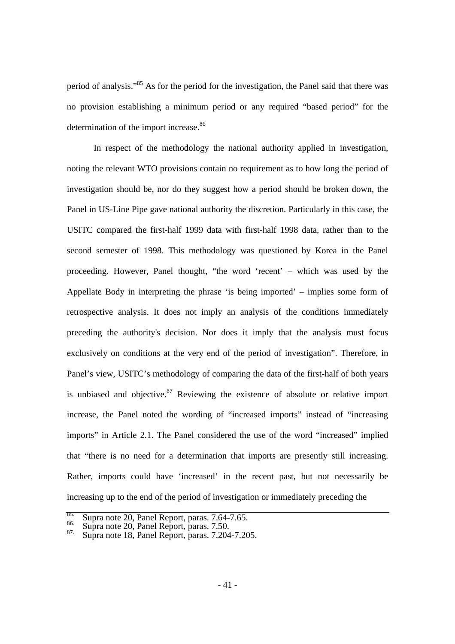period of analysis."85 As for the period for the investigation, the Panel said that there was no provision establishing a minimum period or any required "based period" for the determination of the import increase.<sup>86</sup>

In respect of the methodology the national authority applied in investigation, noting the relevant WTO provisions contain no requirement as to how long the period of investigation should be, nor do they suggest how a period should be broken down, the Panel in US-Line Pipe gave national authority the discretion. Particularly in this case, the USITC compared the first-half 1999 data with first-half 1998 data, rather than to the second semester of 1998. This methodology was questioned by Korea in the Panel proceeding. However, Panel thought, "the word 'recent' – which was used by the Appellate Body in interpreting the phrase 'is being imported' – implies some form of retrospective analysis. It does not imply an analysis of the conditions immediately preceding the authority's decision. Nor does it imply that the analysis must focus exclusively on conditions at the very end of the period of investigation". Therefore, in Panel's view, USITC's methodology of comparing the data of the first-half of both years is unbiased and objective. $87$  Reviewing the existence of absolute or relative import increase, the Panel noted the wording of "increased imports" instead of "increasing imports" in Article 2.1. The Panel considered the use of the word "increased" implied that "there is no need for a determination that imports are presently still increasing. Rather, imports could have 'increased' in the recent past, but not necessarily be increasing up to the end of the period of investigation or immediately preceding the

<sup>&</sup>lt;sup>85.</sup> Supra note 20, Panel Report, paras. 7.64-7.65.<br><sup>86.</sup> Supra note 20, Panel Report, paras. 7.50.<br>87. Supra note 18, Panel Report, paras. 7.204-7.205.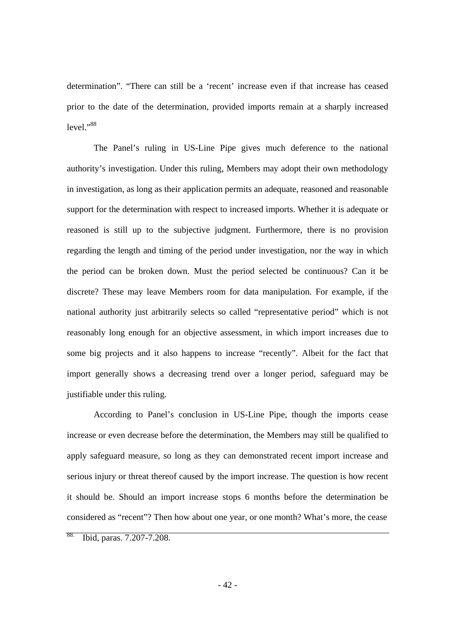determination". "There can still be a 'recent' increase even if that increase has ceased prior to the date of the determination, provided imports remain at a sharply increased  $level$  $"$ <sup>88</sup>

The Panel's ruling in US-Line Pipe gives much deference to the national authority's investigation. Under this ruling, Members may adopt their own methodology in investigation, as long as their application permits an adequate, reasoned and reasonable support for the determination with respect to increased imports. Whether it is adequate or reasoned is still up to the subjective judgment. Furthermore, there is no provision regarding the length and timing of the period under investigation, nor the way in which the period can be broken down. Must the period selected be continuous? Can it be discrete? These may leave Members room for data manipulation. For example, if the national authority just arbitrarily selects so called "representative period" which is not reasonably long enough for an objective assessment, in which import increases due to some big projects and it also happens to increase "recently". Albeit for the fact that import generally shows a decreasing trend over a longer period, safeguard may be justifiable under this ruling.

According to Panel's conclusion in US-Line Pipe, though the imports cease increase or even decrease before the determination, the Members may still be qualified to apply safeguard measure, so long as they can demonstrated recent import increase and serious injury or threat thereof caused by the import increase. The question is how recent it should be. Should an import increase stops 6 months before the determination be considered as "recent"? Then how about one year, or one month? What's more, the cease

<sup>88.</sup> Ibid, paras. 7.207-7.208.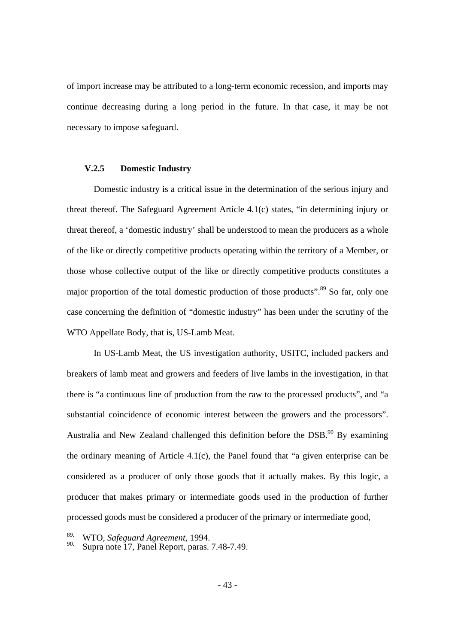of import increase may be attributed to a long-term economic recession, and imports may continue decreasing during a long period in the future. In that case, it may be not necessary to impose safeguard.

#### **V.2.5 Domestic Industry**

Domestic industry is a critical issue in the determination of the serious injury and threat thereof. The Safeguard Agreement Article 4.1(c) states, "in determining injury or threat thereof, a 'domestic industry' shall be understood to mean the producers as a whole of the like or directly competitive products operating within the territory of a Member, or those whose collective output of the like or directly competitive products constitutes a major proportion of the total domestic production of those products".<sup>89</sup> So far, only one case concerning the definition of "domestic industry" has been under the scrutiny of the WTO Appellate Body, that is, US-Lamb Meat.

In US-Lamb Meat, the US investigation authority, USITC, included packers and breakers of lamb meat and growers and feeders of live lambs in the investigation, in that there is "a continuous line of production from the raw to the processed products", and "a substantial coincidence of economic interest between the growers and the processors". Australia and New Zealand challenged this definition before the DSB.<sup>90</sup> By examining the ordinary meaning of Article 4.1(c), the Panel found that "a given enterprise can be considered as a producer of only those goods that it actually makes. By this logic, a producer that makes primary or intermediate goods used in the production of further processed goods must be considered a producer of the primary or intermediate good,

<sup>&</sup>lt;sup>89.</sup> WTO, *Safeguard Agreement*, 1994.<br><sup>90.</sup> Supra note 17, Panel Report, paras. 7.48-7.49.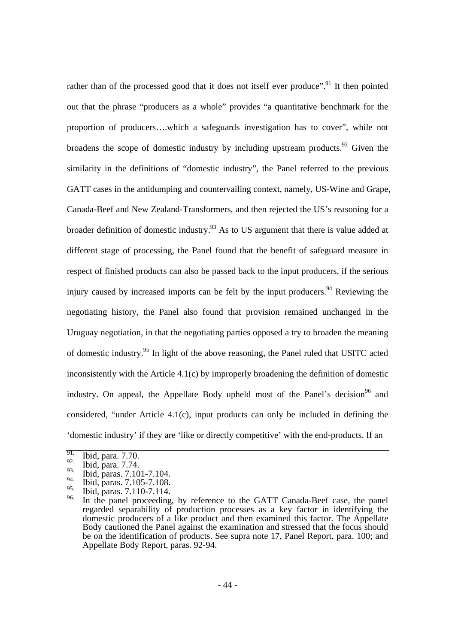rather than of the processed good that it does not itself ever produce".<sup>91</sup> It then pointed out that the phrase "producers as a whole" provides "a quantitative benchmark for the proportion of producers….which a safeguards investigation has to cover", while not broadens the scope of domestic industry by including upstream products.<sup>92</sup> Given the similarity in the definitions of "domestic industry", the Panel referred to the previous GATT cases in the antidumping and countervailing context, namely, US-Wine and Grape, Canada-Beef and New Zealand-Transformers, and then rejected the US's reasoning for a broader definition of domestic industry.<sup>93</sup> As to US argument that there is value added at different stage of processing, the Panel found that the benefit of safeguard measure in respect of finished products can also be passed back to the input producers, if the serious injury caused by increased imports can be felt by the input producers.  $94$  Reviewing the negotiating history, the Panel also found that provision remained unchanged in the Uruguay negotiation, in that the negotiating parties opposed a try to broaden the meaning of domestic industry.95 In light of the above reasoning, the Panel ruled that USITC acted inconsistently with the Article 4.1(c) by improperly broadening the definition of domestic industry. On appeal, the Appellate Body upheld most of the Panel's decision<sup>96</sup> and considered, "under Article 4.1(c), input products can only be included in defining the 'domestic industry' if they are 'like or directly competitive' with the end-products. If an

<sup>91.</sup> Ibid, para. 7.70.<br>
92. Ibid, para. 7.74.<br>
93. Ibid, paras. 7.101-7.104.<br>
95. Ibid, paras. 7.110-7.114.<br>
96. In the panel proceeding, by reference to the GATT Canada-Beef case, the panel regarded separability of production processes as a key factor in identifying the domestic producers of a like product and then examined this factor. The Appellate Body cautioned the Panel against the examination and stressed that the focus should be on the identification of products. See supra note 17, Panel Report, para. 100; and Appellate Body Report, paras. 92-94.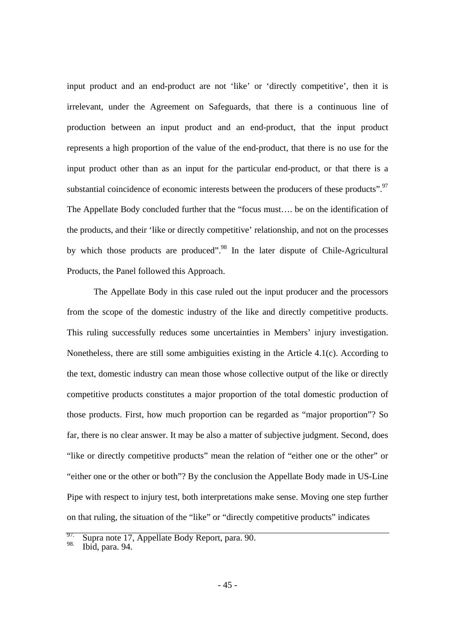input product and an end-product are not 'like' or 'directly competitive', then it is irrelevant, under the Agreement on Safeguards, that there is a continuous line of production between an input product and an end-product, that the input product represents a high proportion of the value of the end-product, that there is no use for the input product other than as an input for the particular end-product, or that there is a substantial coincidence of economic interests between the producers of these products".<sup>97</sup> The Appellate Body concluded further that the "focus must…. be on the identification of the products, and their 'like or directly competitive' relationship, and not on the processes by which those products are produced".<sup>98</sup> In the later dispute of Chile-Agricultural Products, the Panel followed this Approach.

The Appellate Body in this case ruled out the input producer and the processors from the scope of the domestic industry of the like and directly competitive products. This ruling successfully reduces some uncertainties in Members' injury investigation. Nonetheless, there are still some ambiguities existing in the Article 4.1(c). According to the text, domestic industry can mean those whose collective output of the like or directly competitive products constitutes a major proportion of the total domestic production of those products. First, how much proportion can be regarded as "major proportion"? So far, there is no clear answer. It may be also a matter of subjective judgment. Second, does "like or directly competitive products" mean the relation of "either one or the other" or "either one or the other or both"? By the conclusion the Appellate Body made in US-Line Pipe with respect to injury test, both interpretations make sense. Moving one step further on that ruling, the situation of the "like" or "directly competitive products" indicates

<sup>&</sup>lt;sup>97</sup>. Supra note 17, Appellate Body Report, para. 90. Ibid, para. 94.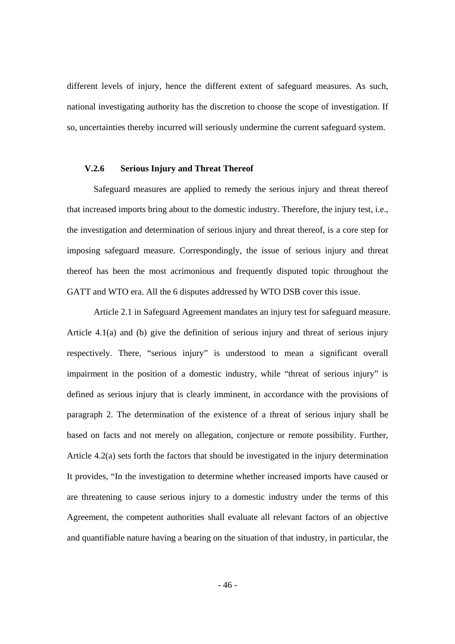different levels of injury, hence the different extent of safeguard measures. As such, national investigating authority has the discretion to choose the scope of investigation. If so, uncertainties thereby incurred will seriously undermine the current safeguard system.

#### **V.2.6 Serious Injury and Threat Thereof**

Safeguard measures are applied to remedy the serious injury and threat thereof that increased imports bring about to the domestic industry. Therefore, the injury test, i.e., the investigation and determination of serious injury and threat thereof, is a core step for imposing safeguard measure. Correspondingly, the issue of serious injury and threat thereof has been the most acrimonious and frequently disputed topic throughout the GATT and WTO era. All the 6 disputes addressed by WTO DSB cover this issue.

Article 2.1 in Safeguard Agreement mandates an injury test for safeguard measure. Article 4.1(a) and (b) give the definition of serious injury and threat of serious injury respectively. There, "serious injury" is understood to mean a significant overall impairment in the position of a domestic industry, while "threat of serious injury" is defined as serious injury that is clearly imminent, in accordance with the provisions of paragraph 2. The determination of the existence of a threat of serious injury shall be based on facts and not merely on allegation, conjecture or remote possibility. Further, Article 4.2(a) sets forth the factors that should be investigated in the injury determination It provides, "In the investigation to determine whether increased imports have caused or are threatening to cause serious injury to a domestic industry under the terms of this Agreement, the competent authorities shall evaluate all relevant factors of an objective and quantifiable nature having a bearing on the situation of that industry, in particular, the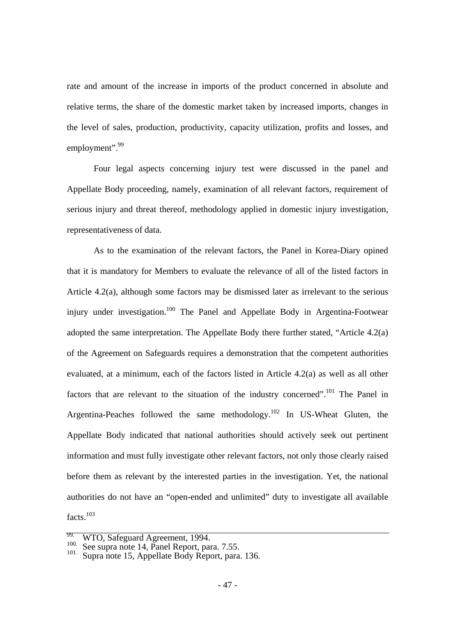rate and amount of the increase in imports of the product concerned in absolute and relative terms, the share of the domestic market taken by increased imports, changes in the level of sales, production, productivity, capacity utilization, profits and losses, and employment".<sup>99</sup>

Four legal aspects concerning injury test were discussed in the panel and Appellate Body proceeding, namely, examination of all relevant factors, requirement of serious injury and threat thereof, methodology applied in domestic injury investigation, representativeness of data.

As to the examination of the relevant factors, the Panel in Korea-Diary opined that it is mandatory for Members to evaluate the relevance of all of the listed factors in Article 4.2(a), although some factors may be dismissed later as irrelevant to the serious injury under investigation.<sup>100</sup> The Panel and Appellate Body in Argentina-Footwear adopted the same interpretation. The Appellate Body there further stated, "Article 4.2(a) of the Agreement on Safeguards requires a demonstration that the competent authorities evaluated, at a minimum, each of the factors listed in Article 4.2(a) as well as all other factors that are relevant to the situation of the industry concerned".101 The Panel in Argentina-Peaches followed the same methodology.<sup>102</sup> In US-Wheat Gluten, the Appellate Body indicated that national authorities should actively seek out pertinent information and must fully investigate other relevant factors, not only those clearly raised before them as relevant by the interested parties in the investigation. Yet, the national authorities do not have an "open-ended and unlimited" duty to investigate all available facts.103

<sup>&</sup>lt;sup>99.</sup> WTO, Safeguard Agreement, 1994.<br><sup>100.</sup> See supra note 14, Panel Report, para. 7.55.<br><sup>101.</sup> Supra note 15, Appellate Body Report, para. 136.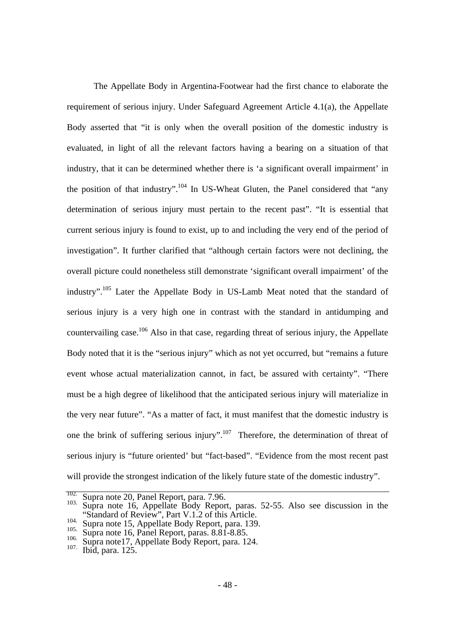The Appellate Body in Argentina-Footwear had the first chance to elaborate the requirement of serious injury. Under Safeguard Agreement Article 4.1(a), the Appellate Body asserted that "it is only when the overall position of the domestic industry is evaluated, in light of all the relevant factors having a bearing on a situation of that industry, that it can be determined whether there is 'a significant overall impairment' in the position of that industry".<sup>104</sup> In US-Wheat Gluten, the Panel considered that "any determination of serious injury must pertain to the recent past". "It is essential that current serious injury is found to exist, up to and including the very end of the period of investigation". It further clarified that "although certain factors were not declining, the overall picture could nonetheless still demonstrate 'significant overall impairment' of the industry".105 Later the Appellate Body in US-Lamb Meat noted that the standard of serious injury is a very high one in contrast with the standard in antidumping and countervailing case.<sup>106</sup> Also in that case, regarding threat of serious injury, the Appellate Body noted that it is the "serious injury" which as not yet occurred, but "remains a future event whose actual materialization cannot, in fact, be assured with certainty". "There must be a high degree of likelihood that the anticipated serious injury will materialize in the very near future". "As a matter of fact, it must manifest that the domestic industry is one the brink of suffering serious injury".107 Therefore, the determination of threat of serious injury is "future oriented' but "fact-based". "Evidence from the most recent past will provide the strongest indication of the likely future state of the domestic industry".

<sup>&</sup>lt;sup>102.</sup> Supra note 20, Panel Report, para. 7.96.<br><sup>103.</sup> Supra note 16, Appellate Body Report, paras. 52-55. Also see discussion in the Supra note 10, Appendic Body Report, paras.<br>
"Standard of Review", Part V.1.2 of this Article.<br>
Supra note 15, Appellate Body Report, para. 139.<br>
105. Supra note 16, Panel Report, paras. 8.81-8.85.<br>
106. Supra note17, Appe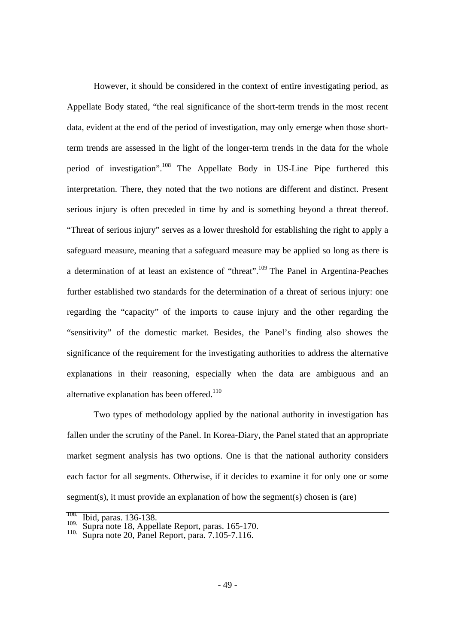However, it should be considered in the context of entire investigating period, as Appellate Body stated, "the real significance of the short-term trends in the most recent data, evident at the end of the period of investigation, may only emerge when those shortterm trends are assessed in the light of the longer-term trends in the data for the whole period of investigation".<sup>108</sup> The Appellate Body in US-Line Pipe furthered this interpretation. There, they noted that the two notions are different and distinct. Present serious injury is often preceded in time by and is something beyond a threat thereof. "Threat of serious injury" serves as a lower threshold for establishing the right to apply a safeguard measure, meaning that a safeguard measure may be applied so long as there is a determination of at least an existence of "threat".<sup>109</sup> The Panel in Argentina-Peaches further established two standards for the determination of a threat of serious injury: one regarding the "capacity" of the imports to cause injury and the other regarding the "sensitivity" of the domestic market. Besides, the Panel's finding also showes the significance of the requirement for the investigating authorities to address the alternative explanations in their reasoning, especially when the data are ambiguous and an alternative explanation has been offered.<sup>110</sup>

Two types of methodology applied by the national authority in investigation has fallen under the scrutiny of the Panel. In Korea-Diary, the Panel stated that an appropriate market segment analysis has two options. One is that the national authority considers each factor for all segments. Otherwise, if it decides to examine it for only one or some segment(s), it must provide an explanation of how the segment(s) chosen is (are)

<sup>108.</sup> Ibid, paras. 136-138.<br>
109. Supra note 18, Appellate Report, paras. 165-170.<br>
110. Supra note 20, Panel Report, para. 7.105-7.116.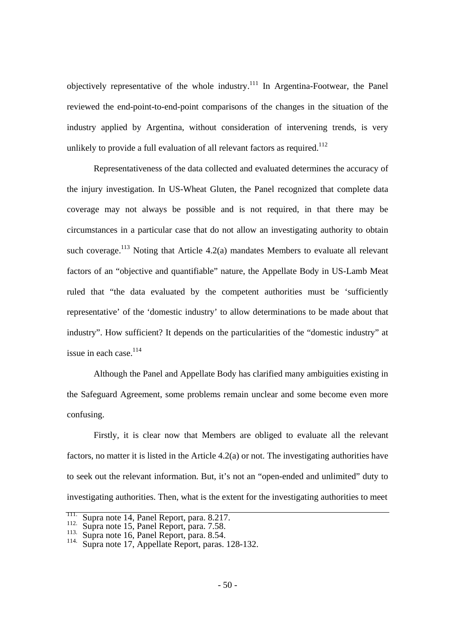objectively representative of the whole industry.111 In Argentina-Footwear, the Panel reviewed the end-point-to-end-point comparisons of the changes in the situation of the industry applied by Argentina, without consideration of intervening trends, is very unlikely to provide a full evaluation of all relevant factors as required.<sup>112</sup>

Representativeness of the data collected and evaluated determines the accuracy of the injury investigation. In US-Wheat Gluten, the Panel recognized that complete data coverage may not always be possible and is not required, in that there may be circumstances in a particular case that do not allow an investigating authority to obtain such coverage.<sup>113</sup> Noting that Article 4.2(a) mandates Members to evaluate all relevant factors of an "objective and quantifiable" nature, the Appellate Body in US-Lamb Meat ruled that "the data evaluated by the competent authorities must be 'sufficiently representative' of the 'domestic industry' to allow determinations to be made about that industry". How sufficient? It depends on the particularities of the "domestic industry" at issue in each case. $114$ 

Although the Panel and Appellate Body has clarified many ambiguities existing in the Safeguard Agreement, some problems remain unclear and some become even more confusing.

Firstly, it is clear now that Members are obliged to evaluate all the relevant factors, no matter it is listed in the Article 4.2(a) or not. The investigating authorities have to seek out the relevant information. But, it's not an "open-ended and unlimited" duty to investigating authorities. Then, what is the extent for the investigating authorities to meet

<sup>&</sup>lt;sup>111.</sup> Supra note 14, Panel Report, para. 8.217.<br><sup>112.</sup> Supra note 15, Panel Report, para. 7.58.<br><sup>113.</sup> Supra note 16, Panel Report, para. 8.54. <br><sup>114.</sup> Supra note 17, Appellate Report, paras. 128-132.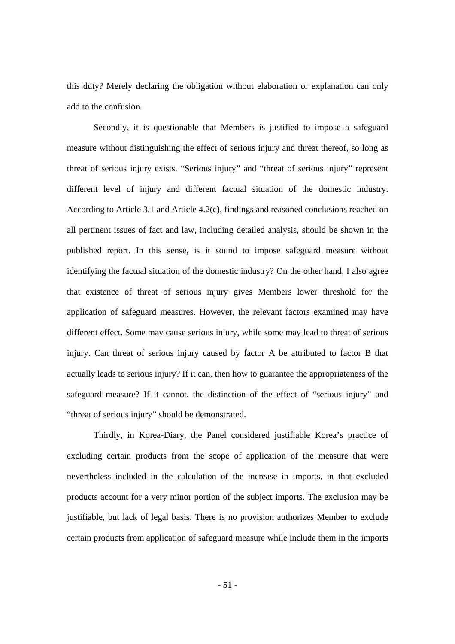this duty? Merely declaring the obligation without elaboration or explanation can only add to the confusion.

Secondly, it is questionable that Members is justified to impose a safeguard measure without distinguishing the effect of serious injury and threat thereof, so long as threat of serious injury exists. "Serious injury" and "threat of serious injury" represent different level of injury and different factual situation of the domestic industry. According to Article 3.1 and Article 4.2(c), findings and reasoned conclusions reached on all pertinent issues of fact and law, including detailed analysis, should be shown in the published report. In this sense, is it sound to impose safeguard measure without identifying the factual situation of the domestic industry? On the other hand, I also agree that existence of threat of serious injury gives Members lower threshold for the application of safeguard measures. However, the relevant factors examined may have different effect. Some may cause serious injury, while some may lead to threat of serious injury. Can threat of serious injury caused by factor A be attributed to factor B that actually leads to serious injury? If it can, then how to guarantee the appropriateness of the safeguard measure? If it cannot, the distinction of the effect of "serious injury" and "threat of serious injury" should be demonstrated.

Thirdly, in Korea-Diary, the Panel considered justifiable Korea's practice of excluding certain products from the scope of application of the measure that were nevertheless included in the calculation of the increase in imports, in that excluded products account for a very minor portion of the subject imports. The exclusion may be justifiable, but lack of legal basis. There is no provision authorizes Member to exclude certain products from application of safeguard measure while include them in the imports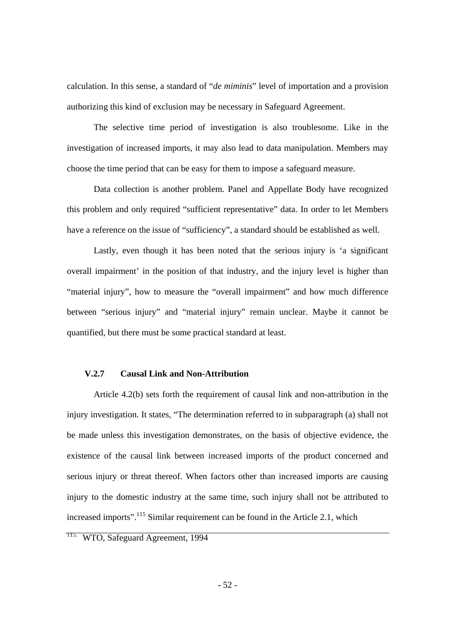calculation. In this sense, a standard of "*de miminis*" level of importation and a provision authorizing this kind of exclusion may be necessary in Safeguard Agreement.

The selective time period of investigation is also troublesome. Like in the investigation of increased imports, it may also lead to data manipulation. Members may choose the time period that can be easy for them to impose a safeguard measure.

Data collection is another problem. Panel and Appellate Body have recognized this problem and only required "sufficient representative" data. In order to let Members have a reference on the issue of "sufficiency", a standard should be established as well.

Lastly, even though it has been noted that the serious injury is 'a significant overall impairment' in the position of that industry, and the injury level is higher than "material injury", how to measure the "overall impairment" and how much difference between "serious injury" and "material injury" remain unclear. Maybe it cannot be quantified, but there must be some practical standard at least.

# **V.2.7 Causal Link and Non-Attribution**

Article 4.2(b) sets forth the requirement of causal link and non-attribution in the injury investigation. It states, "The determination referred to in subparagraph (a) shall not be made unless this investigation demonstrates, on the basis of objective evidence, the existence of the causal link between increased imports of the product concerned and serious injury or threat thereof. When factors other than increased imports are causing injury to the domestic industry at the same time, such injury shall not be attributed to increased imports".115 Similar requirement can be found in the Article 2.1, which

<sup>&</sup>lt;sup>115.</sup> WTO, Safeguard Agreement, 1994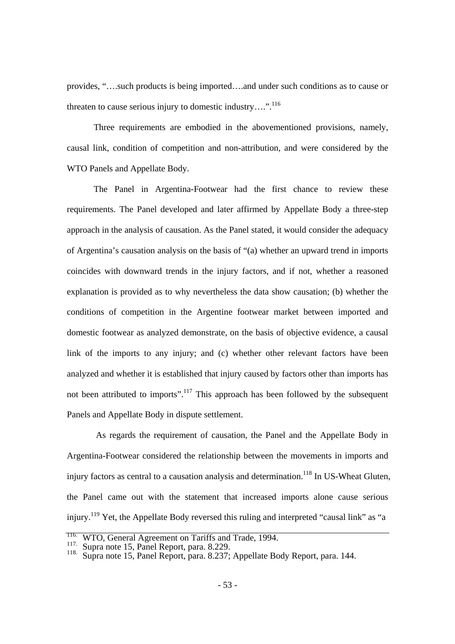provides, "….such products is being imported….and under such conditions as to cause or threaten to cause serious injury to domestic industry....".<sup>116</sup>

Three requirements are embodied in the abovementioned provisions, namely, causal link, condition of competition and non-attribution, and were considered by the WTO Panels and Appellate Body.

The Panel in Argentina-Footwear had the first chance to review these requirements. The Panel developed and later affirmed by Appellate Body a three-step approach in the analysis of causation. As the Panel stated, it would consider the adequacy of Argentina's causation analysis on the basis of "(a) whether an upward trend in imports coincides with downward trends in the injury factors, and if not, whether a reasoned explanation is provided as to why nevertheless the data show causation; (b) whether the conditions of competition in the Argentine footwear market between imported and domestic footwear as analyzed demonstrate, on the basis of objective evidence, a causal link of the imports to any injury; and (c) whether other relevant factors have been analyzed and whether it is established that injury caused by factors other than imports has not been attributed to imports".117 This approach has been followed by the subsequent Panels and Appellate Body in dispute settlement.

 As regards the requirement of causation, the Panel and the Appellate Body in Argentina-Footwear considered the relationship between the movements in imports and injury factors as central to a causation analysis and determination.<sup>118</sup> In US-Wheat Gluten, the Panel came out with the statement that increased imports alone cause serious injury.<sup>119</sup> Yet, the Appellate Body reversed this ruling and interpreted "causal link" as "a

<sup>&</sup>lt;sup>116.</sup> WTO, General Agreement on Tariffs and Trade, 1994.<br><sup>117.</sup> Supra note 15, Panel Report, para. 8.229.<br><sup>118.</sup> Supra note 15, Panel Report, para. 8.237; Appellate Body Report, para. 144.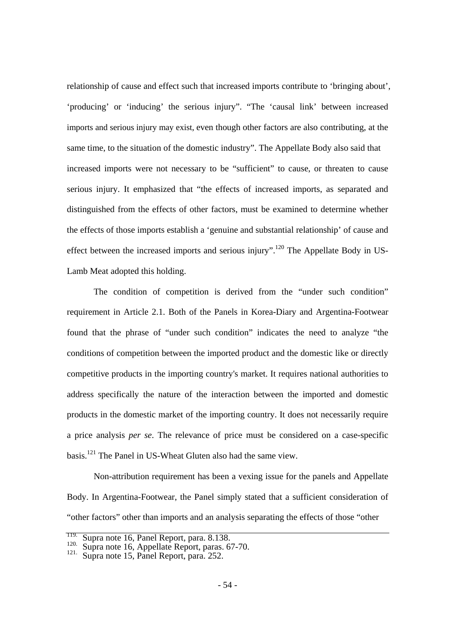relationship of cause and effect such that increased imports contribute to 'bringing about', 'producing' or 'inducing' the serious injury". "The 'causal link' between increased imports and serious injury may exist, even though other factors are also contributing, at the same time, to the situation of the domestic industry". The Appellate Body also said that increased imports were not necessary to be "sufficient" to cause, or threaten to cause serious injury. It emphasized that "the effects of increased imports, as separated and distinguished from the effects of other factors, must be examined to determine whether the effects of those imports establish a 'genuine and substantial relationship' of cause and effect between the increased imports and serious injury".<sup>120</sup> The Appellate Body in US-Lamb Meat adopted this holding.

The condition of competition is derived from the "under such condition" requirement in Article 2.1. Both of the Panels in Korea-Diary and Argentina-Footwear found that the phrase of "under such condition" indicates the need to analyze "the conditions of competition between the imported product and the domestic like or directly competitive products in the importing country's market. It requires national authorities to address specifically the nature of the interaction between the imported and domestic products in the domestic market of the importing country. It does not necessarily require a price analysis *per se*. The relevance of price must be considered on a case-specific basis.121 The Panel in US-Wheat Gluten also had the same view.

Non-attribution requirement has been a vexing issue for the panels and Appellate Body. In Argentina-Footwear, the Panel simply stated that a sufficient consideration of "other factors" other than imports and an analysis separating the effects of those "other

<sup>&</sup>lt;sup>119.</sup> Supra note 16, Panel Report, para. 8.138.<br><sup>120.</sup> Supra note 16, Appellate Report, para. 67-70.<br><sup>121.</sup> Supra note 15, Panel Report, para. 252.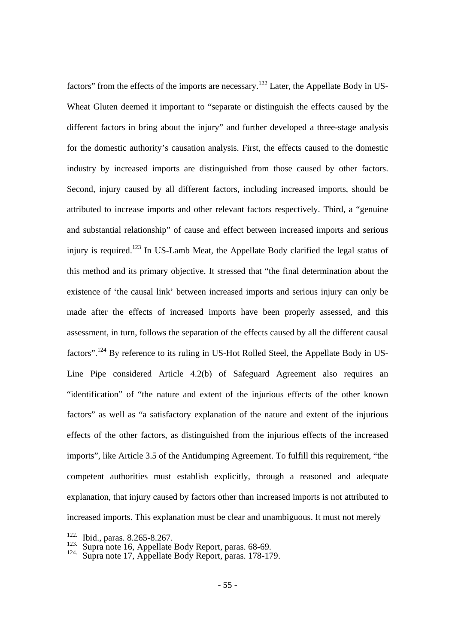factors" from the effects of the imports are necessary.<sup>122</sup> Later, the Appellate Body in US-Wheat Gluten deemed it important to "separate or distinguish the effects caused by the different factors in bring about the injury" and further developed a three-stage analysis for the domestic authority's causation analysis. First, the effects caused to the domestic industry by increased imports are distinguished from those caused by other factors. Second, injury caused by all different factors, including increased imports, should be attributed to increase imports and other relevant factors respectively. Third, a "genuine and substantial relationship" of cause and effect between increased imports and serious injury is required.<sup>123</sup> In US-Lamb Meat, the Appellate Body clarified the legal status of this method and its primary objective. It stressed that "the final determination about the existence of 'the causal link' between increased imports and serious injury can only be made after the effects of increased imports have been properly assessed, and this assessment, in turn, follows the separation of the effects caused by all the different causal factors".124 By reference to its ruling in US-Hot Rolled Steel, the Appellate Body in US-Line Pipe considered Article 4.2(b) of Safeguard Agreement also requires an "identification" of "the nature and extent of the injurious effects of the other known factors" as well as "a satisfactory explanation of the nature and extent of the injurious effects of the other factors, as distinguished from the injurious effects of the increased imports", like Article 3.5 of the Antidumping Agreement. To fulfill this requirement, "the competent authorities must establish explicitly, through a reasoned and adequate explanation, that injury caused by factors other than increased imports is not attributed to increased imports. This explanation must be clear and unambiguous. It must not merely

<sup>&</sup>lt;sup>122.</sup> Ibid., paras. 8.265-8.267.<br><sup>123.</sup> Supra note 16, Appellate Body Report, paras. 68-69.<br><sup>124.</sup> Supra note 17, Appellate Body Report, paras. 178-179.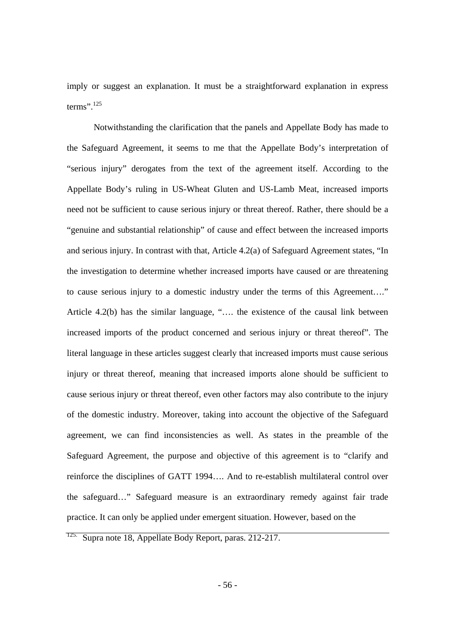imply or suggest an explanation. It must be a straightforward explanation in express terms". $125$ 

Notwithstanding the clarification that the panels and Appellate Body has made to the Safeguard Agreement, it seems to me that the Appellate Body's interpretation of "serious injury" derogates from the text of the agreement itself. According to the Appellate Body's ruling in US-Wheat Gluten and US-Lamb Meat, increased imports need not be sufficient to cause serious injury or threat thereof. Rather, there should be a "genuine and substantial relationship" of cause and effect between the increased imports and serious injury. In contrast with that, Article 4.2(a) of Safeguard Agreement states, "In the investigation to determine whether increased imports have caused or are threatening to cause serious injury to a domestic industry under the terms of this Agreement…." Article 4.2(b) has the similar language, "…. the existence of the causal link between increased imports of the product concerned and serious injury or threat thereof". The literal language in these articles suggest clearly that increased imports must cause serious injury or threat thereof, meaning that increased imports alone should be sufficient to cause serious injury or threat thereof, even other factors may also contribute to the injury of the domestic industry. Moreover, taking into account the objective of the Safeguard agreement, we can find inconsistencies as well. As states in the preamble of the Safeguard Agreement, the purpose and objective of this agreement is to "clarify and reinforce the disciplines of GATT 1994…. And to re-establish multilateral control over the safeguard…" Safeguard measure is an extraordinary remedy against fair trade practice. It can only be applied under emergent situation. However, based on the

Supra note 18, Appellate Body Report, paras. 212-217.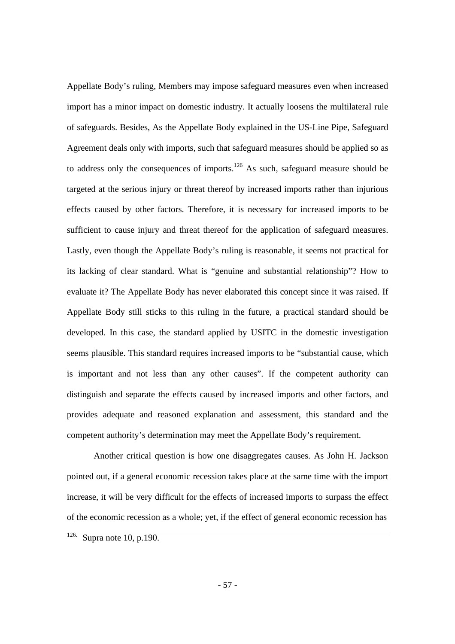Appellate Body's ruling, Members may impose safeguard measures even when increased import has a minor impact on domestic industry. It actually loosens the multilateral rule of safeguards. Besides, As the Appellate Body explained in the US-Line Pipe, Safeguard Agreement deals only with imports, such that safeguard measures should be applied so as to address only the consequences of imports.<sup>126</sup> As such, safeguard measure should be targeted at the serious injury or threat thereof by increased imports rather than injurious effects caused by other factors. Therefore, it is necessary for increased imports to be sufficient to cause injury and threat thereof for the application of safeguard measures. Lastly, even though the Appellate Body's ruling is reasonable, it seems not practical for its lacking of clear standard. What is "genuine and substantial relationship"? How to evaluate it? The Appellate Body has never elaborated this concept since it was raised. If Appellate Body still sticks to this ruling in the future, a practical standard should be developed. In this case, the standard applied by USITC in the domestic investigation seems plausible. This standard requires increased imports to be "substantial cause, which is important and not less than any other causes". If the competent authority can distinguish and separate the effects caused by increased imports and other factors, and provides adequate and reasoned explanation and assessment, this standard and the competent authority's determination may meet the Appellate Body's requirement.

Another critical question is how one disaggregates causes. As John H. Jackson pointed out, if a general economic recession takes place at the same time with the import increase, it will be very difficult for the effects of increased imports to surpass the effect of the economic recession as a whole; yet, if the effect of general economic recession has

 $126.$  Supra note 10, p.190.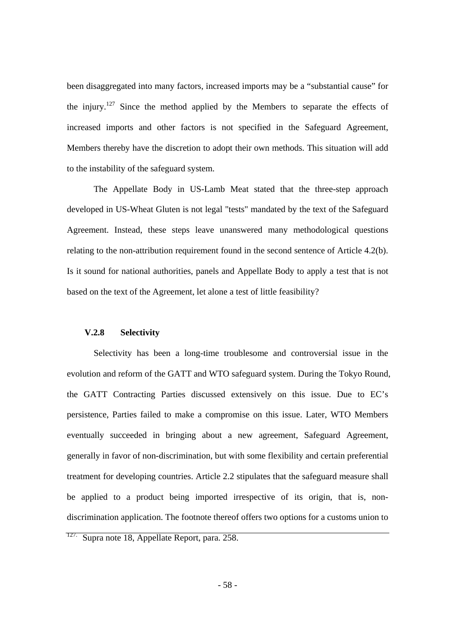been disaggregated into many factors, increased imports may be a "substantial cause" for the injury.<sup>127</sup> Since the method applied by the Members to separate the effects of increased imports and other factors is not specified in the Safeguard Agreement, Members thereby have the discretion to adopt their own methods. This situation will add to the instability of the safeguard system.

The Appellate Body in US-Lamb Meat stated that the three-step approach developed in US-Wheat Gluten is not legal "tests" mandated by the text of the Safeguard Agreement. Instead, these steps leave unanswered many methodological questions relating to the non-attribution requirement found in the second sentence of Article 4.2(b). Is it sound for national authorities, panels and Appellate Body to apply a test that is not based on the text of the Agreement, let alone a test of little feasibility?

## **V.2.8 Selectivity**

Selectivity has been a long-time troublesome and controversial issue in the evolution and reform of the GATT and WTO safeguard system. During the Tokyo Round, the GATT Contracting Parties discussed extensively on this issue. Due to EC's persistence, Parties failed to make a compromise on this issue. Later, WTO Members eventually succeeded in bringing about a new agreement, Safeguard Agreement, generally in favor of non-discrimination, but with some flexibility and certain preferential treatment for developing countries. Article 2.2 stipulates that the safeguard measure shall be applied to a product being imported irrespective of its origin, that is, nondiscrimination application. The footnote thereof offers two options for a customs union to

<sup>&</sup>lt;sup>127.</sup> Supra note 18, Appellate Report, para. 258.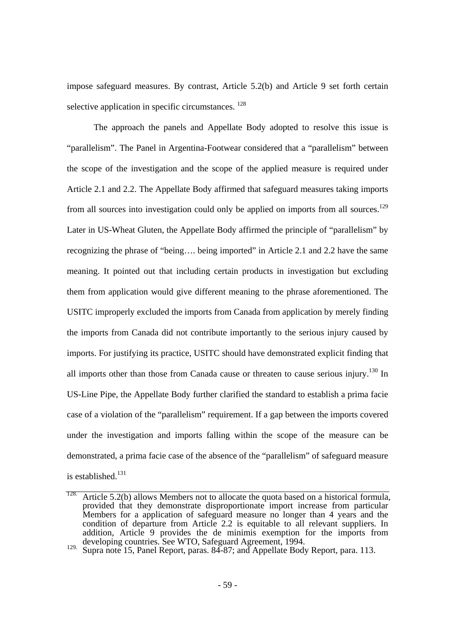impose safeguard measures. By contrast, Article 5.2(b) and Article 9 set forth certain selective application in specific circumstances. <sup>128</sup>

The approach the panels and Appellate Body adopted to resolve this issue is "parallelism". The Panel in Argentina-Footwear considered that a "parallelism" between the scope of the investigation and the scope of the applied measure is required under Article 2.1 and 2.2. The Appellate Body affirmed that safeguard measures taking imports from all sources into investigation could only be applied on imports from all sources.<sup>129</sup> Later in US-Wheat Gluten, the Appellate Body affirmed the principle of "parallelism" by recognizing the phrase of "being…. being imported" in Article 2.1 and 2.2 have the same meaning. It pointed out that including certain products in investigation but excluding them from application would give different meaning to the phrase aforementioned. The USITC improperly excluded the imports from Canada from application by merely finding the imports from Canada did not contribute importantly to the serious injury caused by imports. For justifying its practice, USITC should have demonstrated explicit finding that all imports other than those from Canada cause or threaten to cause serious injury.<sup>130</sup> In US-Line Pipe, the Appellate Body further clarified the standard to establish a prima facie case of a violation of the "parallelism" requirement. If a gap between the imports covered under the investigation and imports falling within the scope of the measure can be demonstrated, a prima facie case of the absence of the "parallelism" of safeguard measure is established.<sup>131</sup>

<sup>128.</sup> Article 5.2(b) allows Members not to allocate the quota based on a historical formula, provided that they demonstrate disproportionate import increase from particular Members for a application of safeguard measure no longer than 4 years and the condition of departure from Article 2.2 is equitable to all relevant suppliers. In addition, Article 9 provides the de minimis exemption for the imports from

 $\frac{129}{129}$ . Supra note 15, Panel Report, paras. 84-87; and Appellate Body Report, para. 113.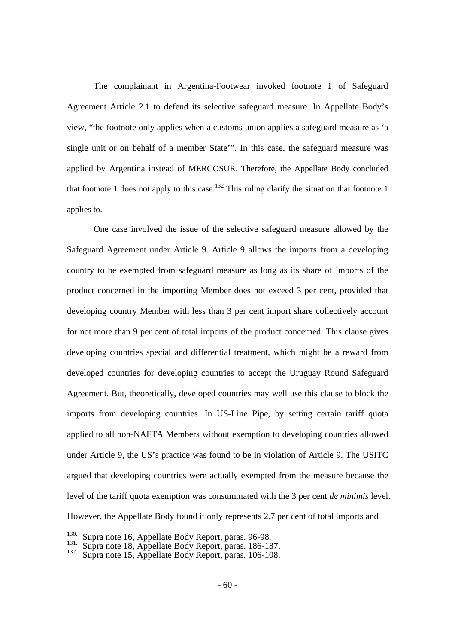The complainant in Argentina-Footwear invoked footnote 1 of Safeguard Agreement Article 2.1 to defend its selective safeguard measure. In Appellate Body's view, "the footnote only applies when a customs union applies a safeguard measure as 'a single unit or on behalf of a member State'". In this case, the safeguard measure was applied by Argentina instead of MERCOSUR. Therefore, the Appellate Body concluded that footnote 1 does not apply to this case.<sup>132</sup> This ruling clarify the situation that footnote 1 applies to.

One case involved the issue of the selective safeguard measure allowed by the Safeguard Agreement under Article 9. Article 9 allows the imports from a developing country to be exempted from safeguard measure as long as its share of imports of the product concerned in the importing Member does not exceed 3 per cent, provided that developing country Member with less than 3 per cent import share collectively account for not more than 9 per cent of total imports of the product concerned. This clause gives developing countries special and differential treatment, which might be a reward from developed countries for developing countries to accept the Uruguay Round Safeguard Agreement. But, theoretically, developed countries may well use this clause to block the imports from developing countries. In US-Line Pipe, by setting certain tariff quota applied to all non-NAFTA Members without exemption to developing countries allowed under Article 9, the US's practice was found to be in violation of Article 9. The USITC argued that developing countries were actually exempted from the measure because the level of the tariff quota exemption was consummated with the 3 per cent *de minimis* level. However, the Appellate Body found it only represents 2.7 per cent of total imports and

<sup>&</sup>lt;sup>130.</sup> Supra note 16, Appellate Body Report, paras. 96-98.<br><sup>131.</sup> Supra note 18, Appellate Body Report, paras. 186-187.<br>Supra note 15, Appellate Body Report, paras. 106-108.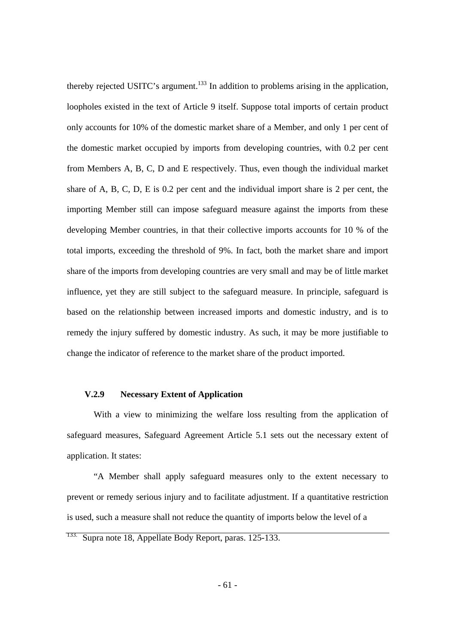thereby rejected USITC's argument.<sup>133</sup> In addition to problems arising in the application, loopholes existed in the text of Article 9 itself. Suppose total imports of certain product only accounts for 10% of the domestic market share of a Member, and only 1 per cent of the domestic market occupied by imports from developing countries, with 0.2 per cent from Members A, B, C, D and E respectively. Thus, even though the individual market share of A, B, C, D, E is 0.2 per cent and the individual import share is 2 per cent, the importing Member still can impose safeguard measure against the imports from these developing Member countries, in that their collective imports accounts for 10 % of the total imports, exceeding the threshold of 9%. In fact, both the market share and import share of the imports from developing countries are very small and may be of little market influence, yet they are still subject to the safeguard measure. In principle, safeguard is based on the relationship between increased imports and domestic industry, and is to remedy the injury suffered by domestic industry. As such, it may be more justifiable to change the indicator of reference to the market share of the product imported.

## **V.2.9 Necessary Extent of Application**

With a view to minimizing the welfare loss resulting from the application of safeguard measures, Safeguard Agreement Article 5.1 sets out the necessary extent of application. It states:

"A Member shall apply safeguard measures only to the extent necessary to prevent or remedy serious injury and to facilitate adjustment. If a quantitative restriction is used, such a measure shall not reduce the quantity of imports below the level of a

<sup>&</sup>lt;sup>133.</sup> Supra note 18, Appellate Body Report, paras. 125-133.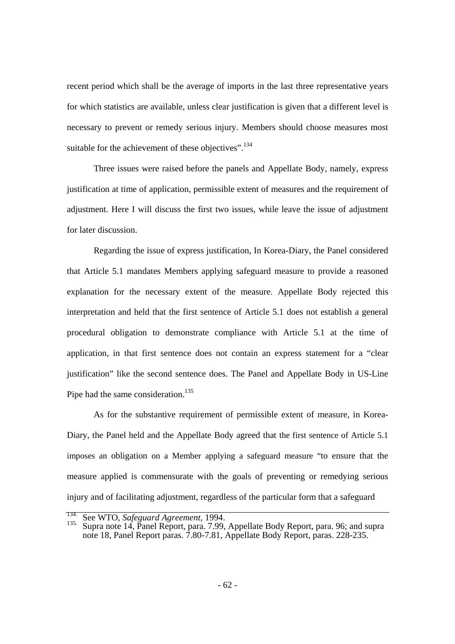recent period which shall be the average of imports in the last three representative years for which statistics are available, unless clear justification is given that a different level is necessary to prevent or remedy serious injury. Members should choose measures most suitable for the achievement of these objectives".<sup>134</sup>

Three issues were raised before the panels and Appellate Body, namely, express justification at time of application, permissible extent of measures and the requirement of adjustment. Here I will discuss the first two issues, while leave the issue of adjustment for later discussion.

Regarding the issue of express justification, In Korea-Diary, the Panel considered that Article 5.1 mandates Members applying safeguard measure to provide a reasoned explanation for the necessary extent of the measure. Appellate Body rejected this interpretation and held that the first sentence of Article 5.1 does not establish a general procedural obligation to demonstrate compliance with Article 5.1 at the time of application, in that first sentence does not contain an express statement for a "clear justification" like the second sentence does. The Panel and Appellate Body in US-Line Pipe had the same consideration.<sup>135</sup>

As for the substantive requirement of permissible extent of measure, in Korea-Diary, the Panel held and the Appellate Body agreed that the first sentence of Article 5.1 imposes an obligation on a Member applying a safeguard measure "to ensure that the measure applied is commensurate with the goals of preventing or remedying serious injury and of facilitating adjustment, regardless of the particular form that a safeguard

<sup>134.</sup> See WTO, *Safeguard Agreement,* 1994.

Supra note 14, Panel Report, para. 7.99, Appellate Body Report, para. 96; and supra note 18, Panel Report paras. 7.80-7.81, Appellate Body Report, paras. 228-235.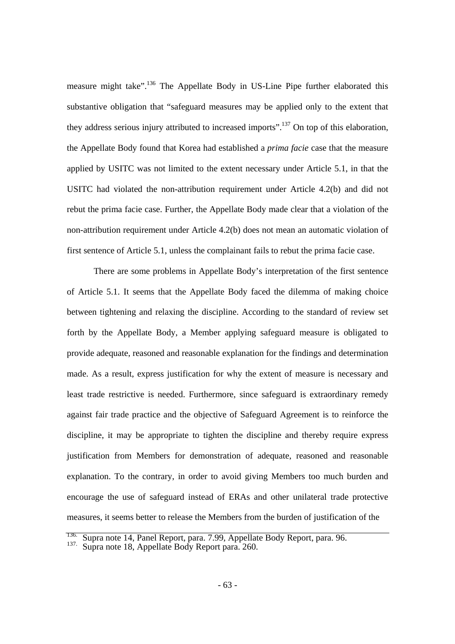measure might take".<sup>136</sup> The Appellate Body in US-Line Pipe further elaborated this substantive obligation that "safeguard measures may be applied only to the extent that they address serious injury attributed to increased imports".<sup>137</sup> On top of this elaboration, the Appellate Body found that Korea had established a *prima facie* case that the measure applied by USITC was not limited to the extent necessary under Article 5.1, in that the USITC had violated the non-attribution requirement under Article 4.2(b) and did not rebut the prima facie case. Further, the Appellate Body made clear that a violation of the non-attribution requirement under Article 4.2(b) does not mean an automatic violation of first sentence of Article 5.1, unless the complainant fails to rebut the prima facie case.

There are some problems in Appellate Body's interpretation of the first sentence of Article 5.1. It seems that the Appellate Body faced the dilemma of making choice between tightening and relaxing the discipline. According to the standard of review set forth by the Appellate Body, a Member applying safeguard measure is obligated to provide adequate, reasoned and reasonable explanation for the findings and determination made. As a result, express justification for why the extent of measure is necessary and least trade restrictive is needed. Furthermore, since safeguard is extraordinary remedy against fair trade practice and the objective of Safeguard Agreement is to reinforce the discipline, it may be appropriate to tighten the discipline and thereby require express justification from Members for demonstration of adequate, reasoned and reasonable explanation. To the contrary, in order to avoid giving Members too much burden and encourage the use of safeguard instead of ERAs and other unilateral trade protective measures, it seems better to release the Members from the burden of justification of the

<sup>&</sup>lt;sup>136.</sup> Supra note 14, Panel Report, para. 7.99, Appellate Body Report, para. 96. Supra note 18, Appellate Body Report para. 260.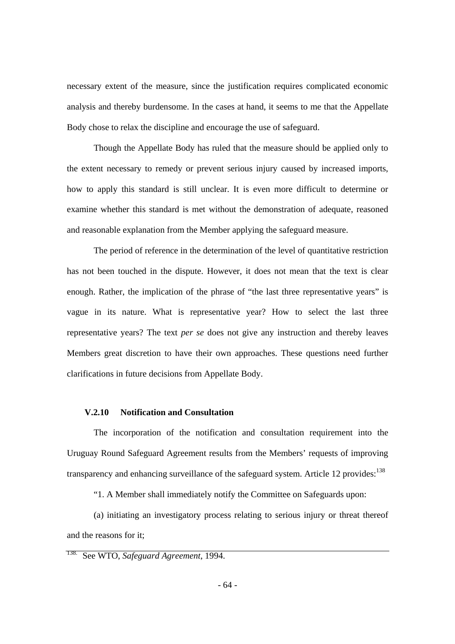necessary extent of the measure, since the justification requires complicated economic analysis and thereby burdensome. In the cases at hand, it seems to me that the Appellate Body chose to relax the discipline and encourage the use of safeguard.

Though the Appellate Body has ruled that the measure should be applied only to the extent necessary to remedy or prevent serious injury caused by increased imports, how to apply this standard is still unclear. It is even more difficult to determine or examine whether this standard is met without the demonstration of adequate, reasoned and reasonable explanation from the Member applying the safeguard measure.

The period of reference in the determination of the level of quantitative restriction has not been touched in the dispute. However, it does not mean that the text is clear enough. Rather, the implication of the phrase of "the last three representative years" is vague in its nature. What is representative year? How to select the last three representative years? The text *per se* does not give any instruction and thereby leaves Members great discretion to have their own approaches. These questions need further clarifications in future decisions from Appellate Body.

#### **V.2.10 Notification and Consultation**

The incorporation of the notification and consultation requirement into the Uruguay Round Safeguard Agreement results from the Members' requests of improving transparency and enhancing surveillance of the safeguard system. Article 12 provides:<sup>138</sup>

"1. A Member shall immediately notify the Committee on Safeguards upon:

(a) initiating an investigatory process relating to serious injury or threat thereof and the reasons for it;

<sup>138.</sup> See WTO, *Safeguard Agreement*, 1994.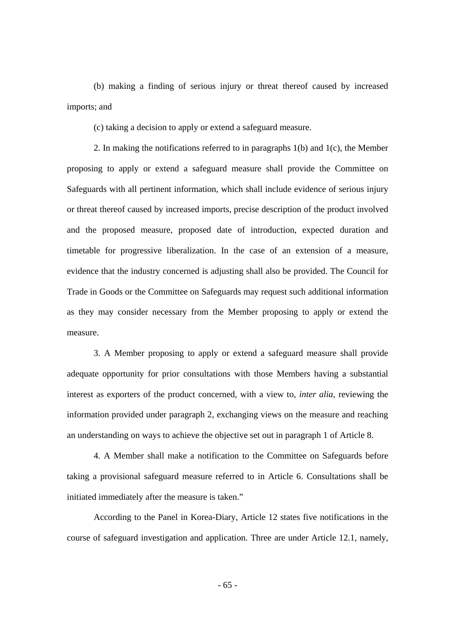(b) making a finding of serious injury or threat thereof caused by increased imports; and

(c) taking a decision to apply or extend a safeguard measure.

2. In making the notifications referred to in paragraphs 1(b) and 1(c), the Member proposing to apply or extend a safeguard measure shall provide the Committee on Safeguards with all pertinent information, which shall include evidence of serious injury or threat thereof caused by increased imports, precise description of the product involved and the proposed measure, proposed date of introduction, expected duration and timetable for progressive liberalization. In the case of an extension of a measure, evidence that the industry concerned is adjusting shall also be provided. The Council for Trade in Goods or the Committee on Safeguards may request such additional information as they may consider necessary from the Member proposing to apply or extend the measure.

3. A Member proposing to apply or extend a safeguard measure shall provide adequate opportunity for prior consultations with those Members having a substantial interest as exporters of the product concerned, with a view to, *inter alia*, reviewing the information provided under paragraph 2, exchanging views on the measure and reaching an understanding on ways to achieve the objective set out in paragraph 1 of Article 8.

4. A Member shall make a notification to the Committee on Safeguards before taking a provisional safeguard measure referred to in Article 6. Consultations shall be initiated immediately after the measure is taken."

According to the Panel in Korea-Diary, Article 12 states five notifications in the course of safeguard investigation and application. Three are under Article 12.1, namely,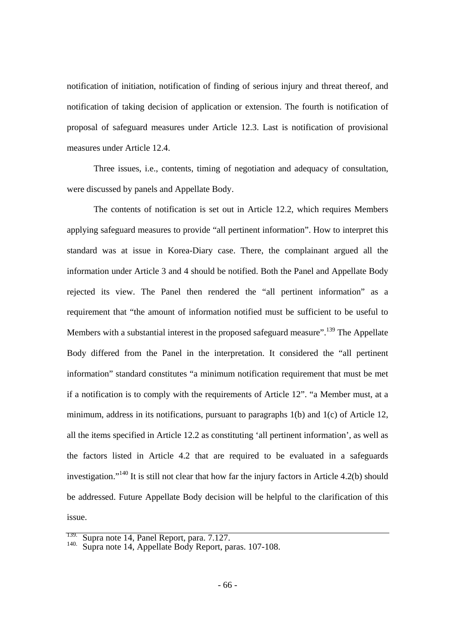notification of initiation, notification of finding of serious injury and threat thereof, and notification of taking decision of application or extension. The fourth is notification of proposal of safeguard measures under Article 12.3. Last is notification of provisional measures under Article 12.4.

Three issues, i.e., contents, timing of negotiation and adequacy of consultation, were discussed by panels and Appellate Body.

The contents of notification is set out in Article 12.2, which requires Members applying safeguard measures to provide "all pertinent information". How to interpret this standard was at issue in Korea-Diary case. There, the complainant argued all the information under Article 3 and 4 should be notified. Both the Panel and Appellate Body rejected its view. The Panel then rendered the "all pertinent information" as a requirement that "the amount of information notified must be sufficient to be useful to Members with a substantial interest in the proposed safeguard measure".<sup>139</sup> The Appellate Body differed from the Panel in the interpretation. It considered the "all pertinent information" standard constitutes "a minimum notification requirement that must be met if a notification is to comply with the requirements of Article 12". "a Member must, at a minimum, address in its notifications, pursuant to paragraphs 1(b) and 1(c) of Article 12, all the items specified in Article 12.2 as constituting 'all pertinent information', as well as the factors listed in Article 4.2 that are required to be evaluated in a safeguards investigation."140 It is still not clear that how far the injury factors in Article 4.2(b) should be addressed. Future Appellate Body decision will be helpful to the clarification of this issue.

<sup>&</sup>lt;sup>139.</sup> Supra note 14, Panel Report, para. 7.127.<br><sup>140.</sup> Supra note 14, Appellate Body Report, paras. 107-108.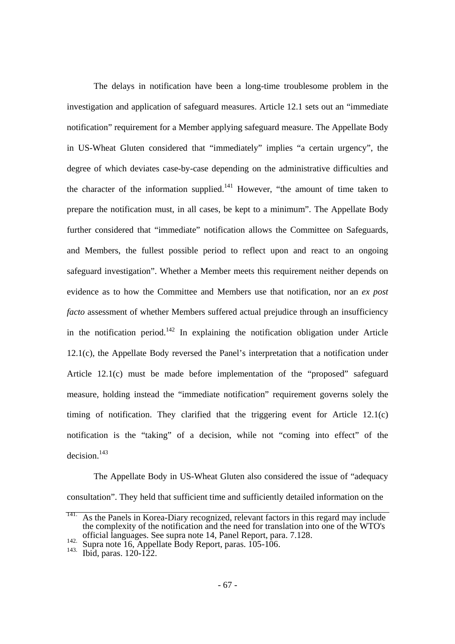The delays in notification have been a long-time troublesome problem in the investigation and application of safeguard measures. Article 12.1 sets out an "immediate notification" requirement for a Member applying safeguard measure. The Appellate Body in US-Wheat Gluten considered that "immediately" implies "a certain urgency", the degree of which deviates case-by-case depending on the administrative difficulties and the character of the information supplied.<sup>141</sup> However, "the amount of time taken to prepare the notification must, in all cases, be kept to a minimum". The Appellate Body further considered that "immediate" notification allows the Committee on Safeguards, and Members, the fullest possible period to reflect upon and react to an ongoing safeguard investigation". Whether a Member meets this requirement neither depends on evidence as to how the Committee and Members use that notification, nor an *ex post facto* assessment of whether Members suffered actual prejudice through an insufficiency in the notification period.<sup>142</sup> In explaining the notification obligation under Article 12.1(c), the Appellate Body reversed the Panel's interpretation that a notification under Article 12.1(c) must be made before implementation of the "proposed" safeguard measure, holding instead the "immediate notification" requirement governs solely the timing of notification. They clarified that the triggering event for Article 12.1(c) notification is the "taking" of a decision, while not "coming into effect" of the  $decision<sup>143</sup>$ 

The Appellate Body in US-Wheat Gluten also considered the issue of "adequacy consultation". They held that sufficient time and sufficiently detailed information on the

As the Panels in Korea-Diary recognized, relevant factors in this regard may include the complexity of the notification and the need for translation into one of the WTO's official languages. See supra note 14, Panel Report, para. 7.128.

official languages. See supra note 14, Panel Report, para. 105-106. 143. Ibid, paras. 120-122.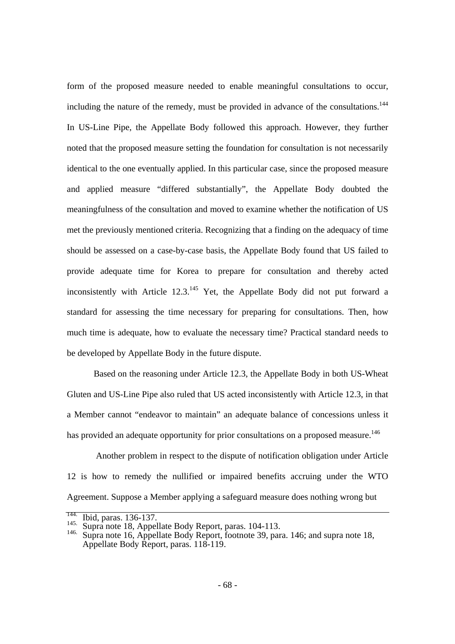form of the proposed measure needed to enable meaningful consultations to occur, including the nature of the remedy, must be provided in advance of the consultations.<sup>144</sup> In US-Line Pipe, the Appellate Body followed this approach. However, they further noted that the proposed measure setting the foundation for consultation is not necessarily identical to the one eventually applied. In this particular case, since the proposed measure and applied measure "differed substantially", the Appellate Body doubted the meaningfulness of the consultation and moved to examine whether the notification of US met the previously mentioned criteria. Recognizing that a finding on the adequacy of time should be assessed on a case-by-case basis, the Appellate Body found that US failed to provide adequate time for Korea to prepare for consultation and thereby acted inconsistently with Article  $12.3$ <sup>145</sup> Yet, the Appellate Body did not put forward a standard for assessing the time necessary for preparing for consultations. Then, how much time is adequate, how to evaluate the necessary time? Practical standard needs to be developed by Appellate Body in the future dispute.

Based on the reasoning under Article 12.3, the Appellate Body in both US-Wheat Gluten and US-Line Pipe also ruled that US acted inconsistently with Article 12.3, in that a Member cannot "endeavor to maintain" an adequate balance of concessions unless it has provided an adequate opportunity for prior consultations on a proposed measure.<sup>146</sup>

 Another problem in respect to the dispute of notification obligation under Article 12 is how to remedy the nullified or impaired benefits accruing under the WTO Agreement. Suppose a Member applying a safeguard measure does nothing wrong but

<sup>144.</sup> Ibid, paras. 136-137.<br><sup>145</sup>. Supra note 18, Appellate Body Report, paras. 104-113.

Supra note 16, Appellate Body Report, footnote 39, para. 146; and supra note 18, Appellate Body Report, paras. 118-119.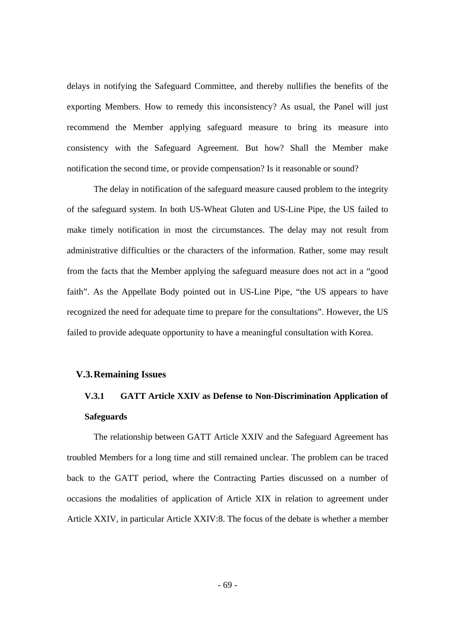delays in notifying the Safeguard Committee, and thereby nullifies the benefits of the exporting Members. How to remedy this inconsistency? As usual, the Panel will just recommend the Member applying safeguard measure to bring its measure into consistency with the Safeguard Agreement. But how? Shall the Member make notification the second time, or provide compensation? Is it reasonable or sound?

The delay in notification of the safeguard measure caused problem to the integrity of the safeguard system. In both US-Wheat Gluten and US-Line Pipe, the US failed to make timely notification in most the circumstances. The delay may not result from administrative difficulties or the characters of the information. Rather, some may result from the facts that the Member applying the safeguard measure does not act in a "good faith". As the Appellate Body pointed out in US-Line Pipe, "the US appears to have recognized the need for adequate time to prepare for the consultations". However, the US failed to provide adequate opportunity to have a meaningful consultation with Korea.

## **V.3. Remaining Issues**

# **V.3.1 GATT Article XXIV as Defense to Non-Discrimination Application of Safeguards**

The relationship between GATT Article XXIV and the Safeguard Agreement has troubled Members for a long time and still remained unclear. The problem can be traced back to the GATT period, where the Contracting Parties discussed on a number of occasions the modalities of application of Article XIX in relation to agreement under Article XXIV, in particular Article XXIV:8. The focus of the debate is whether a member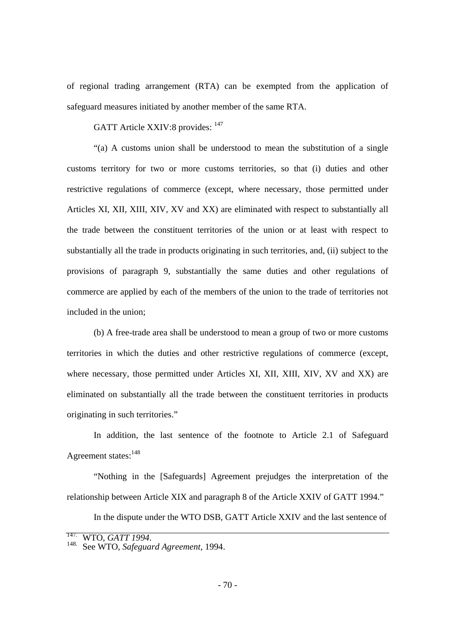of regional trading arrangement (RTA) can be exempted from the application of safeguard measures initiated by another member of the same RTA.

GATT Article XXIV:8 provides:  $147$ 

"(a) A customs union shall be understood to mean the substitution of a single customs territory for two or more customs territories, so that (i) duties and other restrictive regulations of commerce (except, where necessary, those permitted under Articles XI, XII, XIII, XIV, XV and XX) are eliminated with respect to substantially all the trade between the constituent territories of the union or at least with respect to substantially all the trade in products originating in such territories, and, (ii) subject to the provisions of paragraph 9, substantially the same duties and other regulations of commerce are applied by each of the members of the union to the trade of territories not included in the union;

(b) A free-trade area shall be understood to mean a group of two or more customs territories in which the duties and other restrictive regulations of commerce (except, where necessary, those permitted under Articles XI, XII, XIII, XIV, XV and XX) are eliminated on substantially all the trade between the constituent territories in products originating in such territories."

In addition, the last sentence of the footnote to Article 2.1 of Safeguard Agreement states:<sup>148</sup>

"Nothing in the [Safeguards] Agreement prejudges the interpretation of the relationship between Article XIX and paragraph 8 of the Article XXIV of GATT 1994."

In the dispute under the WTO DSB, GATT Article XXIV and the last sentence of

<sup>147.</sup> WTO, *GATT 1994*. 148. See WTO, *Safeguard Agreement,* 1994.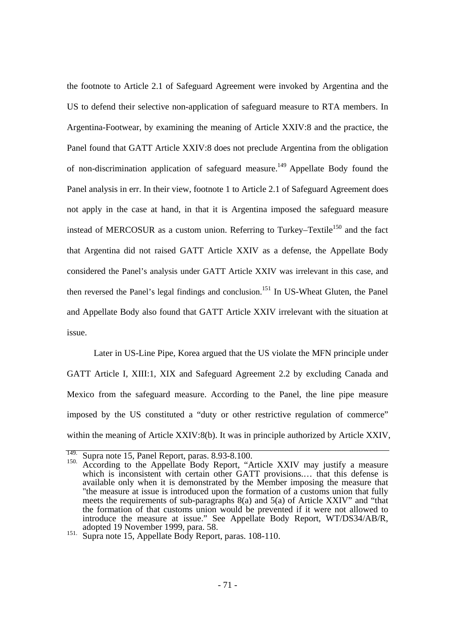the footnote to Article 2.1 of Safeguard Agreement were invoked by Argentina and the US to defend their selective non-application of safeguard measure to RTA members. In Argentina-Footwear, by examining the meaning of Article XXIV:8 and the practice, the Panel found that GATT Article XXIV:8 does not preclude Argentina from the obligation of non-discrimination application of safeguard measure.<sup>149</sup> Appellate Body found the Panel analysis in err. In their view, footnote 1 to Article 2.1 of Safeguard Agreement does not apply in the case at hand, in that it is Argentina imposed the safeguard measure instead of MERCOSUR as a custom union. Referring to Turkey–Textile<sup>150</sup> and the fact that Argentina did not raised GATT Article XXIV as a defense, the Appellate Body considered the Panel's analysis under GATT Article XXIV was irrelevant in this case, and then reversed the Panel's legal findings and conclusion.<sup>151</sup> In US-Wheat Gluten, the Panel and Appellate Body also found that GATT Article XXIV irrelevant with the situation at issue.

Later in US-Line Pipe, Korea argued that the US violate the MFN principle under GATT Article I, XIII:1, XIX and Safeguard Agreement 2.2 by excluding Canada and Mexico from the safeguard measure. According to the Panel, the line pipe measure imposed by the US constituted a "duty or other restrictive regulation of commerce" within the meaning of Article XXIV:8(b). It was in principle authorized by Article XXIV,

<sup>&</sup>lt;sup>149.</sup> Supra note 15, Panel Report, paras. 8.93-8.100.<br><sup>150.</sup> According to the Appellate Body Report, "Article XXIV may justify a measure which is inconsistent with certain other GATT provisions.… that this defense is available only when it is demonstrated by the Member imposing the measure that "the measure at issue is introduced upon the formation of a customs union that fully meets the requirements of sub-paragraphs 8(a) and 5(a) of Article XXIV" and "that the formation of that customs union would be prevented if it were not allowed to introduce the measure at issue." See Appellate Body Report, WT/DS34/AB/R, adopted 19 November 1999, para. 58.

adopted 19 November 1999, para. 58.<br><sup>151.</sup> Supra note 15, Appellate Body Report, paras. 108-110.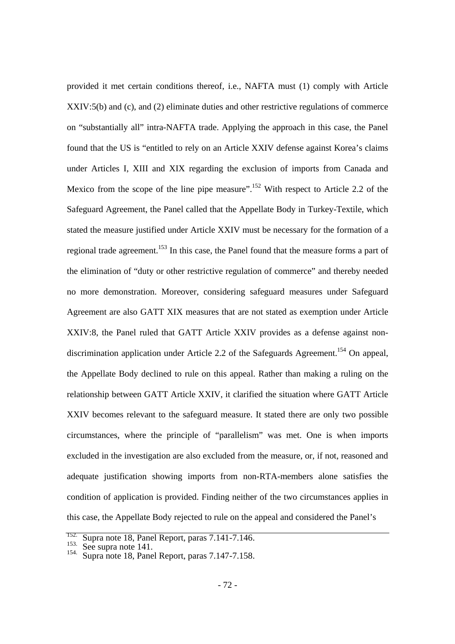provided it met certain conditions thereof, i.e., NAFTA must (1) comply with Article XXIV:5(b) and (c), and (2) eliminate duties and other restrictive regulations of commerce on "substantially all" intra-NAFTA trade. Applying the approach in this case, the Panel found that the US is "entitled to rely on an Article XXIV defense against Korea's claims under Articles I, XIII and XIX regarding the exclusion of imports from Canada and Mexico from the scope of the line pipe measure".<sup>152</sup> With respect to Article 2.2 of the Safeguard Agreement, the Panel called that the Appellate Body in Turkey-Textile, which stated the measure justified under Article XXIV must be necessary for the formation of a regional trade agreement.<sup>153</sup> In this case, the Panel found that the measure forms a part of the elimination of "duty or other restrictive regulation of commerce" and thereby needed no more demonstration. Moreover, considering safeguard measures under Safeguard Agreement are also GATT XIX measures that are not stated as exemption under Article XXIV:8, the Panel ruled that GATT Article XXIV provides as a defense against nondiscrimination application under Article 2.2 of the Safeguards Agreement.<sup>154</sup> On appeal, the Appellate Body declined to rule on this appeal. Rather than making a ruling on the relationship between GATT Article XXIV, it clarified the situation where GATT Article XXIV becomes relevant to the safeguard measure. It stated there are only two possible circumstances, where the principle of "parallelism" was met. One is when imports excluded in the investigation are also excluded from the measure, or, if not, reasoned and adequate justification showing imports from non-RTA-members alone satisfies the condition of application is provided. Finding neither of the two circumstances applies in this case, the Appellate Body rejected to rule on the appeal and considered the Panel's

<sup>&</sup>lt;sup>152.</sup> Supra note 18, Panel Report, paras 7.141-7.146.<br><sup>153.</sup> See supra note 141. Supra note 18, Panel Report, paras 7.147-7.158.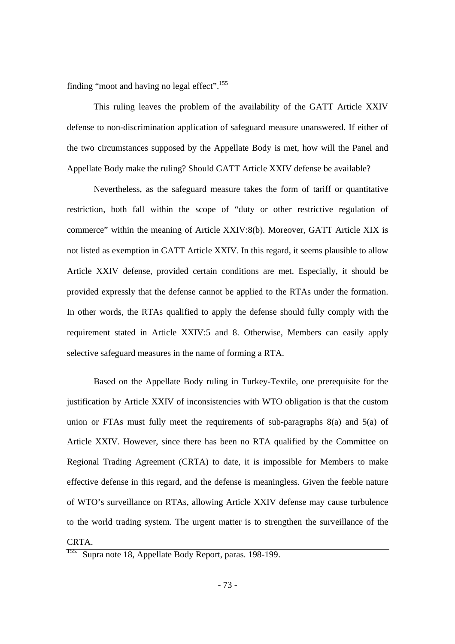finding "moot and having no legal effect".<sup>155</sup>

This ruling leaves the problem of the availability of the GATT Article XXIV defense to non-discrimination application of safeguard measure unanswered. If either of the two circumstances supposed by the Appellate Body is met, how will the Panel and Appellate Body make the ruling? Should GATT Article XXIV defense be available?

Nevertheless, as the safeguard measure takes the form of tariff or quantitative restriction, both fall within the scope of "duty or other restrictive regulation of commerce" within the meaning of Article XXIV:8(b). Moreover, GATT Article XIX is not listed as exemption in GATT Article XXIV. In this regard, it seems plausible to allow Article XXIV defense, provided certain conditions are met. Especially, it should be provided expressly that the defense cannot be applied to the RTAs under the formation. In other words, the RTAs qualified to apply the defense should fully comply with the requirement stated in Article XXIV:5 and 8. Otherwise, Members can easily apply selective safeguard measures in the name of forming a RTA.

Based on the Appellate Body ruling in Turkey-Textile, one prerequisite for the justification by Article XXIV of inconsistencies with WTO obligation is that the custom union or FTAs must fully meet the requirements of sub-paragraphs 8(a) and 5(a) of Article XXIV. However, since there has been no RTA qualified by the Committee on Regional Trading Agreement (CRTA) to date, it is impossible for Members to make effective defense in this regard, and the defense is meaningless. Given the feeble nature of WTO's surveillance on RTAs, allowing Article XXIV defense may cause turbulence to the world trading system. The urgent matter is to strengthen the surveillance of the CRTA.

<sup>155.</sup> Supra note 18, Appellate Body Report, paras. 198-199.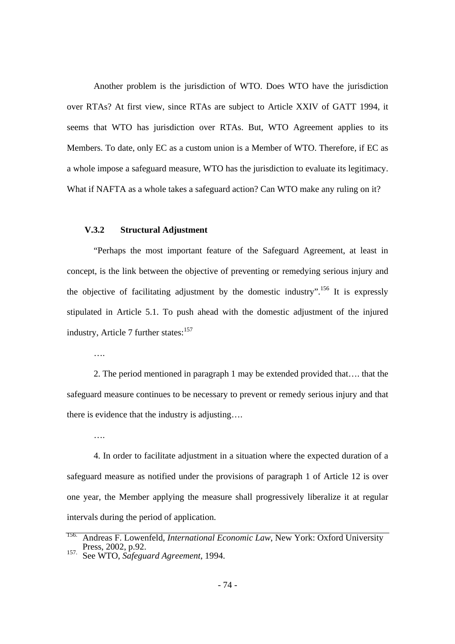Another problem is the jurisdiction of WTO. Does WTO have the jurisdiction over RTAs? At first view, since RTAs are subject to Article XXIV of GATT 1994, it seems that WTO has jurisdiction over RTAs. But, WTO Agreement applies to its Members. To date, only EC as a custom union is a Member of WTO. Therefore, if EC as a whole impose a safeguard measure, WTO has the jurisdiction to evaluate its legitimacy. What if NAFTA as a whole takes a safeguard action? Can WTO make any ruling on it?

## **V.3.2 Structural Adjustment**

"Perhaps the most important feature of the Safeguard Agreement, at least in concept, is the link between the objective of preventing or remedying serious injury and the objective of facilitating adjustment by the domestic industry".<sup>156</sup> It is expressly stipulated in Article 5.1. To push ahead with the domestic adjustment of the injured industry, Article 7 further states:<sup>157</sup>

….

2. The period mentioned in paragraph 1 may be extended provided that…. that the safeguard measure continues to be necessary to prevent or remedy serious injury and that there is evidence that the industry is adjusting….

….

4. In order to facilitate adjustment in a situation where the expected duration of a safeguard measure as notified under the provisions of paragraph 1 of Article 12 is over one year, the Member applying the measure shall progressively liberalize it at regular intervals during the period of application.

<sup>156.</sup> Andreas F. Lowenfeld, *International Economic Law*, New York: Oxford University Press, 2002, p.92. 157. See WTO, *Safeguard Agreement*, 1994.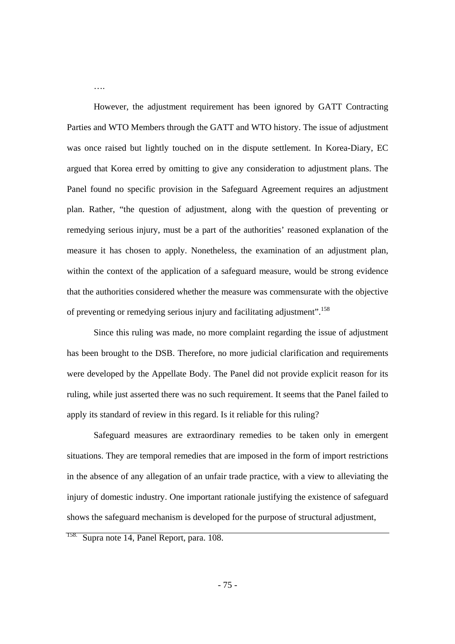….

However, the adjustment requirement has been ignored by GATT Contracting Parties and WTO Members through the GATT and WTO history. The issue of adjustment was once raised but lightly touched on in the dispute settlement. In Korea-Diary, EC argued that Korea erred by omitting to give any consideration to adjustment plans. The Panel found no specific provision in the Safeguard Agreement requires an adjustment plan. Rather, "the question of adjustment, along with the question of preventing or remedying serious injury, must be a part of the authorities' reasoned explanation of the measure it has chosen to apply. Nonetheless, the examination of an adjustment plan, within the context of the application of a safeguard measure, would be strong evidence that the authorities considered whether the measure was commensurate with the objective of preventing or remedying serious injury and facilitating adjustment".158

Since this ruling was made, no more complaint regarding the issue of adjustment has been brought to the DSB. Therefore, no more judicial clarification and requirements were developed by the Appellate Body. The Panel did not provide explicit reason for its ruling, while just asserted there was no such requirement. It seems that the Panel failed to apply its standard of review in this regard. Is it reliable for this ruling?

Safeguard measures are extraordinary remedies to be taken only in emergent situations. They are temporal remedies that are imposed in the form of import restrictions in the absence of any allegation of an unfair trade practice, with a view to alleviating the injury of domestic industry. One important rationale justifying the existence of safeguard shows the safeguard mechanism is developed for the purpose of structural adjustment,

<sup>&</sup>lt;sup>158.</sup> Supra note 14, Panel Report, para. 108.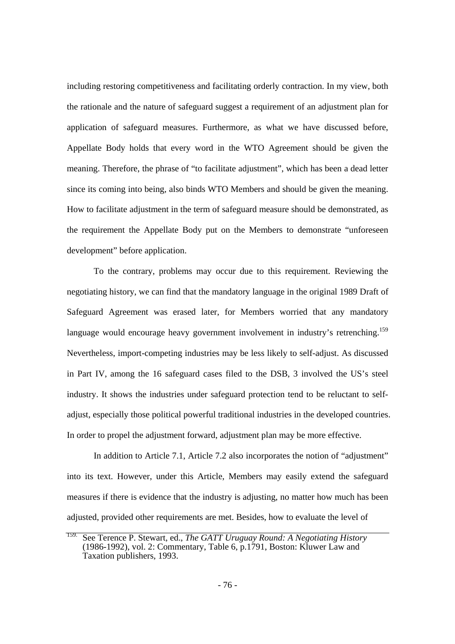including restoring competitiveness and facilitating orderly contraction. In my view, both the rationale and the nature of safeguard suggest a requirement of an adjustment plan for application of safeguard measures. Furthermore, as what we have discussed before, Appellate Body holds that every word in the WTO Agreement should be given the meaning. Therefore, the phrase of "to facilitate adjustment", which has been a dead letter since its coming into being, also binds WTO Members and should be given the meaning. How to facilitate adjustment in the term of safeguard measure should be demonstrated, as the requirement the Appellate Body put on the Members to demonstrate "unforeseen development" before application.

To the contrary, problems may occur due to this requirement. Reviewing the negotiating history, we can find that the mandatory language in the original 1989 Draft of Safeguard Agreement was erased later, for Members worried that any mandatory language would encourage heavy government involvement in industry's retrenching.<sup>159</sup> Nevertheless, import-competing industries may be less likely to self-adjust. As discussed in Part IV, among the 16 safeguard cases filed to the DSB, 3 involved the US's steel industry. It shows the industries under safeguard protection tend to be reluctant to selfadjust, especially those political powerful traditional industries in the developed countries. In order to propel the adjustment forward, adjustment plan may be more effective.

In addition to Article 7.1, Article 7.2 also incorporates the notion of "adjustment" into its text. However, under this Article, Members may easily extend the safeguard measures if there is evidence that the industry is adjusting, no matter how much has been adjusted, provided other requirements are met. Besides, how to evaluate the level of

<sup>159.</sup> See Terence P. Stewart, ed., *The GATT Uruguay Round: A Negotiating History* (1986-1992), vol. 2: Commentary, Table 6, p.1791, Boston: Kluwer Law and Taxation publishers, 1993.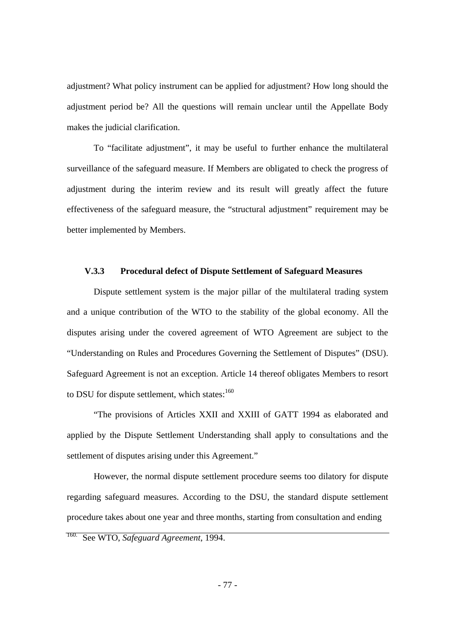adjustment? What policy instrument can be applied for adjustment? How long should the adjustment period be? All the questions will remain unclear until the Appellate Body makes the judicial clarification.

To "facilitate adjustment", it may be useful to further enhance the multilateral surveillance of the safeguard measure. If Members are obligated to check the progress of adjustment during the interim review and its result will greatly affect the future effectiveness of the safeguard measure, the "structural adjustment" requirement may be better implemented by Members.

### **V.3.3 Procedural defect of Dispute Settlement of Safeguard Measures**

Dispute settlement system is the major pillar of the multilateral trading system and a unique contribution of the WTO to the stability of the global economy. All the disputes arising under the covered agreement of WTO Agreement are subject to the "Understanding on Rules and Procedures Governing the Settlement of Disputes" (DSU). Safeguard Agreement is not an exception. Article 14 thereof obligates Members to resort to DSU for dispute settlement, which states:<sup>160</sup>

"The provisions of Articles XXII and XXIII of GATT 1994 as elaborated and applied by the Dispute Settlement Understanding shall apply to consultations and the settlement of disputes arising under this Agreement."

However, the normal dispute settlement procedure seems too dilatory for dispute regarding safeguard measures. According to the DSU, the standard dispute settlement procedure takes about one year and three months, starting from consultation and ending

<sup>160.</sup> See WTO, *Safeguard Agreement*, 1994.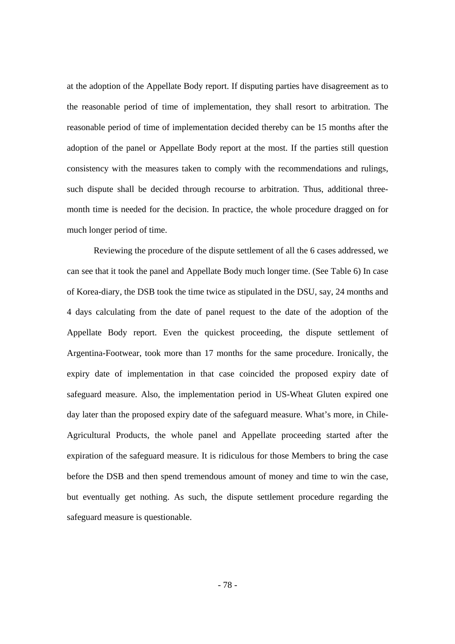at the adoption of the Appellate Body report. If disputing parties have disagreement as to the reasonable period of time of implementation, they shall resort to arbitration. The reasonable period of time of implementation decided thereby can be 15 months after the adoption of the panel or Appellate Body report at the most. If the parties still question consistency with the measures taken to comply with the recommendations and rulings, such dispute shall be decided through recourse to arbitration. Thus, additional threemonth time is needed for the decision. In practice, the whole procedure dragged on for much longer period of time.

Reviewing the procedure of the dispute settlement of all the 6 cases addressed, we can see that it took the panel and Appellate Body much longer time. (See Table 6) In case of Korea-diary, the DSB took the time twice as stipulated in the DSU, say, 24 months and 4 days calculating from the date of panel request to the date of the adoption of the Appellate Body report. Even the quickest proceeding, the dispute settlement of Argentina-Footwear, took more than 17 months for the same procedure. Ironically, the expiry date of implementation in that case coincided the proposed expiry date of safeguard measure. Also, the implementation period in US-Wheat Gluten expired one day later than the proposed expiry date of the safeguard measure. What's more, in Chile-Agricultural Products, the whole panel and Appellate proceeding started after the expiration of the safeguard measure. It is ridiculous for those Members to bring the case before the DSB and then spend tremendous amount of money and time to win the case, but eventually get nothing. As such, the dispute settlement procedure regarding the safeguard measure is questionable.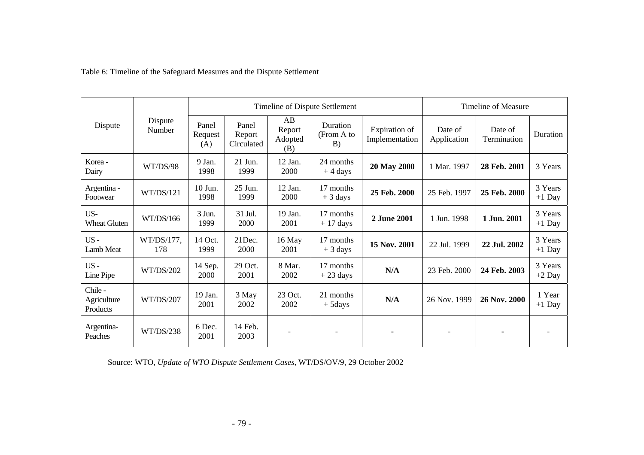|  |  | Table 6: Timeline of the Safeguard Measures and the Dispute Settlement |
|--|--|------------------------------------------------------------------------|
|  |  |                                                                        |

|                                   | Dispute<br>Number | Timeline of Dispute Settlement |                               |                                |                              | <b>Timeline of Measure</b>      |                          |                        |                     |
|-----------------------------------|-------------------|--------------------------------|-------------------------------|--------------------------------|------------------------------|---------------------------------|--------------------------|------------------------|---------------------|
| Dispute                           |                   | Panel<br>Request<br>(A)        | Panel<br>Report<br>Circulated | AB<br>Report<br>Adopted<br>(B) | Duration<br>(From A to<br>B) | Expiration of<br>Implementation | Date of<br>Application   | Date of<br>Termination | Duration            |
| Korea -<br>Dairy                  | WT/DS/98          | 9 Jan.<br>1998                 | 21 Jun.<br>1999               | 12 Jan.<br>2000                | 24 months<br>$+4$ days       | 20 May 2000                     | 1 Mar. 1997              | 28 Feb. 2001           | 3 Years             |
| Argentina -<br>Footwear           | WT/DS/121         | 10 Jun.<br>1998                | 25 Jun.<br>1999               | 12 Jan.<br>2000                | 17 months<br>$+3$ days       | 25 Feb. 2000                    | 25 Feb. 1997             | 25 Feb. 2000           | 3 Years<br>$+1$ Day |
| US-<br><b>Wheat Gluten</b>        | WT/DS/166         | 3 Jun.<br>1999                 | 31 Jul.<br>2000               | 19 Jan.<br>2001                | 17 months<br>$+17$ days      | 2 June 2001                     | 1 Jun. 1998              | 1 Jun. 2001            | 3 Years<br>$+1$ Day |
| US-<br>Lamb Meat                  | WT/DS/177,<br>178 | 14 Oct.<br>1999                | 21Dec.<br>2000                | 16 May<br>2001                 | 17 months<br>$+3$ days       | 15 Nov. 2001                    | 22 Jul. 1999             | 22 Jul. 2002           | 3 Years<br>$+1$ Day |
| US-<br>Line Pipe                  | WT/DS/202         | 14 Sep.<br>2000                | 29 Oct.<br>2001               | 8 Mar.<br>2002                 | 17 months<br>$+23$ days      | N/A                             | 23 Feb. 2000             | 24 Feb. 2003           | 3 Years<br>$+2$ Day |
| Chile-<br>Agriculture<br>Products | WT/DS/207         | 19 Jan.<br>2001                | 3 May<br>2002                 | 23 Oct.<br>2002                | 21 months<br>$+5$ days       | N/A                             | 26 Nov. 1999             | 26 Nov. 2000           | 1 Year<br>$+1$ Day  |
| Argentina-<br>Peaches             | WT/DS/238         | 6 Dec.<br>2001                 | 14 Feb.<br>2003               |                                | $\overline{\phantom{0}}$     |                                 | $\overline{\phantom{a}}$ | $\blacksquare$         |                     |

Source: WTO, *Update of WTO Dispute Settlement Cases*, WT/DS/OV/9, 29 October 2002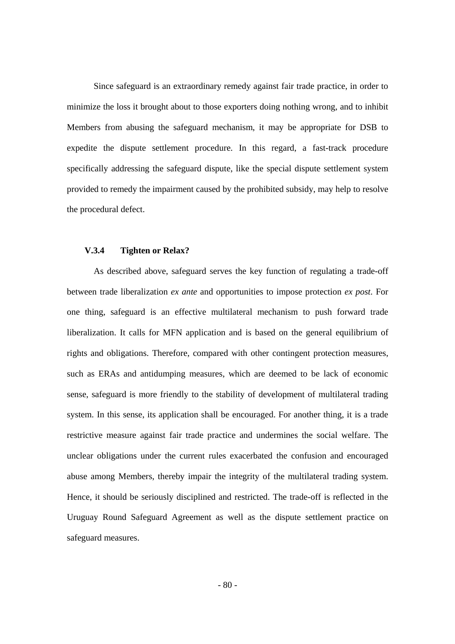Since safeguard is an extraordinary remedy against fair trade practice, in order to minimize the loss it brought about to those exporters doing nothing wrong, and to inhibit Members from abusing the safeguard mechanism, it may be appropriate for DSB to expedite the dispute settlement procedure. In this regard, a fast-track procedure specifically addressing the safeguard dispute, like the special dispute settlement system provided to remedy the impairment caused by the prohibited subsidy, may help to resolve the procedural defect.

### **V.3.4 Tighten or Relax?**

As described above, safeguard serves the key function of regulating a trade-off between trade liberalization *ex ante* and opportunities to impose protection *ex post*. For one thing, safeguard is an effective multilateral mechanism to push forward trade liberalization. It calls for MFN application and is based on the general equilibrium of rights and obligations. Therefore, compared with other contingent protection measures, such as ERAs and antidumping measures, which are deemed to be lack of economic sense, safeguard is more friendly to the stability of development of multilateral trading system. In this sense, its application shall be encouraged. For another thing, it is a trade restrictive measure against fair trade practice and undermines the social welfare. The unclear obligations under the current rules exacerbated the confusion and encouraged abuse among Members, thereby impair the integrity of the multilateral trading system. Hence, it should be seriously disciplined and restricted. The trade-off is reflected in the Uruguay Round Safeguard Agreement as well as the dispute settlement practice on safeguard measures.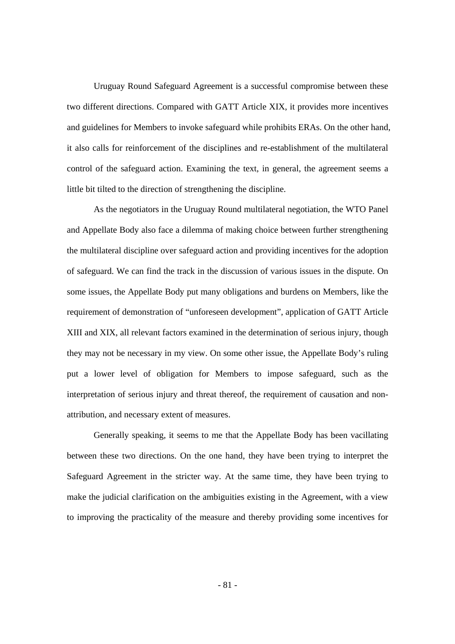Uruguay Round Safeguard Agreement is a successful compromise between these two different directions. Compared with GATT Article XIX, it provides more incentives and guidelines for Members to invoke safeguard while prohibits ERAs. On the other hand, it also calls for reinforcement of the disciplines and re-establishment of the multilateral control of the safeguard action. Examining the text, in general, the agreement seems a little bit tilted to the direction of strengthening the discipline.

As the negotiators in the Uruguay Round multilateral negotiation, the WTO Panel and Appellate Body also face a dilemma of making choice between further strengthening the multilateral discipline over safeguard action and providing incentives for the adoption of safeguard. We can find the track in the discussion of various issues in the dispute. On some issues, the Appellate Body put many obligations and burdens on Members, like the requirement of demonstration of "unforeseen development", application of GATT Article XIII and XIX, all relevant factors examined in the determination of serious injury, though they may not be necessary in my view. On some other issue, the Appellate Body's ruling put a lower level of obligation for Members to impose safeguard, such as the interpretation of serious injury and threat thereof, the requirement of causation and nonattribution, and necessary extent of measures.

Generally speaking, it seems to me that the Appellate Body has been vacillating between these two directions. On the one hand, they have been trying to interpret the Safeguard Agreement in the stricter way. At the same time, they have been trying to make the judicial clarification on the ambiguities existing in the Agreement, with a view to improving the practicality of the measure and thereby providing some incentives for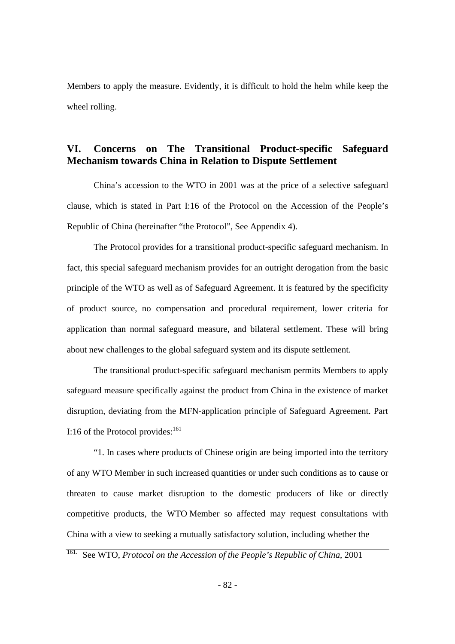Members to apply the measure. Evidently, it is difficult to hold the helm while keep the wheel rolling.

# **VI. Concerns on The Transitional Product-specific Safeguard Mechanism towards China in Relation to Dispute Settlement**

China's accession to the WTO in 2001 was at the price of a selective safeguard clause, which is stated in Part I:16 of the Protocol on the Accession of the People's Republic of China (hereinafter "the Protocol", See Appendix 4).

The Protocol provides for a transitional product-specific safeguard mechanism. In fact, this special safeguard mechanism provides for an outright derogation from the basic principle of the WTO as well as of Safeguard Agreement. It is featured by the specificity of product source, no compensation and procedural requirement, lower criteria for application than normal safeguard measure, and bilateral settlement. These will bring about new challenges to the global safeguard system and its dispute settlement.

The transitional product-specific safeguard mechanism permits Members to apply safeguard measure specifically against the product from China in the existence of market disruption, deviating from the MFN-application principle of Safeguard Agreement. Part I:16 of the Protocol provides: $^{161}$ 

"1. In cases where products of Chinese origin are being imported into the territory of any WTO Member in such increased quantities or under such conditions as to cause or threaten to cause market disruption to the domestic producers of like or directly competitive products, the WTO Member so affected may request consultations with China with a view to seeking a mutually satisfactory solution, including whether the

161. See WTO, *Protocol on the Accession of the People's Republic of China*, 2001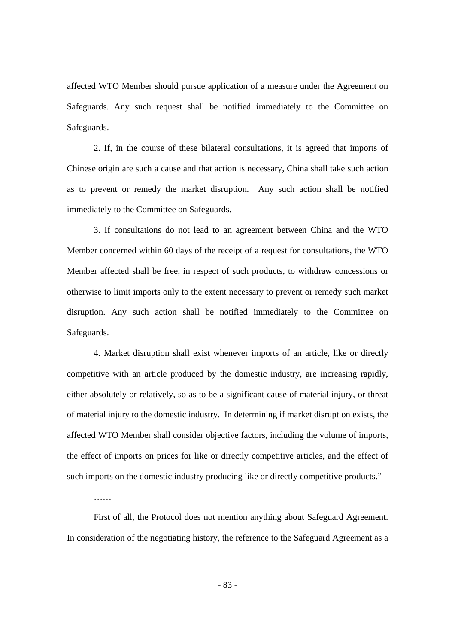affected WTO Member should pursue application of a measure under the Agreement on Safeguards. Any such request shall be notified immediately to the Committee on Safeguards.

2. If, in the course of these bilateral consultations, it is agreed that imports of Chinese origin are such a cause and that action is necessary, China shall take such action as to prevent or remedy the market disruption. Any such action shall be notified immediately to the Committee on Safeguards.

3. If consultations do not lead to an agreement between China and the WTO Member concerned within 60 days of the receipt of a request for consultations, the WTO Member affected shall be free, in respect of such products, to withdraw concessions or otherwise to limit imports only to the extent necessary to prevent or remedy such market disruption. Any such action shall be notified immediately to the Committee on Safeguards.

4. Market disruption shall exist whenever imports of an article, like or directly competitive with an article produced by the domestic industry, are increasing rapidly, either absolutely or relatively, so as to be a significant cause of material injury, or threat of material injury to the domestic industry. In determining if market disruption exists, the affected WTO Member shall consider objective factors, including the volume of imports, the effect of imports on prices for like or directly competitive articles, and the effect of such imports on the domestic industry producing like or directly competitive products."

……

First of all, the Protocol does not mention anything about Safeguard Agreement. In consideration of the negotiating history, the reference to the Safeguard Agreement as a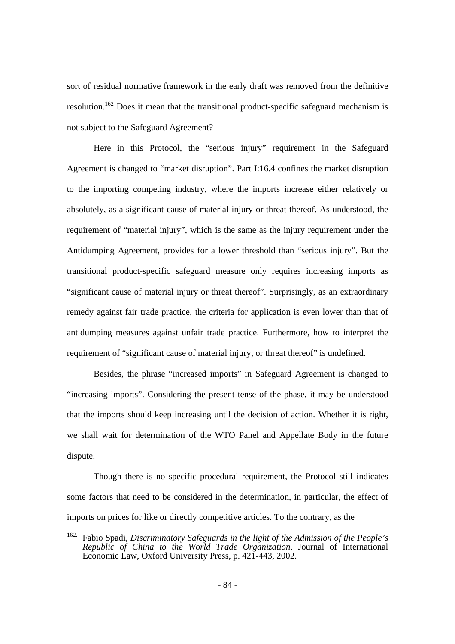sort of residual normative framework in the early draft was removed from the definitive resolution.162 Does it mean that the transitional product-specific safeguard mechanism is not subject to the Safeguard Agreement?

Here in this Protocol, the "serious injury" requirement in the Safeguard Agreement is changed to "market disruption". Part I:16.4 confines the market disruption to the importing competing industry, where the imports increase either relatively or absolutely, as a significant cause of material injury or threat thereof. As understood, the requirement of "material injury", which is the same as the injury requirement under the Antidumping Agreement, provides for a lower threshold than "serious injury". But the transitional product-specific safeguard measure only requires increasing imports as "significant cause of material injury or threat thereof". Surprisingly, as an extraordinary remedy against fair trade practice, the criteria for application is even lower than that of antidumping measures against unfair trade practice. Furthermore, how to interpret the requirement of "significant cause of material injury, or threat thereof" is undefined.

Besides, the phrase "increased imports" in Safeguard Agreement is changed to "increasing imports". Considering the present tense of the phase, it may be understood that the imports should keep increasing until the decision of action. Whether it is right, we shall wait for determination of the WTO Panel and Appellate Body in the future dispute.

Though there is no specific procedural requirement, the Protocol still indicates some factors that need to be considered in the determination, in particular, the effect of imports on prices for like or directly competitive articles. To the contrary, as the

<sup>162.</sup> Fabio Spadi, *Discriminatory Safeguards in the light of the Admission of the People's Republic of China to the World Trade Organization*, Journal of International Economic Law, Oxford University Press, p. 421-443, 2002.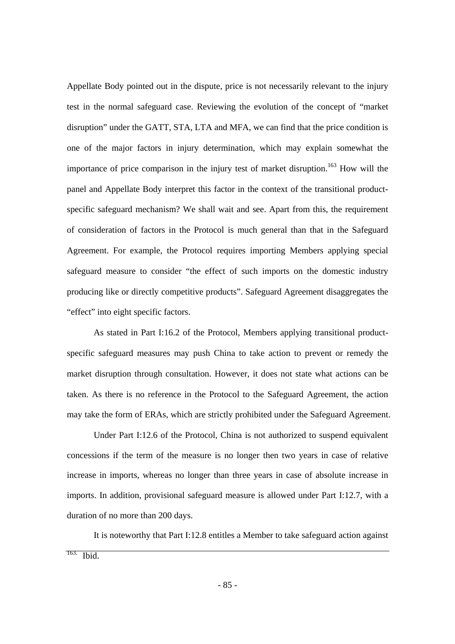Appellate Body pointed out in the dispute, price is not necessarily relevant to the injury test in the normal safeguard case. Reviewing the evolution of the concept of "market disruption" under the GATT, STA, LTA and MFA, we can find that the price condition is one of the major factors in injury determination, which may explain somewhat the importance of price comparison in the injury test of market disruption.<sup>163</sup> How will the panel and Appellate Body interpret this factor in the context of the transitional productspecific safeguard mechanism? We shall wait and see. Apart from this, the requirement of consideration of factors in the Protocol is much general than that in the Safeguard Agreement. For example, the Protocol requires importing Members applying special safeguard measure to consider "the effect of such imports on the domestic industry producing like or directly competitive products". Safeguard Agreement disaggregates the "effect" into eight specific factors.

As stated in Part I:16.2 of the Protocol, Members applying transitional productspecific safeguard measures may push China to take action to prevent or remedy the market disruption through consultation. However, it does not state what actions can be taken. As there is no reference in the Protocol to the Safeguard Agreement, the action may take the form of ERAs, which are strictly prohibited under the Safeguard Agreement.

Under Part I:12.6 of the Protocol, China is not authorized to suspend equivalent concessions if the term of the measure is no longer then two years in case of relative increase in imports, whereas no longer than three years in case of absolute increase in imports. In addition, provisional safeguard measure is allowed under Part I:12.7, with a duration of no more than 200 days.

It is noteworthy that Part I:12.8 entitles a Member to take safeguard action against 163. Ibid.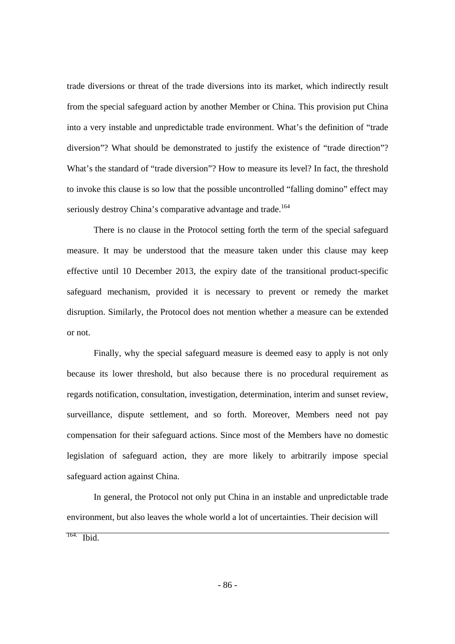trade diversions or threat of the trade diversions into its market, which indirectly result from the special safeguard action by another Member or China. This provision put China into a very instable and unpredictable trade environment. What's the definition of "trade diversion"? What should be demonstrated to justify the existence of "trade direction"? What's the standard of "trade diversion"? How to measure its level? In fact, the threshold to invoke this clause is so low that the possible uncontrolled "falling domino" effect may seriously destroy China's comparative advantage and trade.<sup>164</sup>

There is no clause in the Protocol setting forth the term of the special safeguard measure. It may be understood that the measure taken under this clause may keep effective until 10 December 2013, the expiry date of the transitional product-specific safeguard mechanism, provided it is necessary to prevent or remedy the market disruption. Similarly, the Protocol does not mention whether a measure can be extended or not.

Finally, why the special safeguard measure is deemed easy to apply is not only because its lower threshold, but also because there is no procedural requirement as regards notification, consultation, investigation, determination, interim and sunset review, surveillance, dispute settlement, and so forth. Moreover, Members need not pay compensation for their safeguard actions. Since most of the Members have no domestic legislation of safeguard action, they are more likely to arbitrarily impose special safeguard action against China.

In general, the Protocol not only put China in an instable and unpredictable trade environment, but also leaves the whole world a lot of uncertainties. Their decision will

 $164.$  Ibid.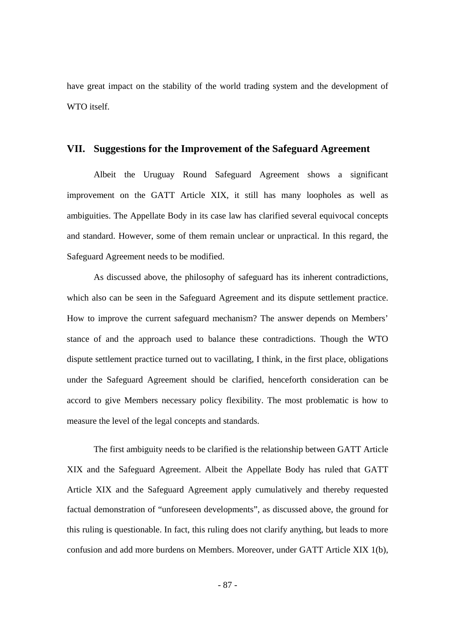have great impact on the stability of the world trading system and the development of WTO itself.

## **VII. Suggestions for the Improvement of the Safeguard Agreement**

Albeit the Uruguay Round Safeguard Agreement shows a significant improvement on the GATT Article XIX, it still has many loopholes as well as ambiguities. The Appellate Body in its case law has clarified several equivocal concepts and standard. However, some of them remain unclear or unpractical. In this regard, the Safeguard Agreement needs to be modified.

As discussed above, the philosophy of safeguard has its inherent contradictions, which also can be seen in the Safeguard Agreement and its dispute settlement practice. How to improve the current safeguard mechanism? The answer depends on Members' stance of and the approach used to balance these contradictions. Though the WTO dispute settlement practice turned out to vacillating, I think, in the first place, obligations under the Safeguard Agreement should be clarified, henceforth consideration can be accord to give Members necessary policy flexibility. The most problematic is how to measure the level of the legal concepts and standards.

The first ambiguity needs to be clarified is the relationship between GATT Article XIX and the Safeguard Agreement. Albeit the Appellate Body has ruled that GATT Article XIX and the Safeguard Agreement apply cumulatively and thereby requested factual demonstration of "unforeseen developments", as discussed above, the ground for this ruling is questionable. In fact, this ruling does not clarify anything, but leads to more confusion and add more burdens on Members. Moreover, under GATT Article XIX 1(b),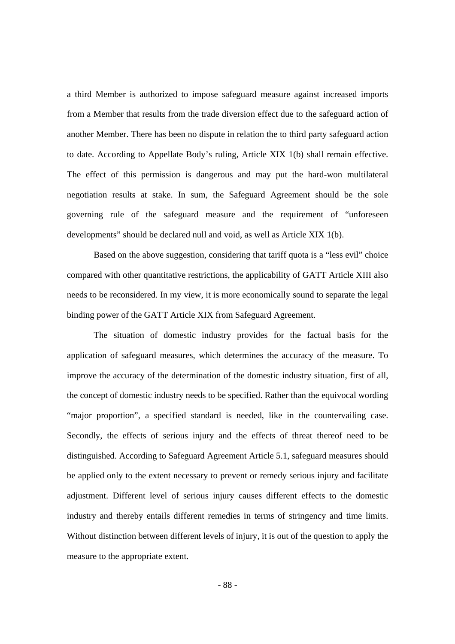a third Member is authorized to impose safeguard measure against increased imports from a Member that results from the trade diversion effect due to the safeguard action of another Member. There has been no dispute in relation the to third party safeguard action to date. According to Appellate Body's ruling, Article XIX 1(b) shall remain effective. The effect of this permission is dangerous and may put the hard-won multilateral negotiation results at stake. In sum, the Safeguard Agreement should be the sole governing rule of the safeguard measure and the requirement of "unforeseen developments" should be declared null and void, as well as Article XIX 1(b).

Based on the above suggestion, considering that tariff quota is a "less evil" choice compared with other quantitative restrictions, the applicability of GATT Article XIII also needs to be reconsidered. In my view, it is more economically sound to separate the legal binding power of the GATT Article XIX from Safeguard Agreement.

The situation of domestic industry provides for the factual basis for the application of safeguard measures, which determines the accuracy of the measure. To improve the accuracy of the determination of the domestic industry situation, first of all, the concept of domestic industry needs to be specified. Rather than the equivocal wording "major proportion", a specified standard is needed, like in the countervailing case. Secondly, the effects of serious injury and the effects of threat thereof need to be distinguished. According to Safeguard Agreement Article 5.1, safeguard measures should be applied only to the extent necessary to prevent or remedy serious injury and facilitate adjustment. Different level of serious injury causes different effects to the domestic industry and thereby entails different remedies in terms of stringency and time limits. Without distinction between different levels of injury, it is out of the question to apply the measure to the appropriate extent.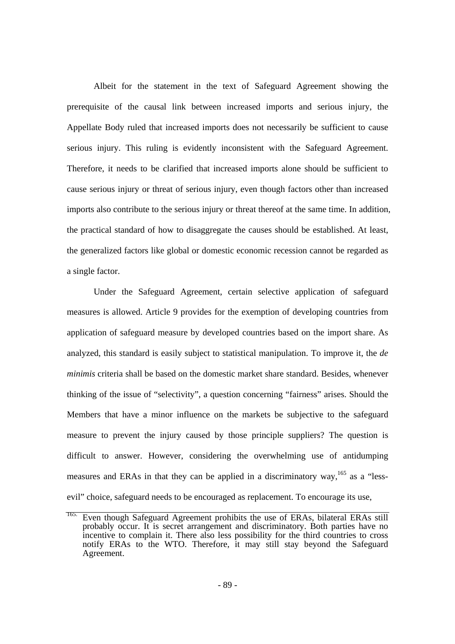Albeit for the statement in the text of Safeguard Agreement showing the prerequisite of the causal link between increased imports and serious injury, the Appellate Body ruled that increased imports does not necessarily be sufficient to cause serious injury. This ruling is evidently inconsistent with the Safeguard Agreement. Therefore, it needs to be clarified that increased imports alone should be sufficient to cause serious injury or threat of serious injury, even though factors other than increased imports also contribute to the serious injury or threat thereof at the same time. In addition, the practical standard of how to disaggregate the causes should be established. At least, the generalized factors like global or domestic economic recession cannot be regarded as a single factor.

Under the Safeguard Agreement, certain selective application of safeguard measures is allowed. Article 9 provides for the exemption of developing countries from application of safeguard measure by developed countries based on the import share. As analyzed, this standard is easily subject to statistical manipulation. To improve it, the *de minimis* criteria shall be based on the domestic market share standard. Besides, whenever thinking of the issue of "selectivity", a question concerning "fairness" arises. Should the Members that have a minor influence on the markets be subjective to the safeguard measure to prevent the injury caused by those principle suppliers? The question is difficult to answer. However, considering the overwhelming use of antidumping measures and ERAs in that they can be applied in a discriminatory way,  $165$  as a "lessevil" choice, safeguard needs to be encouraged as replacement. To encourage its use,

<sup>165.</sup> Even though Safeguard Agreement prohibits the use of ERAs, bilateral ERAs still probably occur. It is secret arrangement and discriminatory. Both parties have no incentive to complain it. There also less possibility for the third countries to cross notify ERAs to the WTO. Therefore, it may still stay beyond the Safeguard Agreement.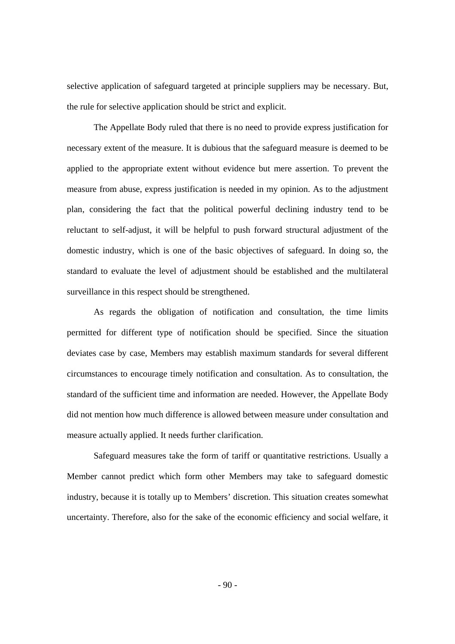selective application of safeguard targeted at principle suppliers may be necessary. But, the rule for selective application should be strict and explicit.

The Appellate Body ruled that there is no need to provide express justification for necessary extent of the measure. It is dubious that the safeguard measure is deemed to be applied to the appropriate extent without evidence but mere assertion. To prevent the measure from abuse, express justification is needed in my opinion. As to the adjustment plan, considering the fact that the political powerful declining industry tend to be reluctant to self-adjust, it will be helpful to push forward structural adjustment of the domestic industry, which is one of the basic objectives of safeguard. In doing so, the standard to evaluate the level of adjustment should be established and the multilateral surveillance in this respect should be strengthened.

As regards the obligation of notification and consultation, the time limits permitted for different type of notification should be specified. Since the situation deviates case by case, Members may establish maximum standards for several different circumstances to encourage timely notification and consultation. As to consultation, the standard of the sufficient time and information are needed. However, the Appellate Body did not mention how much difference is allowed between measure under consultation and measure actually applied. It needs further clarification.

Safeguard measures take the form of tariff or quantitative restrictions. Usually a Member cannot predict which form other Members may take to safeguard domestic industry, because it is totally up to Members' discretion. This situation creates somewhat uncertainty. Therefore, also for the sake of the economic efficiency and social welfare, it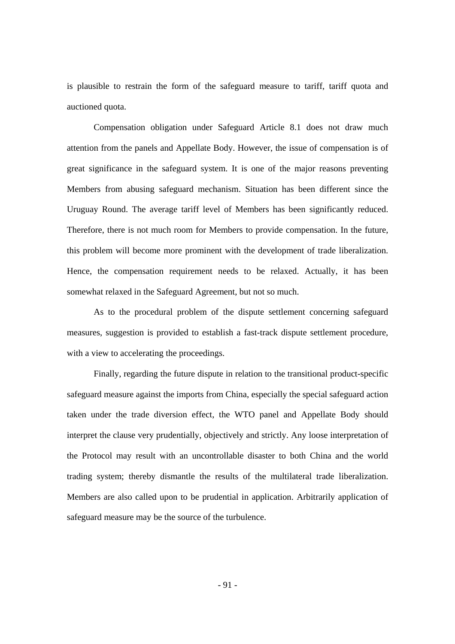is plausible to restrain the form of the safeguard measure to tariff, tariff quota and auctioned quota.

Compensation obligation under Safeguard Article 8.1 does not draw much attention from the panels and Appellate Body. However, the issue of compensation is of great significance in the safeguard system. It is one of the major reasons preventing Members from abusing safeguard mechanism. Situation has been different since the Uruguay Round. The average tariff level of Members has been significantly reduced. Therefore, there is not much room for Members to provide compensation. In the future, this problem will become more prominent with the development of trade liberalization. Hence, the compensation requirement needs to be relaxed. Actually, it has been somewhat relaxed in the Safeguard Agreement, but not so much.

As to the procedural problem of the dispute settlement concerning safeguard measures, suggestion is provided to establish a fast-track dispute settlement procedure, with a view to accelerating the proceedings.

Finally, regarding the future dispute in relation to the transitional product-specific safeguard measure against the imports from China, especially the special safeguard action taken under the trade diversion effect, the WTO panel and Appellate Body should interpret the clause very prudentially, objectively and strictly. Any loose interpretation of the Protocol may result with an uncontrollable disaster to both China and the world trading system; thereby dismantle the results of the multilateral trade liberalization. Members are also called upon to be prudential in application. Arbitrarily application of safeguard measure may be the source of the turbulence.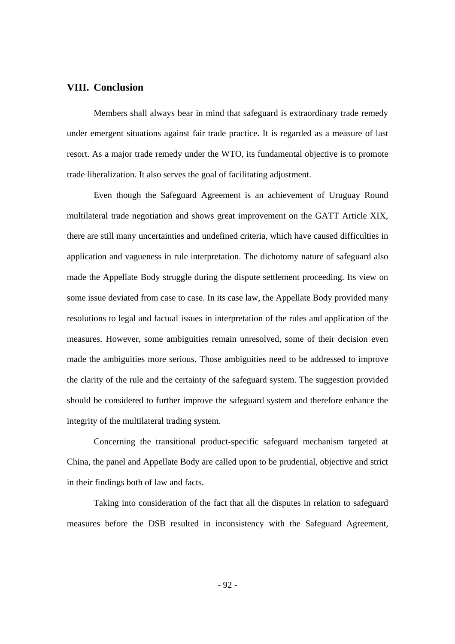## **VIII. Conclusion**

Members shall always bear in mind that safeguard is extraordinary trade remedy under emergent situations against fair trade practice. It is regarded as a measure of last resort. As a major trade remedy under the WTO, its fundamental objective is to promote trade liberalization. It also serves the goal of facilitating adjustment.

Even though the Safeguard Agreement is an achievement of Uruguay Round multilateral trade negotiation and shows great improvement on the GATT Article XIX, there are still many uncertainties and undefined criteria, which have caused difficulties in application and vagueness in rule interpretation. The dichotomy nature of safeguard also made the Appellate Body struggle during the dispute settlement proceeding. Its view on some issue deviated from case to case. In its case law, the Appellate Body provided many resolutions to legal and factual issues in interpretation of the rules and application of the measures. However, some ambiguities remain unresolved, some of their decision even made the ambiguities more serious. Those ambiguities need to be addressed to improve the clarity of the rule and the certainty of the safeguard system. The suggestion provided should be considered to further improve the safeguard system and therefore enhance the integrity of the multilateral trading system.

Concerning the transitional product-specific safeguard mechanism targeted at China, the panel and Appellate Body are called upon to be prudential, objective and strict in their findings both of law and facts.

Taking into consideration of the fact that all the disputes in relation to safeguard measures before the DSB resulted in inconsistency with the Safeguard Agreement,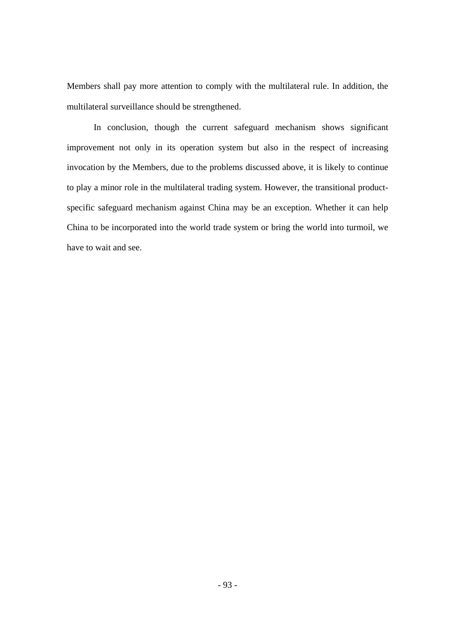Members shall pay more attention to comply with the multilateral rule. In addition, the multilateral surveillance should be strengthened.

In conclusion, though the current safeguard mechanism shows significant improvement not only in its operation system but also in the respect of increasing invocation by the Members, due to the problems discussed above, it is likely to continue to play a minor role in the multilateral trading system. However, the transitional productspecific safeguard mechanism against China may be an exception. Whether it can help China to be incorporated into the world trade system or bring the world into turmoil, we have to wait and see.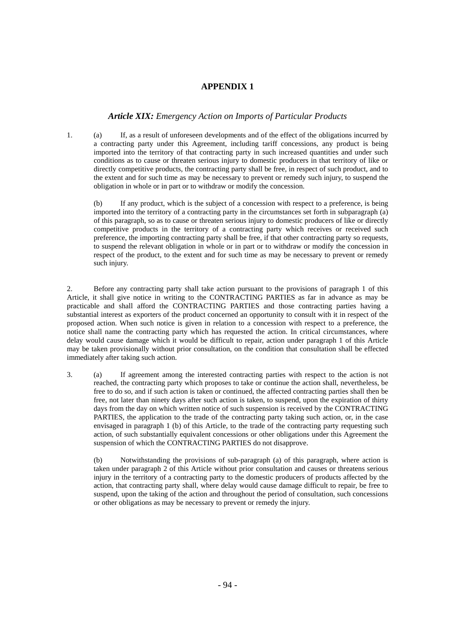## **APPENDIX 1**

## *Article XIX: Emergency Action on Imports of Particular Products*

1. (a) If, as a result of unforeseen developments and of the effect of the obligations incurred by a contracting party under this Agreement, including tariff concessions, any product is being imported into the territory of that contracting party in such increased quantities and under such conditions as to cause or threaten serious injury to domestic producers in that territory of like or directly competitive products, the contracting party shall be free, in respect of such product, and to the extent and for such time as may be necessary to prevent or remedy such injury, to suspend the obligation in whole or in part or to withdraw or modify the concession.

(b) If any product, which is the subject of a concession with respect to a preference, is being imported into the territory of a contracting party in the circumstances set forth in subparagraph (a) of this paragraph, so as to cause or threaten serious injury to domestic producers of like or directly competitive products in the territory of a contracting party which receives or received such preference, the importing contracting party shall be free, if that other contracting party so requests, to suspend the relevant obligation in whole or in part or to withdraw or modify the concession in respect of the product, to the extent and for such time as may be necessary to prevent or remedy such injury.

2. Before any contracting party shall take action pursuant to the provisions of paragraph 1 of this Article, it shall give notice in writing to the CONTRACTING PARTIES as far in advance as may be practicable and shall afford the CONTRACTING PARTIES and those contracting parties having a substantial interest as exporters of the product concerned an opportunity to consult with it in respect of the proposed action. When such notice is given in relation to a concession with respect to a preference, the notice shall name the contracting party which has requested the action. In critical circumstances, where delay would cause damage which it would be difficult to repair, action under paragraph 1 of this Article may be taken provisionally without prior consultation, on the condition that consultation shall be effected immediately after taking such action.

3. (a) If agreement among the interested contracting parties with respect to the action is not reached, the contracting party which proposes to take or continue the action shall, nevertheless, be free to do so, and if such action is taken or continued, the affected contracting parties shall then be free, not later than ninety days after such action is taken, to suspend, upon the expiration of thirty days from the day on which written notice of such suspension is received by the CONTRACTING PARTIES, the application to the trade of the contracting party taking such action, or, in the case envisaged in paragraph 1 (b) of this Article, to the trade of the contracting party requesting such action, of such substantially equivalent concessions or other obligations under this Agreement the suspension of which the CONTRACTING PARTIES do not disapprove.

(b) Notwithstanding the provisions of sub-paragraph (a) of this paragraph, where action is taken under paragraph 2 of this Article without prior consultation and causes or threatens serious injury in the territory of a contracting party to the domestic producers of products affected by the action, that contracting party shall, where delay would cause damage difficult to repair, be free to suspend, upon the taking of the action and throughout the period of consultation, such concessions or other obligations as may be necessary to prevent or remedy the injury.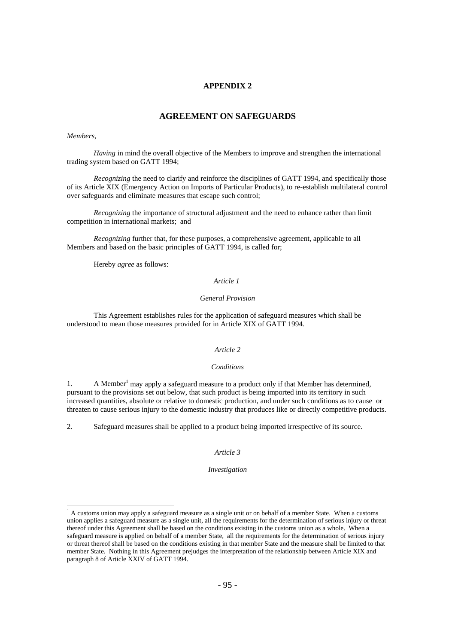### **APPENDIX 2**

### **AGREEMENT ON SAFEGUARDS**

#### *Members,*

*Having* in mind the overall objective of the Members to improve and strengthen the international trading system based on GATT 1994;

*Recognizing* the need to clarify and reinforce the disciplines of GATT 1994, and specifically those of its Article XIX (Emergency Action on Imports of Particular Products), to re-establish multilateral control over safeguards and eliminate measures that escape such control;

*Recognizing* the importance of structural adjustment and the need to enhance rather than limit competition in international markets; and

*Recognizing* further that, for these purposes, a comprehensive agreement, applicable to all Members and based on the basic principles of GATT 1994, is called for;

Hereby *agree* as follows:

### *Article 1*

#### *General Provision*

 This Agreement establishes rules for the application of safeguard measures which shall be understood to mean those measures provided for in Article XIX of GATT 1994.

#### *Article 2*

#### *Conditions*

1. A Member<sup>1</sup> may apply a safeguard measure to a product only if that Member has determined, pursuant to the provisions set out below, that such product is being imported into its territory in such increased quantities, absolute or relative to domestic production, and under such conditions as to cause or threaten to cause serious injury to the domestic industry that produces like or directly competitive products.

2. Safeguard measures shall be applied to a product being imported irrespective of its source.

#### *Article 3*

#### *Investigation*

<sup>&</sup>lt;sup>1</sup> A customs union may apply a safeguard measure as a single unit or on behalf of a member State. When a customs union applies a safeguard measure as a single unit, all the requirements for the determination of serious injury or threat thereof under this Agreement shall be based on the conditions existing in the customs union as a whole. When a safeguard measure is applied on behalf of a member State, all the requirements for the determination of serious injury or threat thereof shall be based on the conditions existing in that member State and the measure shall be limited to that member State. Nothing in this Agreement prejudges the interpretation of the relationship between Article XIX and paragraph 8 of Article XXIV of GATT 1994.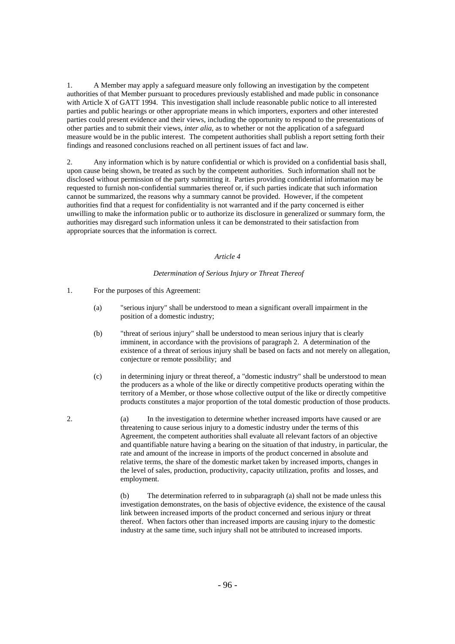1. A Member may apply a safeguard measure only following an investigation by the competent authorities of that Member pursuant to procedures previously established and made public in consonance with Article X of GATT 1994. This investigation shall include reasonable public notice to all interested parties and public hearings or other appropriate means in which importers, exporters and other interested parties could present evidence and their views, including the opportunity to respond to the presentations of other parties and to submit their views, *inter alia*, as to whether or not the application of a safeguard measure would be in the public interest. The competent authorities shall publish a report setting forth their findings and reasoned conclusions reached on all pertinent issues of fact and law.

2. Any information which is by nature confidential or which is provided on a confidential basis shall, upon cause being shown, be treated as such by the competent authorities. Such information shall not be disclosed without permission of the party submitting it. Parties providing confidential information may be requested to furnish non-confidential summaries thereof or, if such parties indicate that such information cannot be summarized, the reasons why a summary cannot be provided. However, if the competent authorities find that a request for confidentiality is not warranted and if the party concerned is either unwilling to make the information public or to authorize its disclosure in generalized or summary form, the authorities may disregard such information unless it can be demonstrated to their satisfaction from appropriate sources that the information is correct.

### *Article 4*

#### *Determination of Serious Injury or Threat Thereof*

- 1. For the purposes of this Agreement:
	- (a) "serious injury" shall be understood to mean a significant overall impairment in the position of a domestic industry;
	- (b) "threat of serious injury" shall be understood to mean serious injury that is clearly imminent, in accordance with the provisions of paragraph 2. A determination of the existence of a threat of serious injury shall be based on facts and not merely on allegation, conjecture or remote possibility; and
	- (c) in determining injury or threat thereof, a "domestic industry" shall be understood to mean the producers as a whole of the like or directly competitive products operating within the territory of a Member, or those whose collective output of the like or directly competitive products constitutes a major proportion of the total domestic production of those products.

2. (a) In the investigation to determine whether increased imports have caused or are threatening to cause serious injury to a domestic industry under the terms of this Agreement, the competent authorities shall evaluate all relevant factors of an objective and quantifiable nature having a bearing on the situation of that industry, in particular, the rate and amount of the increase in imports of the product concerned in absolute and relative terms, the share of the domestic market taken by increased imports, changes in the level of sales, production, productivity, capacity utilization, profits and losses, and employment.

> (b) The determination referred to in subparagraph (a) shall not be made unless this investigation demonstrates, on the basis of objective evidence, the existence of the causal link between increased imports of the product concerned and serious injury or threat thereof. When factors other than increased imports are causing injury to the domestic industry at the same time, such injury shall not be attributed to increased imports.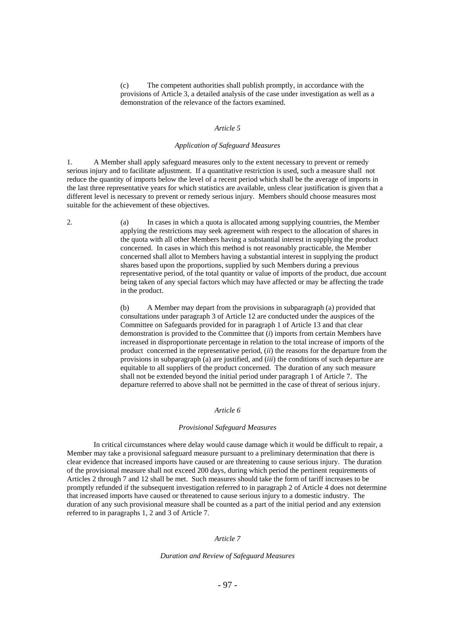(c) The competent authorities shall publish promptly, in accordance with the provisions of Article 3, a detailed analysis of the case under investigation as well as a demonstration of the relevance of the factors examined.

#### *Article 5*

#### *Application of Safeguard Measures*

1. A Member shall apply safeguard measures only to the extent necessary to prevent or remedy serious injury and to facilitate adjustment. If a quantitative restriction is used, such a measure shall not reduce the quantity of imports below the level of a recent period which shall be the average of imports in the last three representative years for which statistics are available, unless clear justification is given that a different level is necessary to prevent or remedy serious injury. Members should choose measures most suitable for the achievement of these objectives.

2. (a) In cases in which a quota is allocated among supplying countries, the Member applying the restrictions may seek agreement with respect to the allocation of shares in the quota with all other Members having a substantial interest in supplying the product concerned. In cases in which this method is not reasonably practicable, the Member concerned shall allot to Members having a substantial interest in supplying the product shares based upon the proportions, supplied by such Members during a previous representative period, of the total quantity or value of imports of the product, due account being taken of any special factors which may have affected or may be affecting the trade in the product.

> (b) A Member may depart from the provisions in subparagraph (a) provided that consultations under paragraph 3 of Article 12 are conducted under the auspices of the Committee on Safeguards provided for in paragraph 1 of Article 13 and that clear demonstration is provided to the Committee that (*i*) imports from certain Members have increased in disproportionate percentage in relation to the total increase of imports of the product concerned in the representative period, (*ii*) the reasons for the departure from the provisions in subparagraph (a) are justified, and (*iii*) the conditions of such departure are equitable to all suppliers of the product concerned. The duration of any such measure shall not be extended beyond the initial period under paragraph 1 of Article 7. The departure referred to above shall not be permitted in the case of threat of serious injury.

#### *Article 6*

#### *Provisional Safeguard Measures*

 In critical circumstances where delay would cause damage which it would be difficult to repair, a Member may take a provisional safeguard measure pursuant to a preliminary determination that there is clear evidence that increased imports have caused or are threatening to cause serious injury. The duration of the provisional measure shall not exceed 200 days, during which period the pertinent requirements of Articles 2 through 7 and 12 shall be met. Such measures should take the form of tariff increases to be promptly refunded if the subsequent investigation referred to in paragraph 2 of Article 4 does not determine that increased imports have caused or threatened to cause serious injury to a domestic industry. The duration of any such provisional measure shall be counted as a part of the initial period and any extension referred to in paragraphs 1, 2 and 3 of Article 7.

#### *Article 7*

#### *Duration and Review of Safeguard Measures*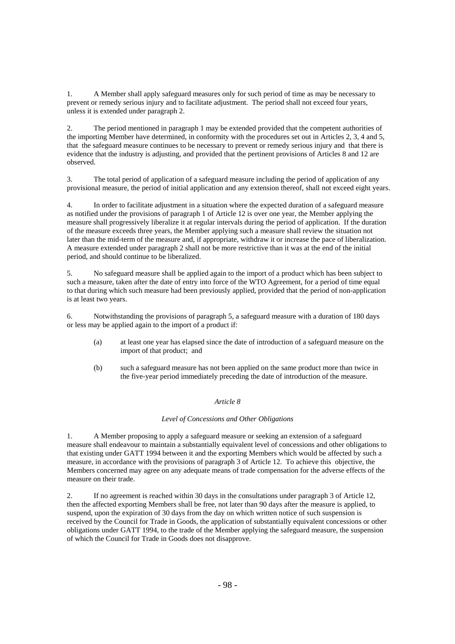1. A Member shall apply safeguard measures only for such period of time as may be necessary to prevent or remedy serious injury and to facilitate adjustment. The period shall not exceed four years, unless it is extended under paragraph 2.

2. The period mentioned in paragraph 1 may be extended provided that the competent authorities of the importing Member have determined, in conformity with the procedures set out in Articles 2, 3, 4 and 5, that the safeguard measure continues to be necessary to prevent or remedy serious injury and that there is evidence that the industry is adjusting, and provided that the pertinent provisions of Articles 8 and 12 are observed.

3. The total period of application of a safeguard measure including the period of application of any provisional measure, the period of initial application and any extension thereof, shall not exceed eight years.

4. In order to facilitate adjustment in a situation where the expected duration of a safeguard measure as notified under the provisions of paragraph 1 of Article 12 is over one year, the Member applying the measure shall progressively liberalize it at regular intervals during the period of application. If the duration of the measure exceeds three years, the Member applying such a measure shall review the situation not later than the mid-term of the measure and, if appropriate, withdraw it or increase the pace of liberalization. A measure extended under paragraph 2 shall not be more restrictive than it was at the end of the initial period, and should continue to be liberalized.

5. No safeguard measure shall be applied again to the import of a product which has been subject to such a measure, taken after the date of entry into force of the WTO Agreement, for a period of time equal to that during which such measure had been previously applied, provided that the period of non-application is at least two years.

6. Notwithstanding the provisions of paragraph 5, a safeguard measure with a duration of 180 days or less may be applied again to the import of a product if:

- (a) at least one year has elapsed since the date of introduction of a safeguard measure on the import of that product; and
- (b) such a safeguard measure has not been applied on the same product more than twice in the five-year period immediately preceding the date of introduction of the measure.

### *Article 8*

### *Level of Concessions and Other Obligations*

1. A Member proposing to apply a safeguard measure or seeking an extension of a safeguard measure shall endeavour to maintain a substantially equivalent level of concessions and other obligations to that existing under GATT 1994 between it and the exporting Members which would be affected by such a measure, in accordance with the provisions of paragraph 3 of Article 12. To achieve this objective, the Members concerned may agree on any adequate means of trade compensation for the adverse effects of the measure on their trade.

2. If no agreement is reached within 30 days in the consultations under paragraph 3 of Article 12, then the affected exporting Members shall be free, not later than 90 days after the measure is applied, to suspend, upon the expiration of 30 days from the day on which written notice of such suspension is received by the Council for Trade in Goods, the application of substantially equivalent concessions or other obligations under GATT 1994, to the trade of the Member applying the safeguard measure, the suspension of which the Council for Trade in Goods does not disapprove.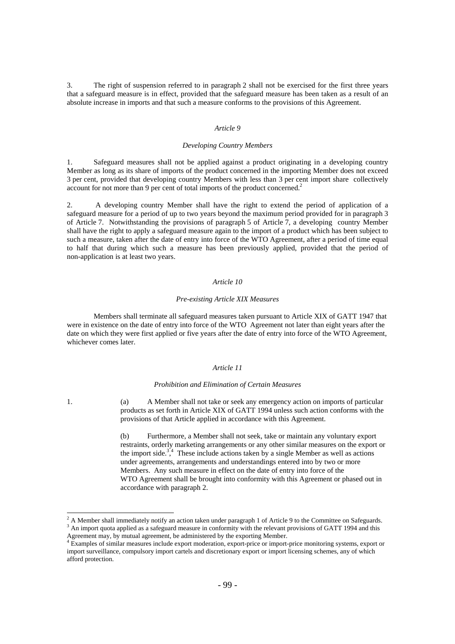3. The right of suspension referred to in paragraph 2 shall not be exercised for the first three years that a safeguard measure is in effect, provided that the safeguard measure has been taken as a result of an absolute increase in imports and that such a measure conforms to the provisions of this Agreement.

#### *Article 9*

#### *Developing Country Members*

1. Safeguard measures shall not be applied against a product originating in a developing country Member as long as its share of imports of the product concerned in the importing Member does not exceed 3 per cent, provided that developing country Members with less than 3 per cent import share collectively account for not more than 9 per cent of total imports of the product concerned.<sup>2</sup>

2. A developing country Member shall have the right to extend the period of application of a safeguard measure for a period of up to two years beyond the maximum period provided for in paragraph 3 of Article 7. Notwithstanding the provisions of paragraph 5 of Article 7, a developing country Member shall have the right to apply a safeguard measure again to the import of a product which has been subject to such a measure, taken after the date of entry into force of the WTO Agreement, after a period of time equal to half that during which such a measure has been previously applied, provided that the period of non-application is at least two years.

### *Article 10*

### *Pre-existing Article XIX Measures*

 Members shall terminate all safeguard measures taken pursuant to Article XIX of GATT 1947 that were in existence on the date of entry into force of the WTO Agreement not later than eight years after the date on which they were first applied or five years after the date of entry into force of the WTO Agreement, whichever comes later.

### *Article 11*

#### *Prohibition and Elimination of Certain Measures*

1. (a) A Member shall not take or seek any emergency action on imports of particular products as set forth in Article XIX of GATT 1994 unless such action conforms with the provisions of that Article applied in accordance with this Agreement.

> (b) Furthermore, a Member shall not seek, take or maintain any voluntary export restraints, orderly marketing arrangements or any other similar measures on the export or the import side.<sup>3,4</sup> These include actions taken by a single Member as well as actions under agreements, arrangements and understandings entered into by two or more Members. Any such measure in effect on the date of entry into force of the WTO Agreement shall be brought into conformity with this Agreement or phased out in accordance with paragraph 2.

 $<sup>2</sup>$  A Member shall immediately notify an action taken under paragraph 1 of Article 9 to the Committee on Safeguards.</sup> <sup>3</sup> An import quota applied as a safeguard measure in conformity with the relevant provisions of GATT 1994 and this

Agreement may, by mutual agreement, be administered by the exporting Member.<br><sup>4</sup> Examples of similar measures include export moderation, export-price or import-price monitoring systems, export or import surveillance, compulsory import cartels and discretionary export or import licensing schemes, any of which afford protection.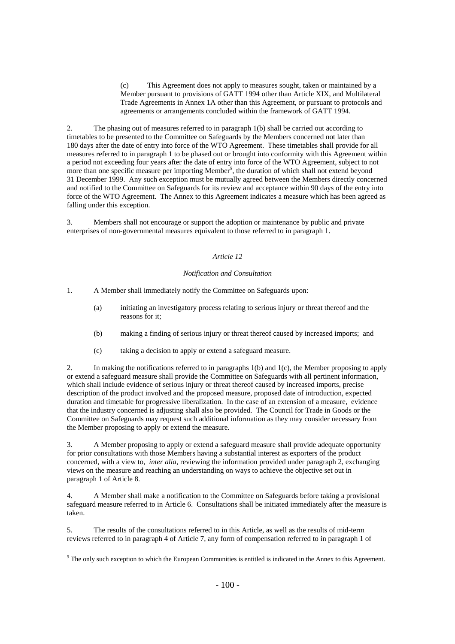(c) This Agreement does not apply to measures sought, taken or maintained by a Member pursuant to provisions of GATT 1994 other than Article XIX, and Multilateral Trade Agreements in Annex 1A other than this Agreement, or pursuant to protocols and agreements or arrangements concluded within the framework of GATT 1994.

2. The phasing out of measures referred to in paragraph 1(b) shall be carried out according to timetables to be presented to the Committee on Safeguards by the Members concerned not later than 180 days after the date of entry into force of the WTO Agreement. These timetables shall provide for all measures referred to in paragraph 1 to be phased out or brought into conformity with this Agreement within a period not exceeding four years after the date of entry into force of the WTO Agreement, subject to not more than one specific measure per importing Member<sup>5</sup>, the duration of which shall not extend beyond 31 December 1999. Any such exception must be mutually agreed between the Members directly concerned and notified to the Committee on Safeguards for its review and acceptance within 90 days of the entry into force of the WTO Agreement. The Annex to this Agreement indicates a measure which has been agreed as falling under this exception.

3. Members shall not encourage or support the adoption or maintenance by public and private enterprises of non-governmental measures equivalent to those referred to in paragraph 1.

### *Article 12*

### *Notification and Consultation*

1. A Member shall immediately notify the Committee on Safeguards upon:

- (a) initiating an investigatory process relating to serious injury or threat thereof and the reasons for it;
- (b) making a finding of serious injury or threat thereof caused by increased imports; and
- (c) taking a decision to apply or extend a safeguard measure.

2. In making the notifications referred to in paragraphs 1(b) and 1(c), the Member proposing to apply or extend a safeguard measure shall provide the Committee on Safeguards with all pertinent information, which shall include evidence of serious injury or threat thereof caused by increased imports, precise description of the product involved and the proposed measure, proposed date of introduction, expected duration and timetable for progressive liberalization. In the case of an extension of a measure, evidence that the industry concerned is adjusting shall also be provided. The Council for Trade in Goods or the Committee on Safeguards may request such additional information as they may consider necessary from the Member proposing to apply or extend the measure.

3. A Member proposing to apply or extend a safeguard measure shall provide adequate opportunity for prior consultations with those Members having a substantial interest as exporters of the product concerned, with a view to, *inter alia*, reviewing the information provided under paragraph 2, exchanging views on the measure and reaching an understanding on ways to achieve the objective set out in paragraph 1 of Article 8.

4. A Member shall make a notification to the Committee on Safeguards before taking a provisional safeguard measure referred to in Article 6. Consultations shall be initiated immediately after the measure is taken.

5. The results of the consultations referred to in this Article, as well as the results of mid-term reviews referred to in paragraph 4 of Article 7, any form of compensation referred to in paragraph 1 of

 $<sup>5</sup>$  The only such exception to which the European Communities is entitled is indicated in the Annex to this Agreement.</sup>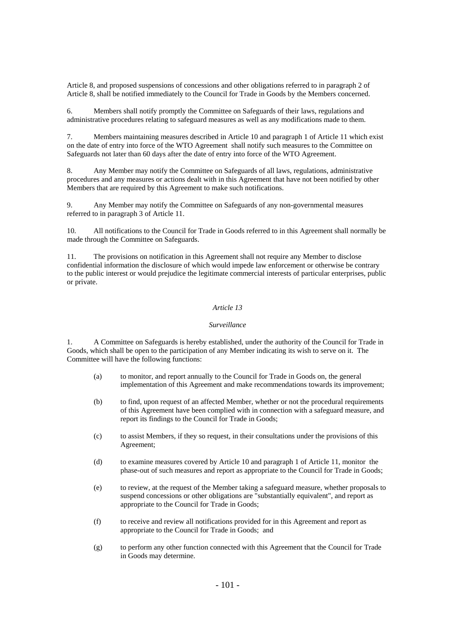Article 8, and proposed suspensions of concessions and other obligations referred to in paragraph 2 of Article 8, shall be notified immediately to the Council for Trade in Goods by the Members concerned.

6. Members shall notify promptly the Committee on Safeguards of their laws, regulations and administrative procedures relating to safeguard measures as well as any modifications made to them.

7. Members maintaining measures described in Article 10 and paragraph 1 of Article 11 which exist on the date of entry into force of the WTO Agreement shall notify such measures to the Committee on Safeguards not later than 60 days after the date of entry into force of the WTO Agreement.

8. Any Member may notify the Committee on Safeguards of all laws, regulations, administrative procedures and any measures or actions dealt with in this Agreement that have not been notified by other Members that are required by this Agreement to make such notifications.

9. Any Member may notify the Committee on Safeguards of any non-governmental measures referred to in paragraph 3 of Article 11.

10. All notifications to the Council for Trade in Goods referred to in this Agreement shall normally be made through the Committee on Safeguards.

11. The provisions on notification in this Agreement shall not require any Member to disclose confidential information the disclosure of which would impede law enforcement or otherwise be contrary to the public interest or would prejudice the legitimate commercial interests of particular enterprises, public or private.

### *Article 13*

### *Surveillance*

1. A Committee on Safeguards is hereby established, under the authority of the Council for Trade in Goods, which shall be open to the participation of any Member indicating its wish to serve on it. The Committee will have the following functions:

- (a) to monitor, and report annually to the Council for Trade in Goods on, the general implementation of this Agreement and make recommendations towards its improvement;
- (b) to find, upon request of an affected Member, whether or not the procedural requirements of this Agreement have been complied with in connection with a safeguard measure, and report its findings to the Council for Trade in Goods;
- (c) to assist Members, if they so request, in their consultations under the provisions of this Agreement;
- (d) to examine measures covered by Article 10 and paragraph 1 of Article 11, monitor the phase-out of such measures and report as appropriate to the Council for Trade in Goods;
- (e) to review, at the request of the Member taking a safeguard measure, whether proposals to suspend concessions or other obligations are "substantially equivalent", and report as appropriate to the Council for Trade in Goods;
- (f) to receive and review all notifications provided for in this Agreement and report as appropriate to the Council for Trade in Goods; and
- (g) to perform any other function connected with this Agreement that the Council for Trade in Goods may determine.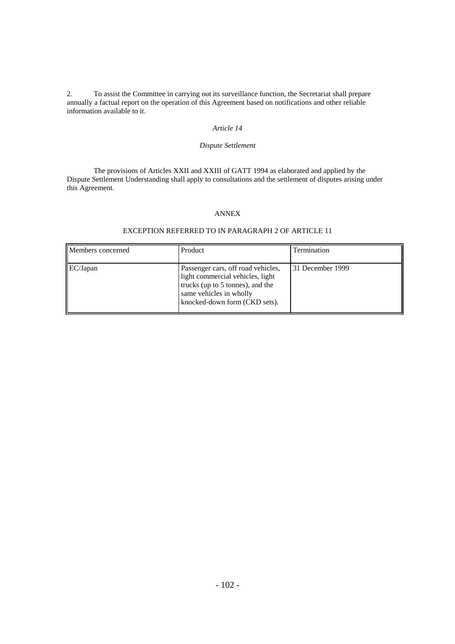2. To assist the Committee in carrying out its surveillance function, the Secretariat shall prepare annually a factual report on the operation of this Agreement based on notifications and other reliable information available to it.

#### *Article 14*

### *Dispute Settlement*

 The provisions of Articles XXII and XXIII of GATT 1994 as elaborated and applied by the Dispute Settlement Understanding shall apply to consultations and the settlement of disputes arising under this Agreement.

## ANNEX

## EXCEPTION REFERRED TO IN PARAGRAPH 2 OF ARTICLE 11

| Members concerned | Product                                                                                                                                                                | Termination      |
|-------------------|------------------------------------------------------------------------------------------------------------------------------------------------------------------------|------------------|
| EC/Japan          | Passenger cars, off road vehicles,<br>light commercial vehicles, light<br>trucks (up to 5 tonnes), and the<br>same vehicles in wholly<br>knocked-down form (CKD sets). | 31 December 1999 |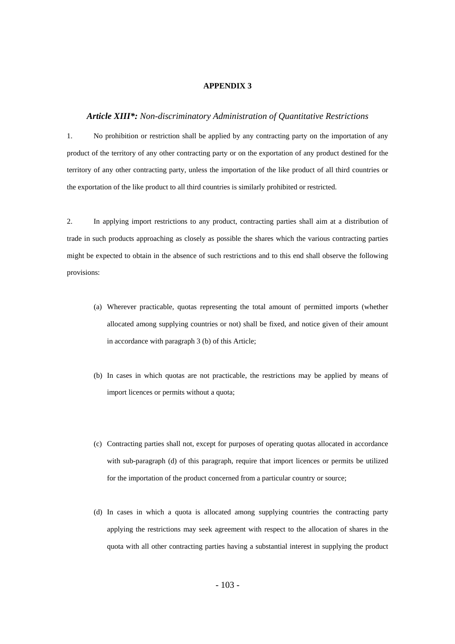#### **APPENDIX 3**

### *Article XIII\*: Non-discriminatory Administration of Quantitative Restrictions*

1. No prohibition or restriction shall be applied by any contracting party on the importation of any product of the territory of any other contracting party or on the exportation of any product destined for the territory of any other contracting party, unless the importation of the like product of all third countries or the exportation of the like product to all third countries is similarly prohibited or restricted.

2. In applying import restrictions to any product, contracting parties shall aim at a distribution of trade in such products approaching as closely as possible the shares which the various contracting parties might be expected to obtain in the absence of such restrictions and to this end shall observe the following provisions:

- (a) Wherever practicable, quotas representing the total amount of permitted imports (whether allocated among supplying countries or not) shall be fixed, and notice given of their amount in accordance with paragraph 3 (b) of this Article;
- (b) In cases in which quotas are not practicable, the restrictions may be applied by means of import licences or permits without a quota;
- (c) Contracting parties shall not, except for purposes of operating quotas allocated in accordance with sub-paragraph (d) of this paragraph, require that import licences or permits be utilized for the importation of the product concerned from a particular country or source;
- (d) In cases in which a quota is allocated among supplying countries the contracting party applying the restrictions may seek agreement with respect to the allocation of shares in the quota with all other contracting parties having a substantial interest in supplying the product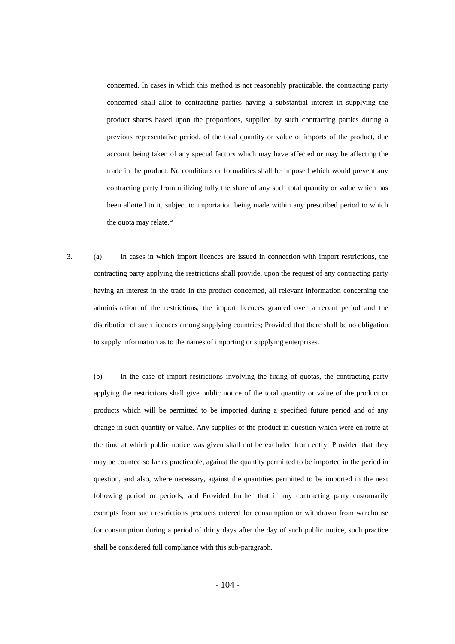concerned. In cases in which this method is not reasonably practicable, the contracting party concerned shall allot to contracting parties having a substantial interest in supplying the product shares based upon the proportions, supplied by such contracting parties during a previous representative period, of the total quantity or value of imports of the product, due account being taken of any special factors which may have affected or may be affecting the trade in the product. No conditions or formalities shall be imposed which would prevent any contracting party from utilizing fully the share of any such total quantity or value which has been allotted to it, subject to importation being made within any prescribed period to which the quota may relate.\*

3. (a) In cases in which import licences are issued in connection with import restrictions, the contracting party applying the restrictions shall provide, upon the request of any contracting party having an interest in the trade in the product concerned, all relevant information concerning the administration of the restrictions, the import licences granted over a recent period and the distribution of such licences among supplying countries; Provided that there shall be no obligation to supply information as to the names of importing or supplying enterprises.

(b) In the case of import restrictions involving the fixing of quotas, the contracting party applying the restrictions shall give public notice of the total quantity or value of the product or products which will be permitted to be imported during a specified future period and of any change in such quantity or value. Any supplies of the product in question which were en route at the time at which public notice was given shall not be excluded from entry; Provided that they may be counted so far as practicable, against the quantity permitted to be imported in the period in question, and also, where necessary, against the quantities permitted to be imported in the next following period or periods; and Provided further that if any contracting party customarily exempts from such restrictions products entered for consumption or withdrawn from warehouse for consumption during a period of thirty days after the day of such public notice, such practice shall be considered full compliance with this sub-paragraph.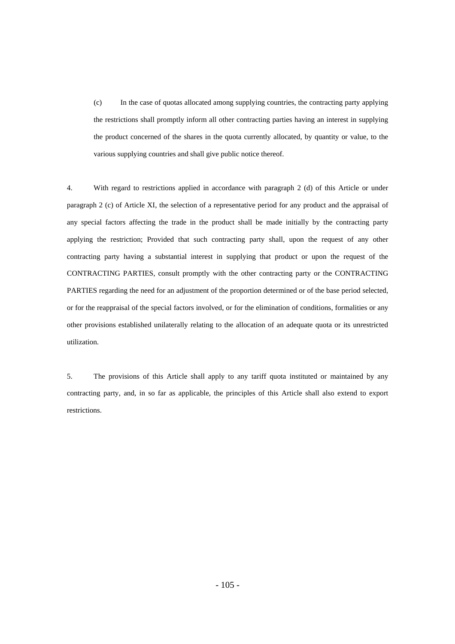(c) In the case of quotas allocated among supplying countries, the contracting party applying the restrictions shall promptly inform all other contracting parties having an interest in supplying the product concerned of the shares in the quota currently allocated, by quantity or value, to the various supplying countries and shall give public notice thereof.

4. With regard to restrictions applied in accordance with paragraph 2 (d) of this Article or under paragraph 2 (c) of Article XI, the selection of a representative period for any product and the appraisal of any special factors affecting the trade in the product shall be made initially by the contracting party applying the restriction; Provided that such contracting party shall, upon the request of any other contracting party having a substantial interest in supplying that product or upon the request of the CONTRACTING PARTIES, consult promptly with the other contracting party or the CONTRACTING PARTIES regarding the need for an adjustment of the proportion determined or of the base period selected, or for the reappraisal of the special factors involved, or for the elimination of conditions, formalities or any other provisions established unilaterally relating to the allocation of an adequate quota or its unrestricted utilization.

5. The provisions of this Article shall apply to any tariff quota instituted or maintained by any contracting party, and, in so far as applicable, the principles of this Article shall also extend to export restrictions.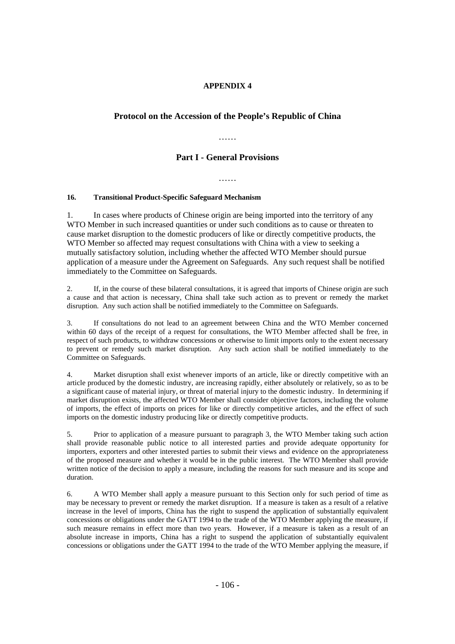## **APPENDIX 4**

## **Protocol on the Accession of the People's Republic of China**

……

## **Part I - General Provisions**

……

### **16. Transitional Product-Specific Safeguard Mechanism**

1. In cases where products of Chinese origin are being imported into the territory of any WTO Member in such increased quantities or under such conditions as to cause or threaten to cause market disruption to the domestic producers of like or directly competitive products, the WTO Member so affected may request consultations with China with a view to seeking a mutually satisfactory solution, including whether the affected WTO Member should pursue application of a measure under the Agreement on Safeguards. Any such request shall be notified immediately to the Committee on Safeguards.

2. If, in the course of these bilateral consultations, it is agreed that imports of Chinese origin are such a cause and that action is necessary, China shall take such action as to prevent or remedy the market disruption. Any such action shall be notified immediately to the Committee on Safeguards.

3. If consultations do not lead to an agreement between China and the WTO Member concerned within 60 days of the receipt of a request for consultations, the WTO Member affected shall be free, in respect of such products, to withdraw concessions or otherwise to limit imports only to the extent necessary to prevent or remedy such market disruption. Any such action shall be notified immediately to the Committee on Safeguards.

4. Market disruption shall exist whenever imports of an article, like or directly competitive with an article produced by the domestic industry, are increasing rapidly, either absolutely or relatively, so as to be a significant cause of material injury, or threat of material injury to the domestic industry. In determining if market disruption exists, the affected WTO Member shall consider objective factors, including the volume of imports, the effect of imports on prices for like or directly competitive articles, and the effect of such imports on the domestic industry producing like or directly competitive products.

5. Prior to application of a measure pursuant to paragraph 3, the WTO Member taking such action shall provide reasonable public notice to all interested parties and provide adequate opportunity for importers, exporters and other interested parties to submit their views and evidence on the appropriateness of the proposed measure and whether it would be in the public interest. The WTO Member shall provide written notice of the decision to apply a measure, including the reasons for such measure and its scope and duration.

6. A WTO Member shall apply a measure pursuant to this Section only for such period of time as may be necessary to prevent or remedy the market disruption. If a measure is taken as a result of a relative increase in the level of imports, China has the right to suspend the application of substantially equivalent concessions or obligations under the GATT 1994 to the trade of the WTO Member applying the measure, if such measure remains in effect more than two years. However, if a measure is taken as a result of an absolute increase in imports, China has a right to suspend the application of substantially equivalent concessions or obligations under the GATT 1994 to the trade of the WTO Member applying the measure, if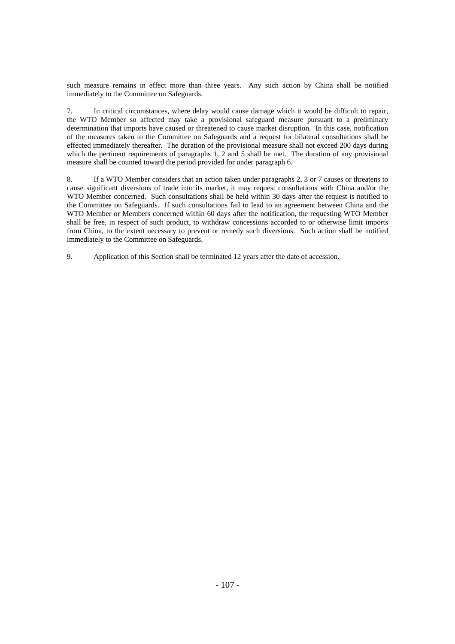such measure remains in effect more than three years. Any such action by China shall be notified immediately to the Committee on Safeguards.

7. In critical circumstances, where delay would cause damage which it would be difficult to repair, the WTO Member so affected may take a provisional safeguard measure pursuant to a preliminary determination that imports have caused or threatened to cause market disruption. In this case, notification of the measures taken to the Committee on Safeguards and a request for bilateral consultations shall be effected immediately thereafter. The duration of the provisional measure shall not exceed 200 days during which the pertinent requirements of paragraphs 1, 2 and 5 shall be met. The duration of any provisional measure shall be counted toward the period provided for under paragraph 6.

8. If a WTO Member considers that an action taken under paragraphs 2, 3 or 7 causes or threatens to cause significant diversions of trade into its market, it may request consultations with China and/or the WTO Member concerned. Such consultations shall be held within 30 days after the request is notified to the Committee on Safeguards. If such consultations fail to lead to an agreement between China and the WTO Member or Members concerned within 60 days after the notification, the requesting WTO Member shall be free, in respect of such product, to withdraw concessions accorded to or otherwise limit imports from China, to the extent necessary to prevent or remedy such diversions. Such action shall be notified immediately to the Committee on Safeguards.

9. Application of this Section shall be terminated 12 years after the date of accession.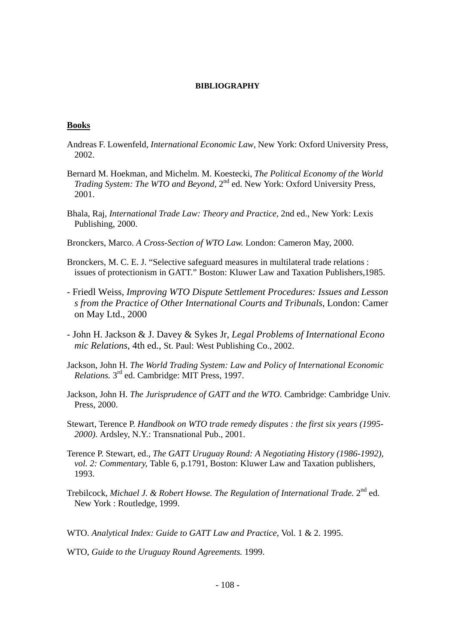### **BIBLIOGRAPHY**

## **Books**

- Andreas F. Lowenfeld, *International Economic Law*, New York: Oxford University Press, 2002.
- Bernard M. Hoekman, and Michelm. M. Koestecki, *The Political Economy of the World Trading System: The WTO and Beyond,* 2<sup>nd</sup> ed. New York: Oxford University Press, 2001.
- Bhala, Raj, *International Trade Law: Theory and Practice,* 2nd ed., New York: Lexis Publishing, 2000.

Bronckers, Marco. *A Cross-Section of WTO Law.* London: Cameron May, 2000.

- Bronckers, M. C. E. J. "Selective safeguard measures in multilateral trade relations : issues of protectionism in GATT." Boston: Kluwer Law and Taxation Publishers,1985.
- Friedl Weiss, *Improving WTO Dispute Settlement Procedures: Issues and Lesson s from the Practice of Other International Courts and Tribunals*, London: Camer on May Ltd., 2000
- John H. Jackson & J. Davey & Sykes Jr, *Legal Problems of International Econo mic Relations*, 4th ed., St. Paul: West Publishing Co., 2002.
- Jackson, John H. *The World Trading System: Law and Policy of International Economic Relations.* 3rd ed. Cambridge: MIT Press, 1997.
- Jackson, John H. *The Jurisprudence of GATT and the WTO.* Cambridge: Cambridge Univ. Press, 2000.
- Stewart, Terence P. *Handbook on WTO trade remedy disputes : the first six years (1995- 2000)*. Ardsley, N.Y.: Transnational Pub., 2001.
- Terence P. Stewart, ed., *The GATT Uruguay Round: A Negotiating History (1986-1992), vol. 2: Commentary,* Table 6, p.1791, Boston: Kluwer Law and Taxation publishers, 1993.
- Trebilcock, *Michael J. & Robert Howse. The Regulation of International Trade.* 2<sup>nd</sup> ed. New York : Routledge, 1999.
- WTO. *Analytical Index: Guide to GATT Law and Practice*, Vol. 1 & 2. 1995.
- WTO, *Guide to the Uruguay Round Agreements.* 1999.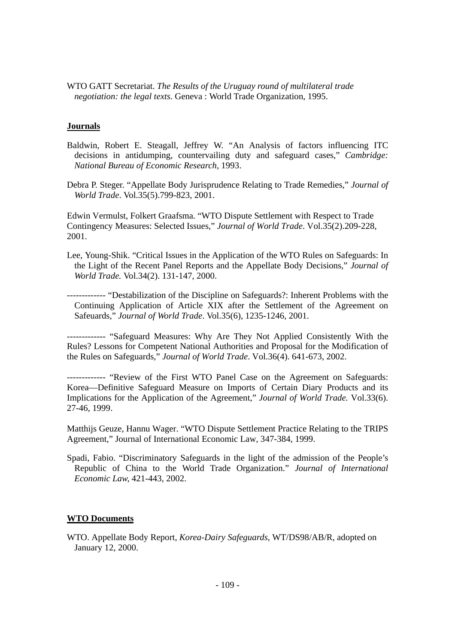WTO GATT Secretariat. *The Results of the Uruguay round of multilateral trade negotiation: the legal texts.* Geneva : World Trade Organization, 1995.

## **Journals**

- Baldwin, Robert E. Steagall, Jeffrey W. "An Analysis of factors influencing ITC decisions in antidumping, countervailing duty and safeguard cases," *Cambridge: National Bureau of Economic Research*, 1993.
- Debra P. Steger. "Appellate Body Jurisprudence Relating to Trade Remedies," *Journal of World Trade*. Vol.35(5).799-823, 2001.

Edwin Vermulst, Folkert Graafsma. "WTO Dispute Settlement with Respect to Trade Contingency Measures: Selected Issues," *Journal of World Trade*. Vol.35(2).209-228, 2001.

- Lee, Young-Shik. "Critical Issues in the Application of the WTO Rules on Safeguards: In the Light of the Recent Panel Reports and the Appellate Body Decisions," *Journal of World Trade.* Vol.34(2). 131-147, 2000.
- ------------- "Destabilization of the Discipline on Safeguards?: Inherent Problems with the Continuing Application of Article XIX after the Settlement of the Agreement on Safeuards," *Journal of World Trade*. Vol.35(6), 1235-1246, 2001.

------------- "Safeguard Measures: Why Are They Not Applied Consistently With the Rules? Lessons for Competent National Authorities and Proposal for the Modification of the Rules on Safeguards," *Journal of World Trade*. Vol.36(4). 641-673, 2002.

------------- "Review of the First WTO Panel Case on the Agreement on Safeguards: Korea—Definitive Safeguard Measure on Imports of Certain Diary Products and its Implications for the Application of the Agreement," *Journal of World Trade.* Vol.33(6). 27-46, 1999.

Matthijs Geuze, Hannu Wager. "WTO Dispute Settlement Practice Relating to the TRIPS Agreement," Journal of International Economic Law, 347-384, 1999.

Spadi, Fabio. "Discriminatory Safeguards in the light of the admission of the People's Republic of China to the World Trade Organization." *Journal of International Economic Law,* 421-443, 2002.

## **WTO Documents**

WTO. Appellate Body Report, *Korea-Dairy Safeguards*, WT/DS98/AB/R, adopted on January 12, 2000.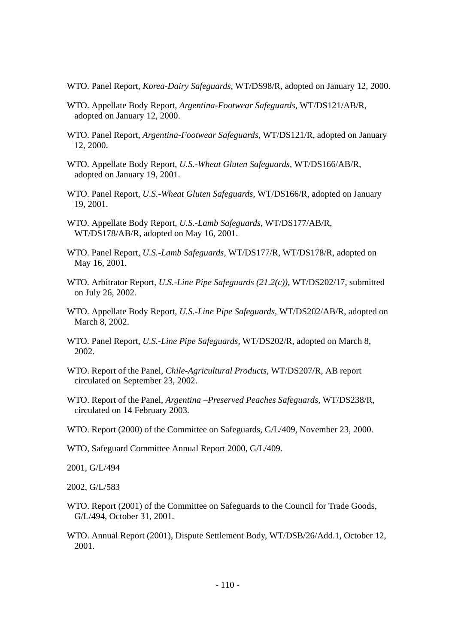WTO. Panel Report, *Korea-Dairy Safeguards,* WT/DS98/R, adopted on January 12, 2000.

- WTO. Appellate Body Report, *Argentina-Footwear Safeguards*, WT/DS121/AB/R, adopted on January 12, 2000.
- WTO. Panel Report, *Argentina-Footwear Safeguards,* WT/DS121/R, adopted on January 12, 2000.
- WTO. Appellate Body Report, *U.S.-Wheat Gluten Safeguards,* WT/DS166/AB/R, adopted on January 19, 2001.
- WTO. Panel Report, *U.S.-Wheat Gluten Safeguards,* WT/DS166/R, adopted on January 19, 2001.
- WTO. Appellate Body Report, *U.S.-Lamb Safeguards*, WT/DS177/AB/R, WT/DS178/AB/R, adopted on May 16, 2001.
- WTO. Panel Report, *U.S.-Lamb Safeguards*, WT/DS177/R, WT/DS178/R, adopted on May 16, 2001.
- WTO. Arbitrator Report, *U.S.-Line Pipe Safeguards (21.2(c)),* WT/DS202/17, submitted on July 26, 2002.
- WTO. Appellate Body Report, *U.S.-Line Pipe Safeguards,* WT/DS202/AB/R, adopted on March 8, 2002.
- WTO. Panel Report, *U.S.-Line Pipe Safeguards,* WT/DS202/R, adopted on March 8, 2002.
- WTO. Report of the Panel, *Chile-Agricultural Products*, WT/DS207/R, AB report circulated on September 23, 2002.
- WTO. Report of the Panel, *Argentina –Preserved Peaches Safeguards,* WT/DS238/R, circulated on 14 February 2003.
- WTO. Report (2000) of the Committee on Safeguards, G/L/409, November 23, 2000.

WTO, Safeguard Committee Annual Report 2000, G/L/409.

2001, G/L/494

2002, G/L/583

- WTO. Report (2001) of the Committee on Safeguards to the Council for Trade Goods, G/L/494, October 31, 2001.
- WTO. Annual Report (2001), Dispute Settlement Body, WT/DSB/26/Add.1, October 12, 2001.